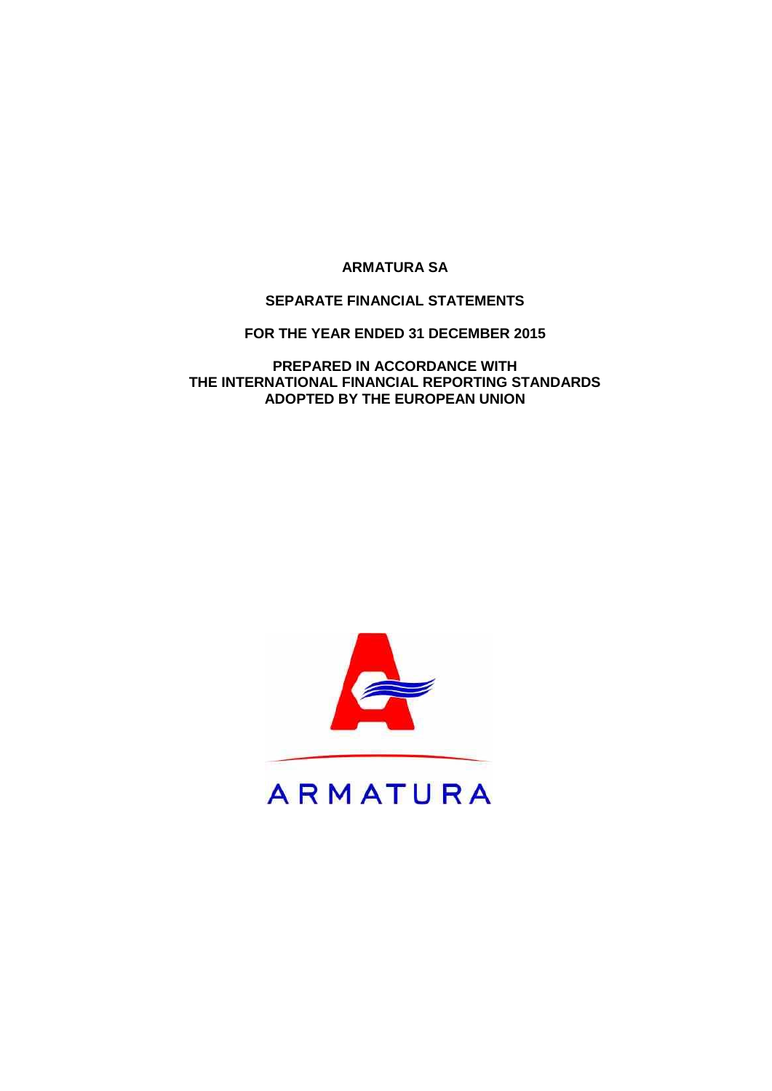# **SEPARATE FINANCIAL STATEMENTS**

**FOR THE YEAR ENDED 31 DECEMBER 2015**

**PREPARED IN ACCORDANCE WITH THE INTERNATIONAL FINANCIAL REPORTING STANDARDS ADOPTED BY THE EUROPEAN UNION**

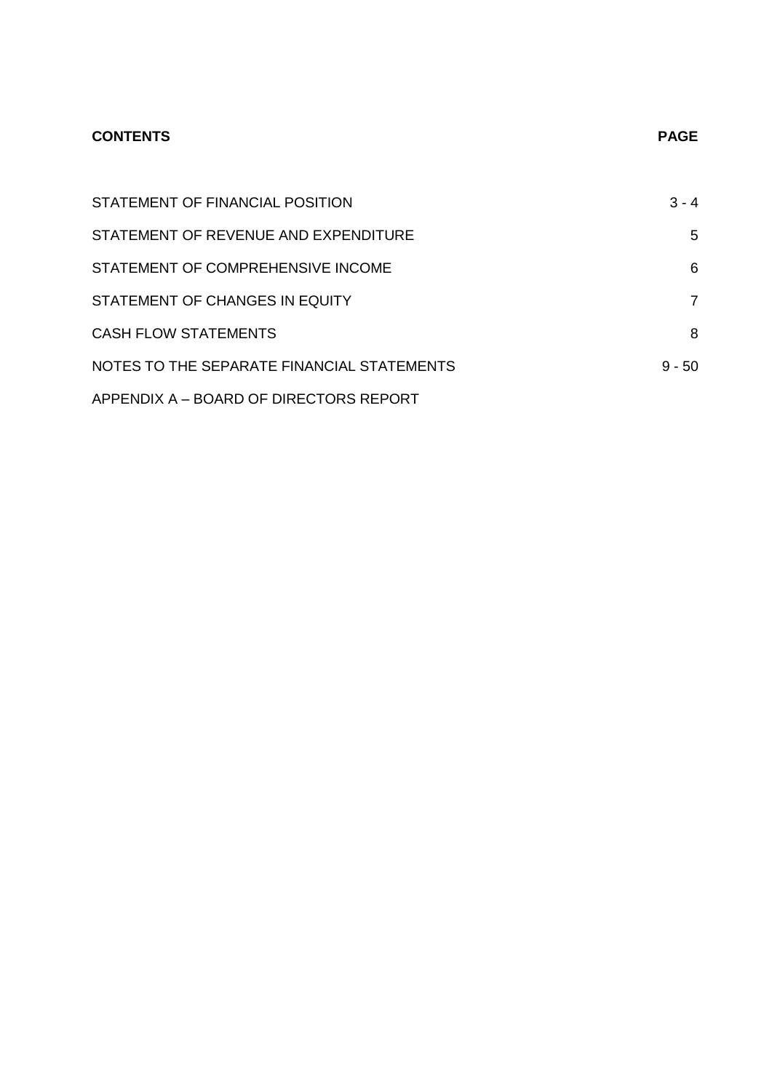# **CONTENTS PAGE**

| STATEMENT OF FINANCIAL POSITION            | $3 - 4$  |
|--------------------------------------------|----------|
| STATEMENT OF REVENUE AND EXPENDITURE       | 5        |
| STATEMENT OF COMPREHENSIVE INCOME          | 6        |
| STATEMENT OF CHANGES IN EQUITY             | 7        |
| <b>CASH FLOW STATEMENTS</b>                | 8        |
| NOTES TO THE SEPARATE FINANCIAL STATEMENTS | $9 - 50$ |
| APPENDIX A - BOARD OF DIRECTORS REPORT     |          |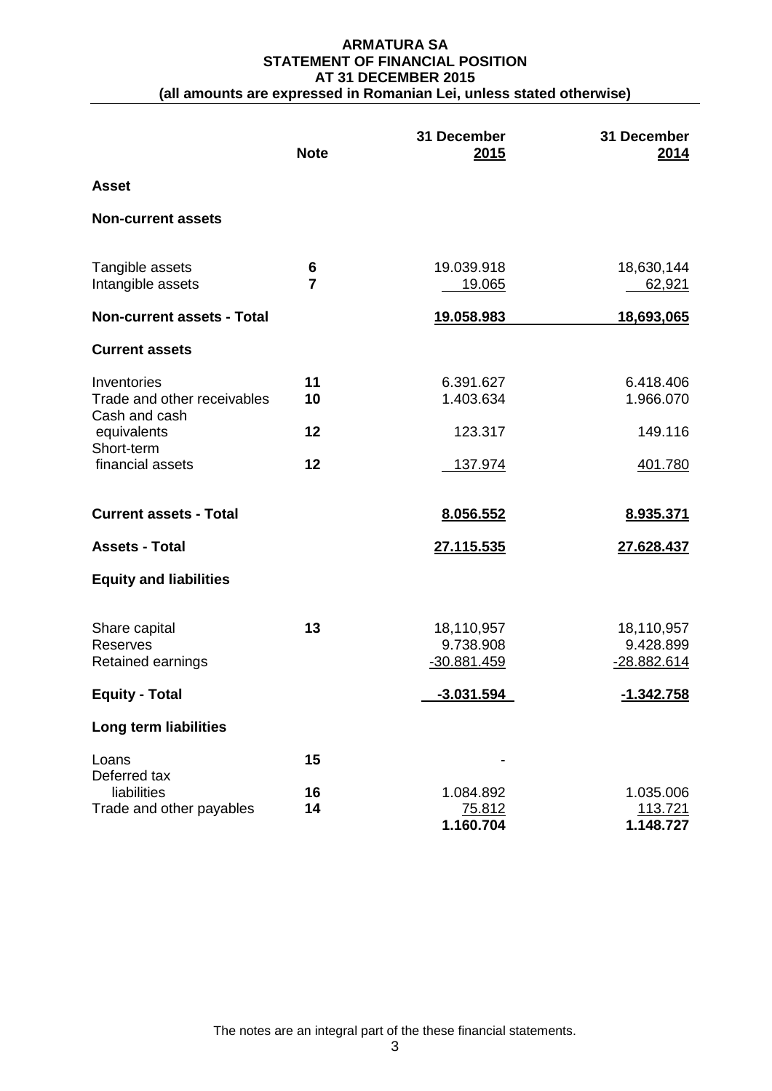#### **ARMATURA SA STATEMENT OF FINANCIAL POSITION AT 31 DECEMBER 2015 (all amounts are expressed in Romanian Lei, unless stated otherwise)**

|                                                             | <b>Note</b>         | 31 December<br><u>2015</u>             | 31 December<br><u>2014</u>             |
|-------------------------------------------------------------|---------------------|----------------------------------------|----------------------------------------|
| <b>Asset</b>                                                |                     |                                        |                                        |
| <b>Non-current assets</b>                                   |                     |                                        |                                        |
| Tangible assets<br>Intangible assets                        | 6<br>$\overline{7}$ | 19.039.918<br>19.065                   | 18,630,144<br>62,921                   |
| <b>Non-current assets - Total</b>                           |                     | <u>19.058.983</u>                      | <u>18,693,065</u>                      |
| <b>Current assets</b>                                       |                     |                                        |                                        |
| Inventories<br>Trade and other receivables<br>Cash and cash | 11<br>10            | 6.391.627<br>1.403.634                 | 6.418.406<br>1.966.070                 |
| equivalents                                                 | 12                  | 123.317                                | 149.116                                |
| Short-term<br>financial assets                              | 12                  | 137.974                                | 401.780                                |
| <b>Current assets - Total</b>                               |                     | 8.056.552                              | 8.935.371                              |
| <b>Assets - Total</b>                                       |                     | 27.115.535                             | 27.628.437                             |
| <b>Equity and liabilities</b>                               |                     |                                        |                                        |
| Share capital<br>Reserves<br>Retained earnings              | 13                  | 18,110,957<br>9.738.908<br>-30.881.459 | 18,110,957<br>9.428.899<br>-28.882.614 |
| <b>Equity - Total</b>                                       |                     | $-3.031.594$                           | $-1.342.758$                           |
| Long term liabilities                                       |                     |                                        |                                        |
| Loans                                                       | 15                  |                                        |                                        |
| Deferred tax<br>liabilities<br>Trade and other payables     | 16<br>14            | 1.084.892<br>75.812<br>1.160.704       | 1.035.006<br>113.721<br>1.148.727      |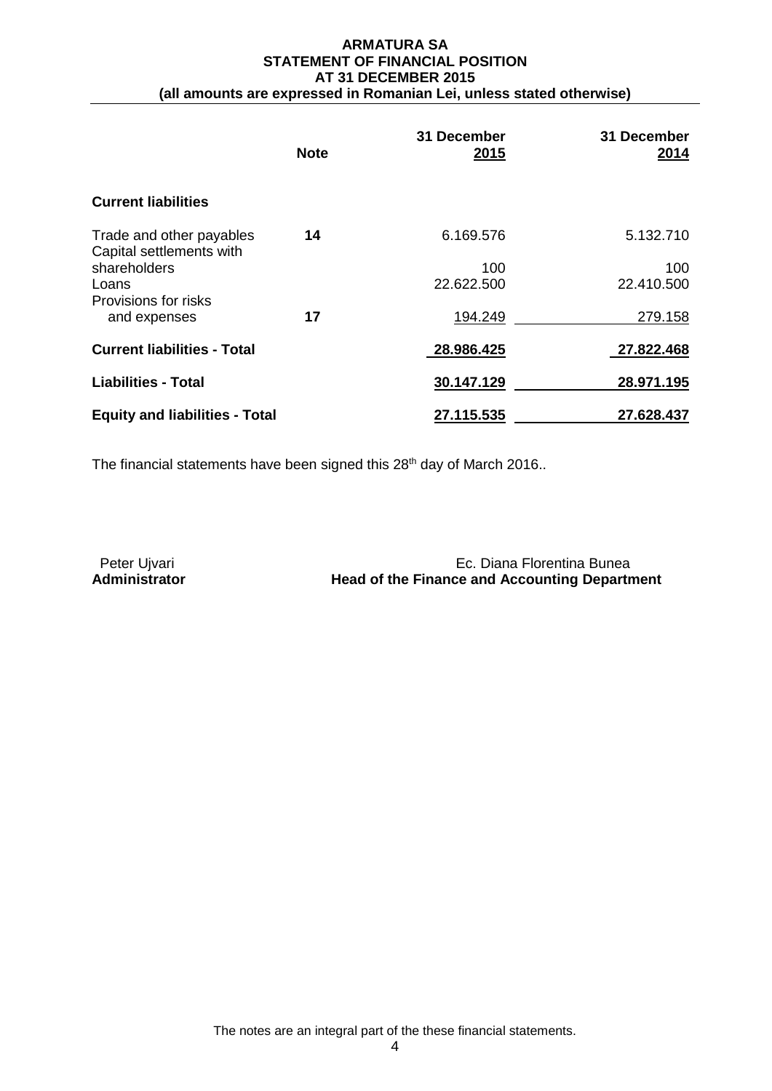#### **ARMATURA SA STATEMENT OF FINANCIAL POSITION AT 31 DECEMBER 2015 (all amounts are expressed in Romanian Lei, unless stated otherwise)**

|                                                      | <b>Note</b> | 31 December<br>2015 | 31 December<br>2014 |
|------------------------------------------------------|-------------|---------------------|---------------------|
| <b>Current liabilities</b>                           |             |                     |                     |
| Trade and other payables<br>Capital settlements with | 14          | 6.169.576           | 5.132.710           |
| shareholders                                         |             | 100                 | 100                 |
| Loans                                                |             | 22.622.500          | 22.410.500          |
| Provisions for risks                                 |             |                     |                     |
| and expenses                                         | 17          | 194.249             | 279.158             |
| <b>Current liabilities - Total</b>                   |             | 28.986.425          | 27.822.468          |
| <b>Liabilities - Total</b>                           |             | 30.147.129          | 28.971.195          |
| <b>Equity and liabilities - Total</b>                |             | 27.115.535          | 27.628.437          |

The financial statements have been signed this  $28<sup>th</sup>$  day of March 2016..

Peter Ujvari **Ec. Diana Florentina Bunea**<br>**Administrator Ec. Diana Florentina Bunea**<br>**Head of the Finance and Accounting Departn Head of the Finance and Accounting Department**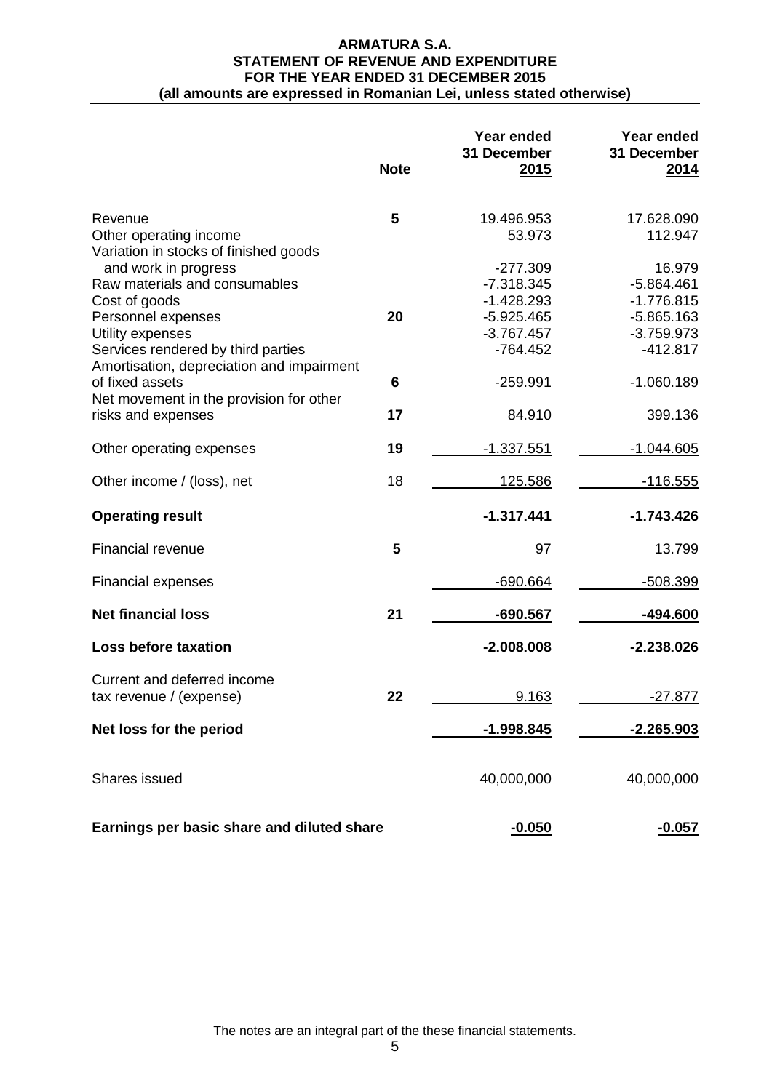#### **ARMATURA S.A. STATEMENT OF REVENUE AND EXPENDITURE FOR THE YEAR ENDED 31 DECEMBER 2015 (all amounts are expressed in Romanian Lei, unless stated otherwise)**

|                                                                                                     | <b>Note</b> | Year ended<br>31 December<br>2015 | Year ended<br>31 December<br>2014 |
|-----------------------------------------------------------------------------------------------------|-------------|-----------------------------------|-----------------------------------|
| Revenue<br>Other operating income                                                                   | 5           | 19.496.953<br>53.973              | 17.628.090<br>112.947             |
| Variation in stocks of finished goods<br>and work in progress<br>Raw materials and consumables      |             | $-277.309$<br>$-7.318.345$        | 16.979<br>$-5.864.461$            |
| Cost of goods<br>Personnel expenses                                                                 | 20          | $-1.428.293$<br>$-5.925.465$      | $-1.776.815$<br>$-5.865.163$      |
| Utility expenses<br>Services rendered by third parties<br>Amortisation, depreciation and impairment |             | $-3.767.457$<br>$-764.452$        | $-3.759.973$<br>$-412.817$        |
| of fixed assets<br>Net movement in the provision for other                                          | 6           | $-259.991$                        | $-1.060.189$                      |
| risks and expenses                                                                                  | 17          | 84.910                            | 399.136                           |
| Other operating expenses                                                                            | 19          | $-1.337.551$                      | $-1.044.605$                      |
| Other income / (loss), net                                                                          | 18          | 125.586                           | $-116.555$                        |
| <b>Operating result</b>                                                                             |             | $-1.317.441$                      | $-1.743.426$                      |
| <b>Financial revenue</b>                                                                            | 5           | 97                                | 13.799                            |
| <b>Financial expenses</b>                                                                           |             | -690.664                          | -508.399                          |
| <b>Net financial loss</b>                                                                           | 21          | $-690.567$                        | -494.600                          |
| <b>Loss before taxation</b>                                                                         |             | $-2.008.008$                      | $-2.238.026$                      |
| Current and deferred income<br>tax revenue / (expense)                                              | 22          | 9.163                             | $-27.877$                         |
| Net loss for the period                                                                             |             | <u>-1.998.845</u>                 | $-2.265.903$                      |
| Shares issued                                                                                       |             | 40,000,000                        | 40,000,000                        |
| Earnings per basic share and diluted share                                                          |             | $-0.050$                          | $-0.057$                          |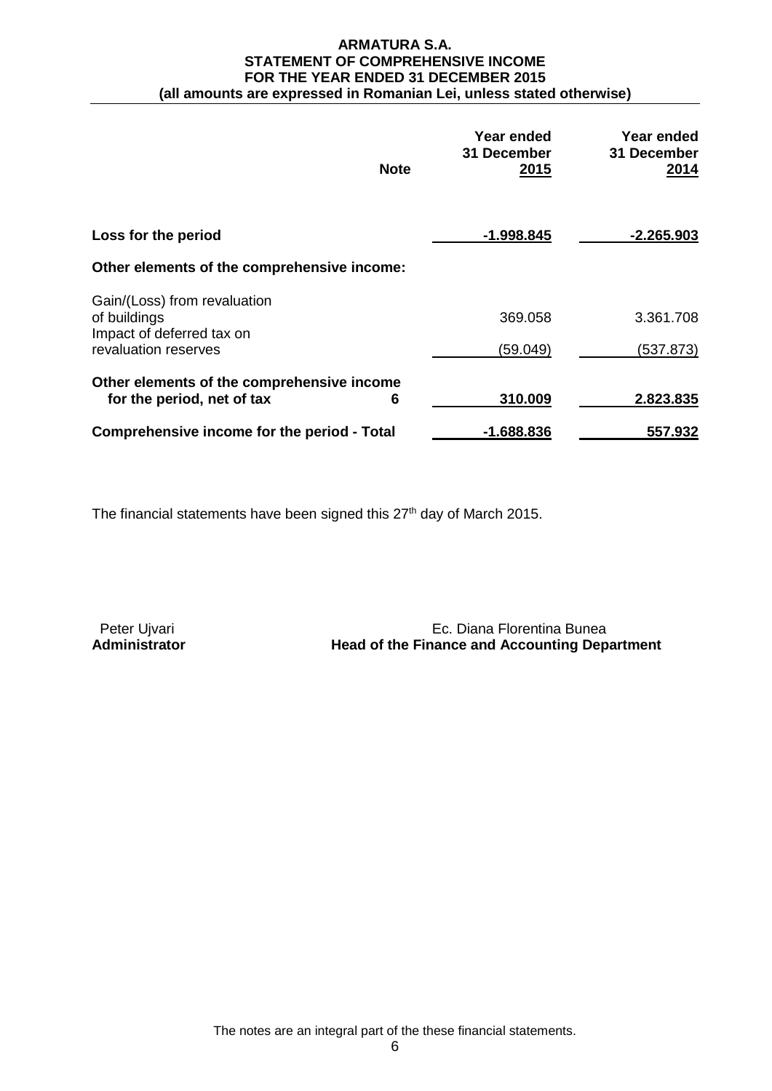#### **ARMATURA S.A. STATEMENT OF COMPREHENSIVE INCOME FOR THE YEAR ENDED 31 DECEMBER 2015 (all amounts are expressed in Romanian Lei, unless stated otherwise)**

| <b>Note</b>                                                                   | Year ended<br>31 December<br><u>2015</u> | Year ended<br>31 December<br>2014 |
|-------------------------------------------------------------------------------|------------------------------------------|-----------------------------------|
| Loss for the period                                                           | $-1.998.845$                             | $-2.265.903$                      |
| Other elements of the comprehensive income:                                   |                                          |                                   |
| Gain/(Loss) from revaluation<br>of buildings<br>Impact of deferred tax on     | 369.058                                  | 3.361.708                         |
| revaluation reserves                                                          | (59.049)                                 | (537.873)                         |
| Other elements of the comprehensive income<br>for the period, net of tax<br>6 | 310.009                                  | 2.823.835                         |
| Comprehensive income for the period - Total                                   | $-1.688.836$                             | 557.932                           |

The financial statements have been signed this 27<sup>th</sup> day of March 2015.

Peter Ujvari **Ec. Diana Florentina Bunea**<br>**Administrator Head of the Finance and Accounting Dep Head of the Finance and Accounting Department**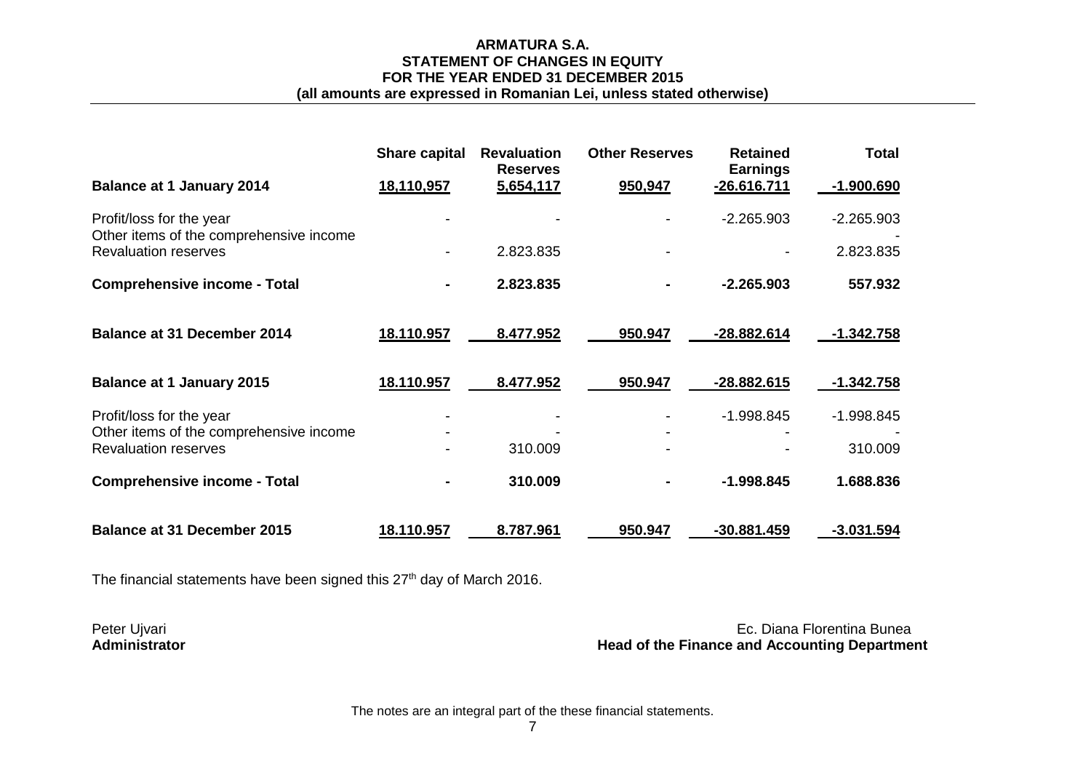# **ARMATURA S.A. STATEMENT OF CHANGES IN EQUITY FOR THE YEAR ENDED 31 DECEMBER 2015**

# **(all amounts are expressed in Romanian Lei, unless stated otherwise)**

|                                                                        | <b>Share capital</b> | <b>Revaluation</b><br><b>Reserves</b> | <b>Other Reserves</b> | <b>Retained</b><br><b>Earnings</b> | <b>Total</b>      |
|------------------------------------------------------------------------|----------------------|---------------------------------------|-----------------------|------------------------------------|-------------------|
| <b>Balance at 1 January 2014</b>                                       | 18,110,957           | 5,654,117                             | 950,947               | $-26.616.711$                      | $-1.900.690$      |
| Profit/loss for the year<br>Other items of the comprehensive income    |                      |                                       |                       | $-2.265.903$                       | $-2.265.903$      |
| <b>Revaluation reserves</b>                                            |                      | 2.823.835                             |                       |                                    | 2.823.835         |
| <b>Comprehensive income - Total</b>                                    |                      | 2.823.835                             |                       | $-2.265.903$                       | 557.932           |
| <b>Balance at 31 December 2014</b>                                     | 18.110.957           | 8.477.952                             | 950.947               | <u>-28.882.614</u>                 | <u>-1.342.758</u> |
| <b>Balance at 1 January 2015</b>                                       | 18.110.957           | 8.477.952                             | 950.947               | -28.882.615                        | $-1.342.758$      |
| Profit/loss for the year                                               |                      |                                       |                       | $-1.998.845$                       | -1.998.845        |
| Other items of the comprehensive income<br><b>Revaluation reserves</b> |                      | 310.009                               |                       |                                    | 310.009           |
| <b>Comprehensive income - Total</b>                                    |                      | 310.009                               |                       | $-1.998.845$                       | 1.688.836         |
| <b>Balance at 31 December 2015</b>                                     | 18.110.957           | 8.787.961                             | 950.947               | $-30.881.459$                      | $-3.031.594$      |

The financial statements have been signed this  $27<sup>th</sup>$  day of March 2016.

Peter Ujvari Ec. Diana Florentina Bunea<br>Administrator and Accounting Department **Head of the Finance and Accounting Department**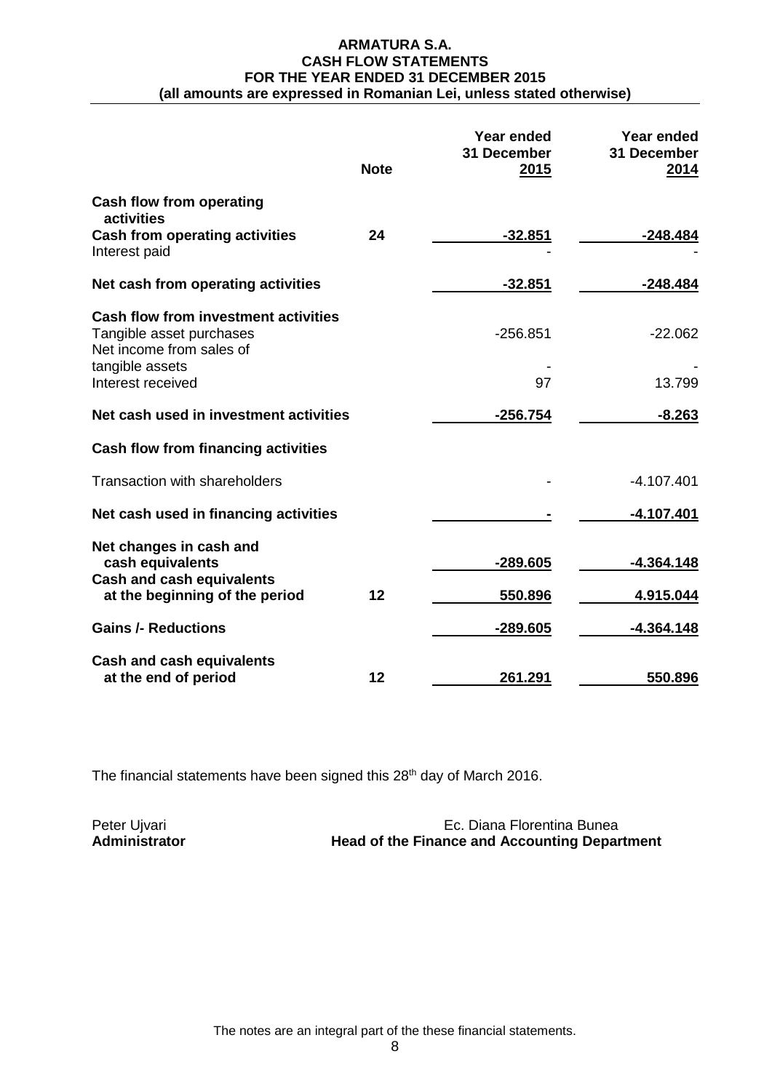#### **ARMATURA S.A. CASH FLOW STATEMENTS FOR THE YEAR ENDED 31 DECEMBER 2015 (all amounts are expressed in Romanian Lei, unless stated otherwise)**

|                                                                                                     | <b>Note</b> | Year ended<br>31 December<br>2015 | Year ended<br>31 December<br>2014 |
|-----------------------------------------------------------------------------------------------------|-------------|-----------------------------------|-----------------------------------|
| <b>Cash flow from operating</b><br>activities                                                       |             |                                   |                                   |
| <b>Cash from operating activities</b><br>Interest paid                                              | 24          | $-32.851$                         | $-248.484$                        |
| Net cash from operating activities                                                                  |             | $-32.851$                         | $-248.484$                        |
| <b>Cash flow from investment activities</b><br>Tangible asset purchases<br>Net income from sales of |             | $-256.851$                        | $-22.062$                         |
| tangible assets<br>Interest received                                                                |             | 97                                | 13.799                            |
| Net cash used in investment activities                                                              |             | $-256.754$                        | $-8.263$                          |
| Cash flow from financing activities                                                                 |             |                                   |                                   |
| <b>Transaction with shareholders</b>                                                                |             |                                   | $-4.107.401$                      |
| Net cash used in financing activities                                                               |             |                                   | $-4.107.401$                      |
| Net changes in cash and<br>cash equivalents                                                         |             | $-289.605$                        | $-4.364.148$                      |
| <b>Cash and cash equivalents</b><br>at the beginning of the period                                  | 12          | 550.896                           | 4.915.044                         |
| <b>Gains /- Reductions</b>                                                                          |             | -289.605                          | $-4.364.148$                      |
| <b>Cash and cash equivalents</b><br>at the end of period                                            | 12          | 261.291                           | 550.896                           |

The financial statements have been signed this 28<sup>th</sup> day of March 2016.

| Peter Ujvari  | Ec. Diana Florentina Bunea                           |
|---------------|------------------------------------------------------|
| Administrator | <b>Head of the Finance and Accounting Department</b> |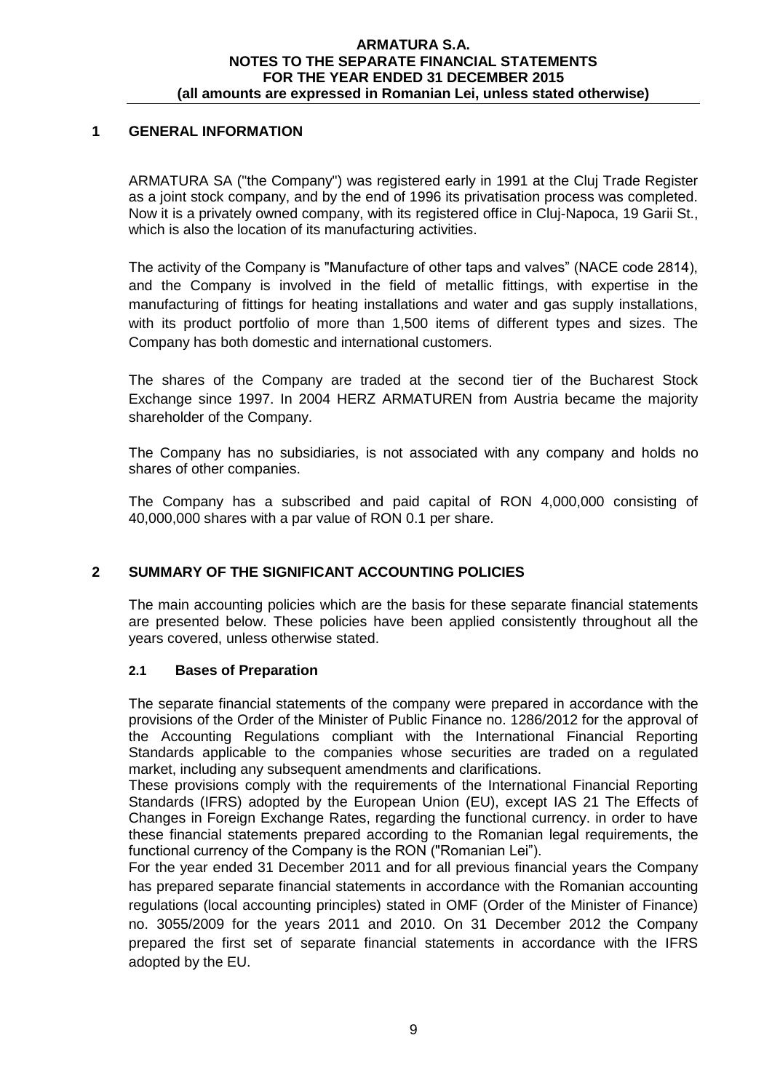# **1 GENERAL INFORMATION**

ARMATURA SA ("the Company") was registered early in 1991 at the Cluj Trade Register as a joint stock company, and by the end of 1996 its privatisation process was completed. Now it is a privately owned company, with its registered office in Cluj-Napoca, 19 Garii St., which is also the location of its manufacturing activities.

The activity of the Company is "Manufacture of other taps and valves" (NACE code 2814), and the Company is involved in the field of metallic fittings, with expertise in the manufacturing of fittings for heating installations and water and gas supply installations, with its product portfolio of more than 1,500 items of different types and sizes. The Company has both domestic and international customers.

The shares of the Company are traded at the second tier of the Bucharest Stock Exchange since 1997. In 2004 HERZ ARMATUREN from Austria became the majority shareholder of the Company.

The Company has no subsidiaries, is not associated with any company and holds no shares of other companies.

The Company has a subscribed and paid capital of RON 4,000,000 consisting of 40,000,000 shares with a par value of RON 0.1 per share.

# **2 SUMMARY OF THE SIGNIFICANT ACCOUNTING POLICIES**

The main accounting policies which are the basis for these separate financial statements are presented below. These policies have been applied consistently throughout all the years covered, unless otherwise stated.

## **2.1 Bases of Preparation**

The separate financial statements of the company were prepared in accordance with the provisions of the Order of the Minister of Public Finance no. 1286/2012 for the approval of the Accounting Regulations compliant with the International Financial Reporting Standards applicable to the companies whose securities are traded on a regulated market, including any subsequent amendments and clarifications.

These provisions comply with the requirements of the International Financial Reporting Standards (IFRS) adopted by the European Union (EU), except IAS 21 The Effects of Changes in Foreign Exchange Rates, regarding the functional currency. in order to have these financial statements prepared according to the Romanian legal requirements, the functional currency of the Company is the RON ("Romanian Lei").

For the year ended 31 December 2011 and for all previous financial years the Company has prepared separate financial statements in accordance with the Romanian accounting regulations (local accounting principles) stated in OMF (Order of the Minister of Finance) no. 3055/2009 for the years 2011 and 2010. On 31 December 2012 the Company prepared the first set of separate financial statements in accordance with the IFRS adopted by the EU.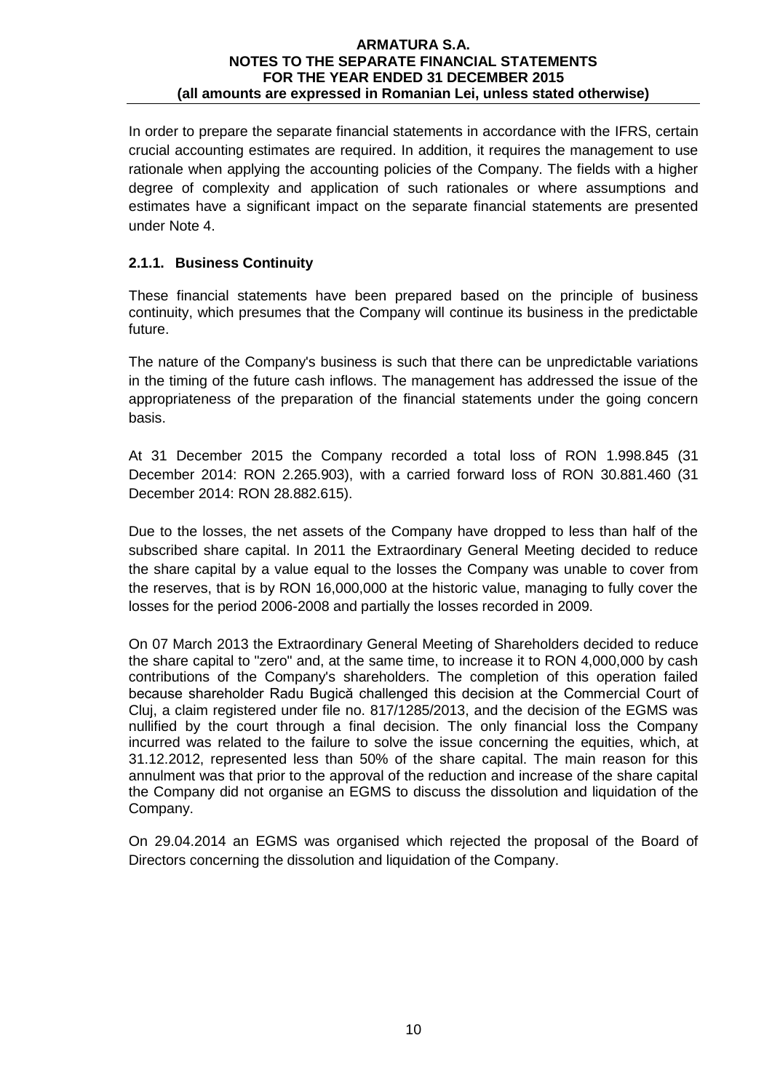In order to prepare the separate financial statements in accordance with the IFRS, certain crucial accounting estimates are required. In addition, it requires the management to use rationale when applying the accounting policies of the Company. The fields with a higher degree of complexity and application of such rationales or where assumptions and estimates have a significant impact on the separate financial statements are presented under Note 4.

# **2.1.1. Business Continuity**

These financial statements have been prepared based on the principle of business continuity, which presumes that the Company will continue its business in the predictable future.

The nature of the Company's business is such that there can be unpredictable variations in the timing of the future cash inflows. The management has addressed the issue of the appropriateness of the preparation of the financial statements under the going concern basis.

At 31 December 2015 the Company recorded a total loss of RON 1.998.845 (31 December 2014: RON 2.265.903), with a carried forward loss of RON 30.881.460 (31 December 2014: RON 28.882.615).

Due to the losses, the net assets of the Company have dropped to less than half of the subscribed share capital. In 2011 the Extraordinary General Meeting decided to reduce the share capital by a value equal to the losses the Company was unable to cover from the reserves, that is by RON 16,000,000 at the historic value, managing to fully cover the losses for the period 2006-2008 and partially the losses recorded in 2009.

On 07 March 2013 the Extraordinary General Meeting of Shareholders decided to reduce the share capital to "zero" and, at the same time, to increase it to RON 4,000,000 by cash contributions of the Company's shareholders. The completion of this operation failed because shareholder Radu Bugică challenged this decision at the Commercial Court of Cluj, a claim registered under file no. 817/1285/2013, and the decision of the EGMS was nullified by the court through a final decision. The only financial loss the Company incurred was related to the failure to solve the issue concerning the equities, which, at 31.12.2012, represented less than 50% of the share capital. The main reason for this annulment was that prior to the approval of the reduction and increase of the share capital the Company did not organise an EGMS to discuss the dissolution and liquidation of the Company.

On 29.04.2014 an EGMS was organised which rejected the proposal of the Board of Directors concerning the dissolution and liquidation of the Company.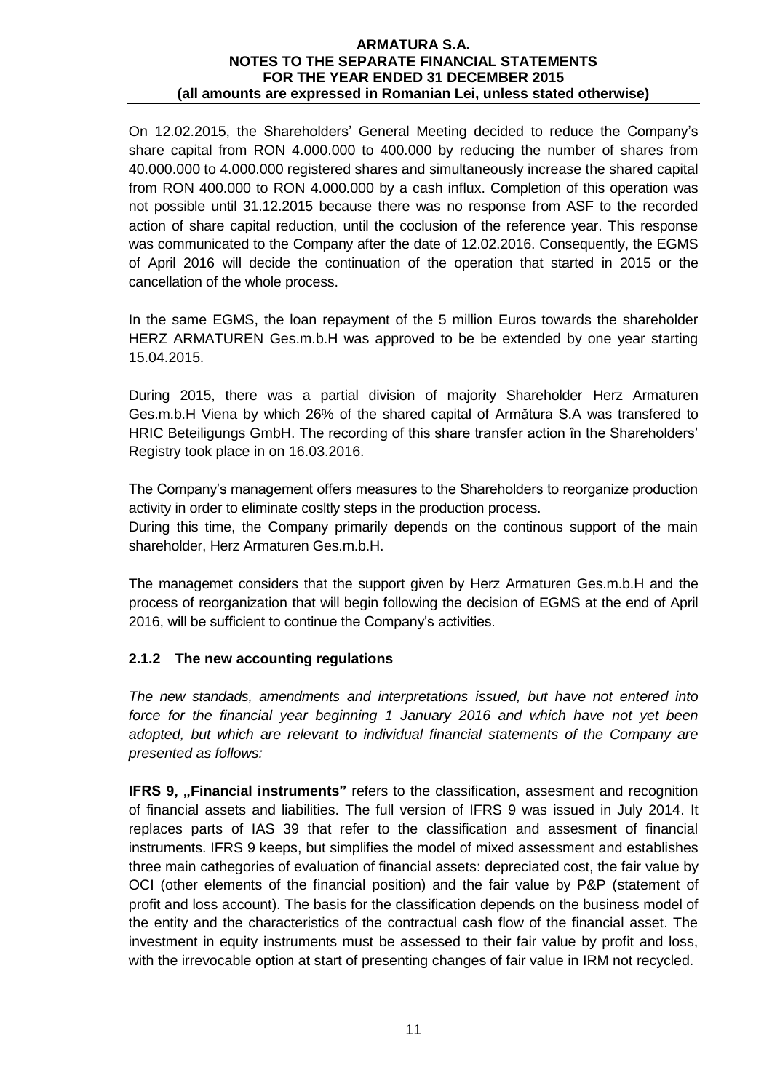On 12.02.2015, the Shareholders' General Meeting decided to reduce the Company's share capital from RON 4.000.000 to 400.000 by reducing the number of shares from 40.000.000 to 4.000.000 registered shares and simultaneously increase the shared capital from RON 400.000 to RON 4.000.000 by a cash influx. Completion of this operation was not possible until 31.12.2015 because there was no response from ASF to the recorded action of share capital reduction, until the coclusion of the reference year. This response was communicated to the Company after the date of 12.02.2016. Consequently, the EGMS of April 2016 will decide the continuation of the operation that started in 2015 or the cancellation of the whole process.

In the same EGMS, the loan repayment of the 5 million Euros towards the shareholder HERZ ARMATUREN Ges.m.b.H was approved to be be extended by one year starting 15.04.2015.

During 2015, there was a partial division of majority Shareholder Herz Armaturen Ges.m.b.H Viena by which 26% of the shared capital of Armătura S.A was transfered to HRIC Beteiligungs GmbH. The recording of this share transfer action în the Shareholders' Registry took place in on 16.03.2016.

The Company's management offers measures to the Shareholders to reorganize production activity in order to eliminate cosltly steps in the production process.

During this time, the Company primarily depends on the continous support of the main shareholder, Herz Armaturen Ges.m.b.H.

The managemet considers that the support given by Herz Armaturen Ges.m.b.H and the process of reorganization that will begin following the decision of EGMS at the end of April 2016, will be sufficient to continue the Company's activities.

# **2.1.2 The new accounting regulations**

*The new standads, amendments and interpretations issued, but have not entered into force for the financial year beginning 1 January 2016 and which have not yet been adopted, but which are relevant to individual financial statements of the Company are presented as follows:*

**IFRS 9, "Financial instruments**" refers to the classification, assesment and recognition of financial assets and liabilities. The full version of IFRS 9 was issued in July 2014. It replaces parts of IAS 39 that refer to the classification and assesment of financial instruments. IFRS 9 keeps, but simplifies the model of mixed assessment and establishes three main cathegories of evaluation of financial assets: depreciated cost, the fair value by OCI (other elements of the financial position) and the fair value by P&P (statement of profit and loss account). The basis for the classification depends on the business model of the entity and the characteristics of the contractual cash flow of the financial asset. The investment in equity instruments must be assessed to their fair value by profit and loss, with the irrevocable option at start of presenting changes of fair value in IRM not recycled.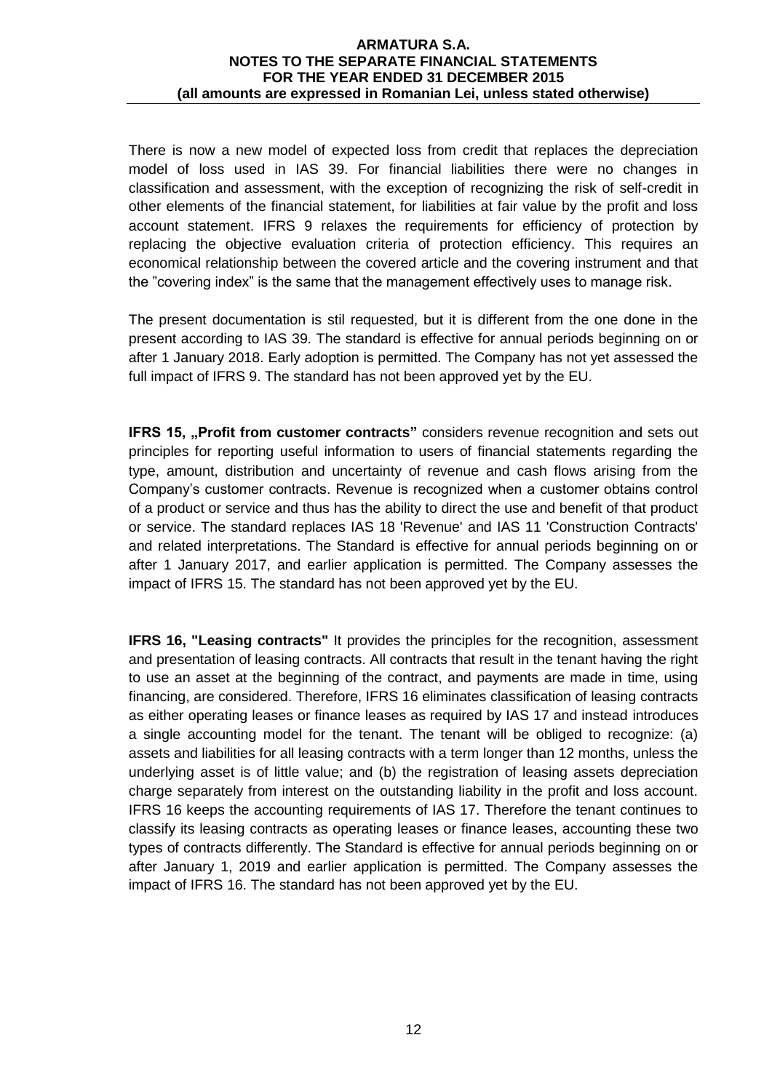There is now a new model of expected loss from credit that replaces the depreciation model of loss used in IAS 39. For financial liabilities there were no changes in classification and assessment, with the exception of recognizing the risk of self-credit in other elements of the financial statement, for liabilities at fair value by the profit and loss account statement. IFRS 9 relaxes the requirements for efficiency of protection by replacing the objective evaluation criteria of protection efficiency. This requires an economical relationship between the covered article and the covering instrument and that the "covering index" is the same that the management effectively uses to manage risk.

The present documentation is stil requested, but it is different from the one done in the present according to IAS 39. The standard is effective for annual periods beginning on or after 1 January 2018. Early adoption is permitted. The Company has not yet assessed the full impact of IFRS 9. The standard has not been approved yet by the EU.

**IFRS 15, "Profit from customer contracts"** considers revenue recognition and sets out principles for reporting useful information to users of financial statements regarding the type, amount, distribution and uncertainty of revenue and cash flows arising from the Company's customer contracts. Revenue is recognized when a customer obtains control of a product or service and thus has the ability to direct the use and benefit of that product or service. The standard replaces IAS 18 'Revenue' and IAS 11 'Construction Contracts' and related interpretations. The Standard is effective for annual periods beginning on or after 1 January 2017, and earlier application is permitted. The Company assesses the impact of IFRS 15. The standard has not been approved yet by the EU.

**IFRS 16, "Leasing contracts"** It provides the principles for the recognition, assessment and presentation of leasing contracts. All contracts that result in the tenant having the right to use an asset at the beginning of the contract, and payments are made in time, using financing, are considered. Therefore, IFRS 16 eliminates classification of leasing contracts as either operating leases or finance leases as required by IAS 17 and instead introduces a single accounting model for the tenant. The tenant will be obliged to recognize: (a) assets and liabilities for all leasing contracts with a term longer than 12 months, unless the underlying asset is of little value; and (b) the registration of leasing assets depreciation charge separately from interest on the outstanding liability in the profit and loss account. IFRS 16 keeps the accounting requirements of IAS 17. Therefore the tenant continues to classify its leasing contracts as operating leases or finance leases, accounting these two types of contracts differently. The Standard is effective for annual periods beginning on or after January 1, 2019 and earlier application is permitted. The Company assesses the impact of IFRS 16. The standard has not been approved yet by the EU.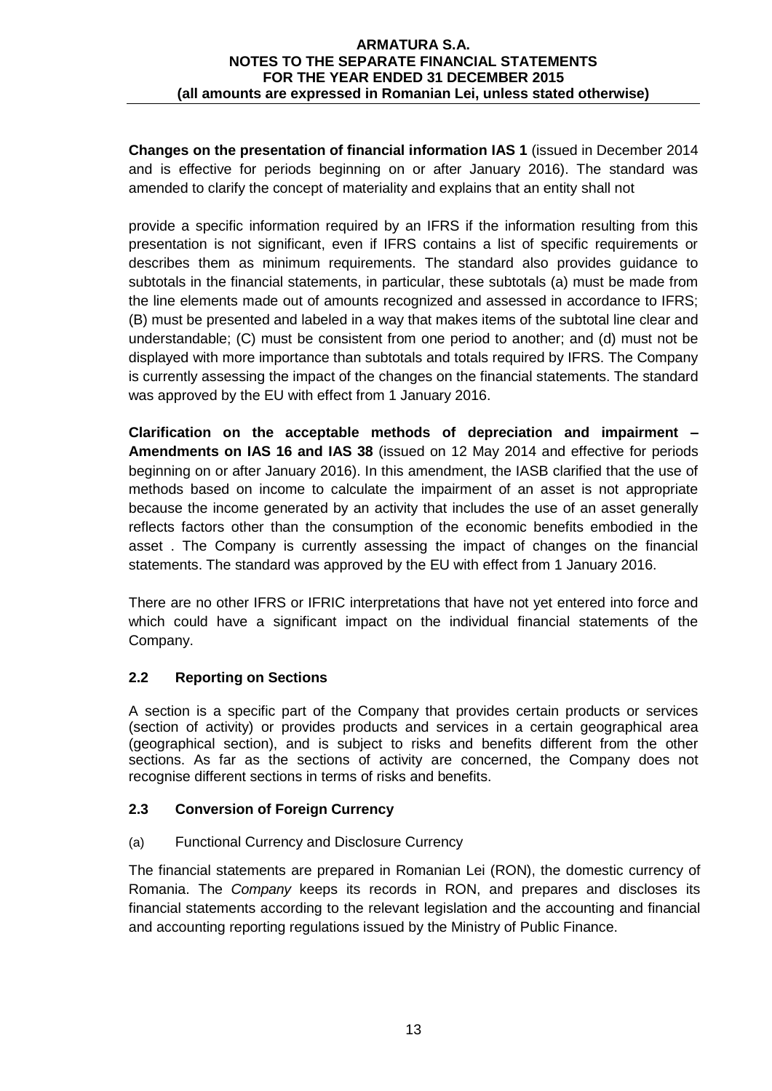**Changes on the presentation of financial information IAS 1** (issued in December 2014 and is effective for periods beginning on or after January 2016). The standard was amended to clarify the concept of materiality and explains that an entity shall not

provide a specific information required by an IFRS if the information resulting from this presentation is not significant, even if IFRS contains a list of specific requirements or describes them as minimum requirements. The standard also provides guidance to subtotals in the financial statements, in particular, these subtotals (a) must be made from the line elements made out of amounts recognized and assessed in accordance to IFRS; (B) must be presented and labeled in a way that makes items of the subtotal line clear and understandable; (C) must be consistent from one period to another; and (d) must not be displayed with more importance than subtotals and totals required by IFRS. The Company is currently assessing the impact of the changes on the financial statements. The standard was approved by the EU with effect from 1 January 2016.

**Clarification on the acceptable methods of depreciation and impairment – Amendments on IAS 16 and IAS 38** (issued on 12 May 2014 and effective for periods beginning on or after January 2016). In this amendment, the IASB clarified that the use of methods based on income to calculate the impairment of an asset is not appropriate because the income generated by an activity that includes the use of an asset generally reflects factors other than the consumption of the economic benefits embodied in the asset . The Company is currently assessing the impact of changes on the financial statements. The standard was approved by the EU with effect from 1 January 2016.

There are no other IFRS or IFRIC interpretations that have not yet entered into force and which could have a significant impact on the individual financial statements of the Company.

# **2.2 Reporting on Sections**

A section is a specific part of the Company that provides certain products or services (section of activity) or provides products and services in a certain geographical area (geographical section), and is subject to risks and benefits different from the other sections. As far as the sections of activity are concerned, the Company does not recognise different sections in terms of risks and benefits.

# **2.3 Conversion of Foreign Currency**

# (a) Functional Currency and Disclosure Currency

The financial statements are prepared in Romanian Lei (RON), the domestic currency of Romania. The *Company* keeps its records in RON, and prepares and discloses its financial statements according to the relevant legislation and the accounting and financial and accounting reporting regulations issued by the Ministry of Public Finance.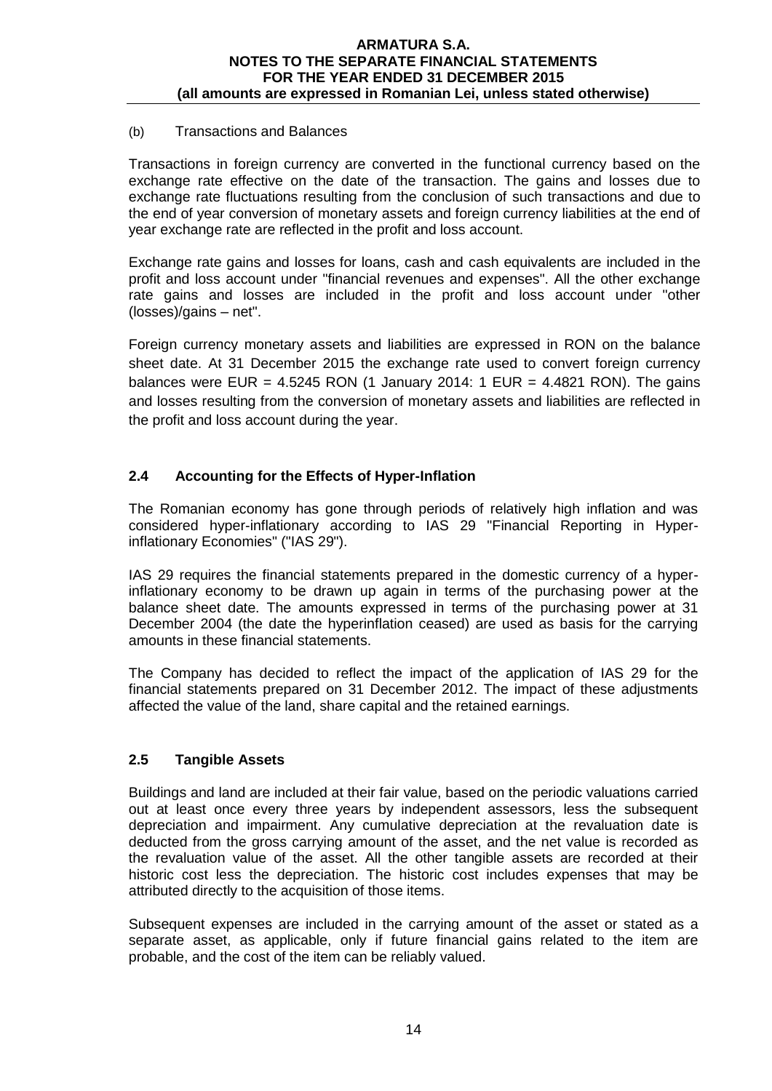## (b) Transactions and Balances

Transactions in foreign currency are converted in the functional currency based on the exchange rate effective on the date of the transaction. The gains and losses due to exchange rate fluctuations resulting from the conclusion of such transactions and due to the end of year conversion of monetary assets and foreign currency liabilities at the end of year exchange rate are reflected in the profit and loss account.

Exchange rate gains and losses for loans, cash and cash equivalents are included in the profit and loss account under "financial revenues and expenses". All the other exchange rate gains and losses are included in the profit and loss account under "other (losses)/gains – net".

Foreign currency monetary assets and liabilities are expressed in RON on the balance sheet date. At 31 December 2015 the exchange rate used to convert foreign currency balances were EUR =  $4.5245$  RON (1 January 2014: 1 EUR =  $4.4821$  RON). The gains and losses resulting from the conversion of monetary assets and liabilities are reflected in the profit and loss account during the year.

# **2.4 Accounting for the Effects of Hyper-Inflation**

The Romanian economy has gone through periods of relatively high inflation and was considered hyper-inflationary according to IAS 29 "Financial Reporting in Hyperinflationary Economies" ("IAS 29").

IAS 29 requires the financial statements prepared in the domestic currency of a hyperinflationary economy to be drawn up again in terms of the purchasing power at the balance sheet date. The amounts expressed in terms of the purchasing power at 31 December 2004 (the date the hyperinflation ceased) are used as basis for the carrying amounts in these financial statements.

The Company has decided to reflect the impact of the application of IAS 29 for the financial statements prepared on 31 December 2012. The impact of these adjustments affected the value of the land, share capital and the retained earnings.

## **2.5 Tangible Assets**

Buildings and land are included at their fair value, based on the periodic valuations carried out at least once every three years by independent assessors, less the subsequent depreciation and impairment. Any cumulative depreciation at the revaluation date is deducted from the gross carrying amount of the asset, and the net value is recorded as the revaluation value of the asset. All the other tangible assets are recorded at their historic cost less the depreciation. The historic cost includes expenses that may be attributed directly to the acquisition of those items.

Subsequent expenses are included in the carrying amount of the asset or stated as a separate asset, as applicable, only if future financial gains related to the item are probable, and the cost of the item can be reliably valued.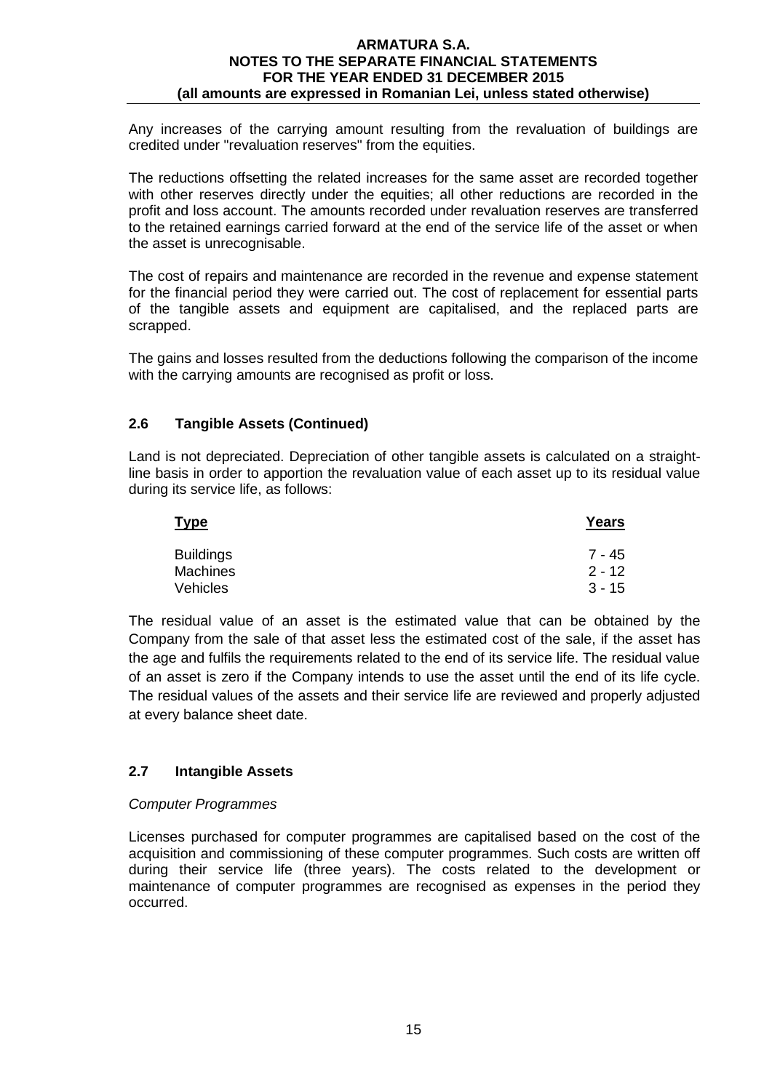Any increases of the carrying amount resulting from the revaluation of buildings are credited under "revaluation reserves" from the equities.

The reductions offsetting the related increases for the same asset are recorded together with other reserves directly under the equities; all other reductions are recorded in the profit and loss account. The amounts recorded under revaluation reserves are transferred to the retained earnings carried forward at the end of the service life of the asset or when the asset is unrecognisable.

The cost of repairs and maintenance are recorded in the revenue and expense statement for the financial period they were carried out. The cost of replacement for essential parts of the tangible assets and equipment are capitalised, and the replaced parts are scrapped.

The gains and losses resulted from the deductions following the comparison of the income with the carrying amounts are recognised as profit or loss.

# **2.6 Tangible Assets (Continued)**

Land is not depreciated. Depreciation of other tangible assets is calculated on a straightline basis in order to apportion the revaluation value of each asset up to its residual value during its service life, as follows:

| Type             | Years    |
|------------------|----------|
| <b>Buildings</b> | 7 - 45   |
| <b>Machines</b>  | $2 - 12$ |
| Vehicles         | $3 - 15$ |

The residual value of an asset is the estimated value that can be obtained by the Company from the sale of that asset less the estimated cost of the sale, if the asset has the age and fulfils the requirements related to the end of its service life. The residual value of an asset is zero if the Company intends to use the asset until the end of its life cycle. The residual values of the assets and their service life are reviewed and properly adjusted at every balance sheet date.

## **2.7 Intangible Assets**

## *Computer Programmes*

Licenses purchased for computer programmes are capitalised based on the cost of the acquisition and commissioning of these computer programmes. Such costs are written off during their service life (three years). The costs related to the development or maintenance of computer programmes are recognised as expenses in the period they occurred.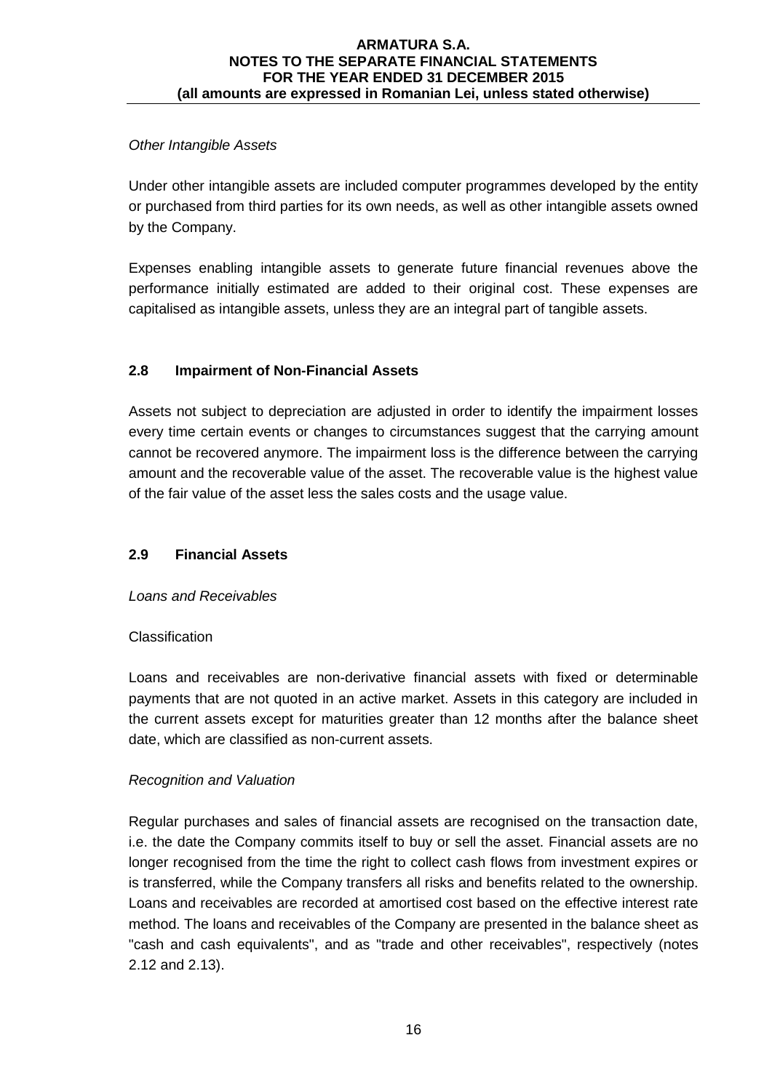# *Other Intangible Assets*

Under other intangible assets are included computer programmes developed by the entity or purchased from third parties for its own needs, as well as other intangible assets owned by the Company.

Expenses enabling intangible assets to generate future financial revenues above the performance initially estimated are added to their original cost. These expenses are capitalised as intangible assets, unless they are an integral part of tangible assets.

# **2.8 Impairment of Non-Financial Assets**

Assets not subject to depreciation are adjusted in order to identify the impairment losses every time certain events or changes to circumstances suggest that the carrying amount cannot be recovered anymore. The impairment loss is the difference between the carrying amount and the recoverable value of the asset. The recoverable value is the highest value of the fair value of the asset less the sales costs and the usage value.

# **2.9 Financial Assets**

# *Loans and Receivables*

# **Classification**

Loans and receivables are non-derivative financial assets with fixed or determinable payments that are not quoted in an active market. Assets in this category are included in the current assets except for maturities greater than 12 months after the balance sheet date, which are classified as non-current assets.

# *Recognition and Valuation*

Regular purchases and sales of financial assets are recognised on the transaction date, i.e. the date the Company commits itself to buy or sell the asset. Financial assets are no longer recognised from the time the right to collect cash flows from investment expires or is transferred, while the Company transfers all risks and benefits related to the ownership. Loans and receivables are recorded at amortised cost based on the effective interest rate method. The loans and receivables of the Company are presented in the balance sheet as "cash and cash equivalents", and as "trade and other receivables", respectively (notes 2.12 and 2.13).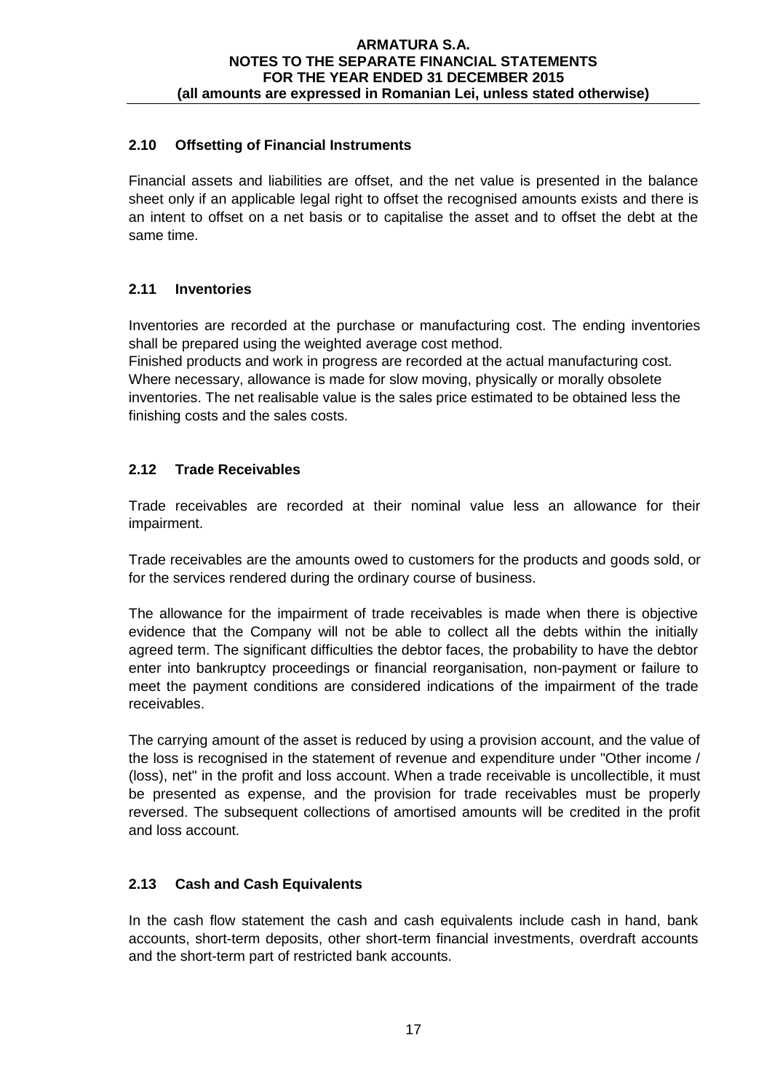# **2.10 Offsetting of Financial Instruments**

Financial assets and liabilities are offset, and the net value is presented in the balance sheet only if an applicable legal right to offset the recognised amounts exists and there is an intent to offset on a net basis or to capitalise the asset and to offset the debt at the same time.

# **2.11 Inventories**

Inventories are recorded at the purchase or manufacturing cost. The ending inventories shall be prepared using the weighted average cost method.

Finished products and work in progress are recorded at the actual manufacturing cost. Where necessary, allowance is made for slow moving, physically or morally obsolete inventories. The net realisable value is the sales price estimated to be obtained less the finishing costs and the sales costs.

# **2.12 Trade Receivables**

Trade receivables are recorded at their nominal value less an allowance for their impairment.

Trade receivables are the amounts owed to customers for the products and goods sold, or for the services rendered during the ordinary course of business.

The allowance for the impairment of trade receivables is made when there is objective evidence that the Company will not be able to collect all the debts within the initially agreed term. The significant difficulties the debtor faces, the probability to have the debtor enter into bankruptcy proceedings or financial reorganisation, non-payment or failure to meet the payment conditions are considered indications of the impairment of the trade receivables.

The carrying amount of the asset is reduced by using a provision account, and the value of the loss is recognised in the statement of revenue and expenditure under "Other income / (loss), net" in the profit and loss account. When a trade receivable is uncollectible, it must be presented as expense, and the provision for trade receivables must be properly reversed. The subsequent collections of amortised amounts will be credited in the profit and loss account.

# **2.13 Cash and Cash Equivalents**

In the cash flow statement the cash and cash equivalents include cash in hand, bank accounts, short-term deposits, other short-term financial investments, overdraft accounts and the short-term part of restricted bank accounts.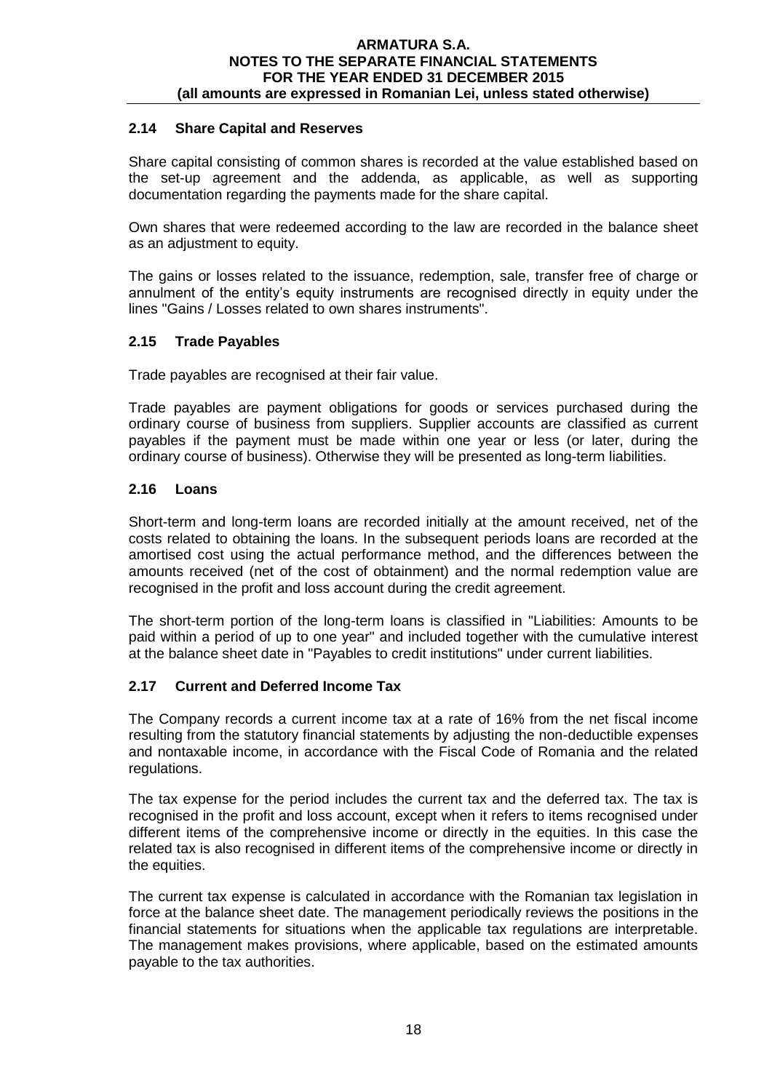# **2.14 Share Capital and Reserves**

Share capital consisting of common shares is recorded at the value established based on the set-up agreement and the addenda, as applicable, as well as supporting documentation regarding the payments made for the share capital.

Own shares that were redeemed according to the law are recorded in the balance sheet as an adjustment to equity.

The gains or losses related to the issuance, redemption, sale, transfer free of charge or annulment of the entity's equity instruments are recognised directly in equity under the lines "Gains / Losses related to own shares instruments".

# **2.15 Trade Payables**

Trade payables are recognised at their fair value.

Trade payables are payment obligations for goods or services purchased during the ordinary course of business from suppliers. Supplier accounts are classified as current payables if the payment must be made within one year or less (or later, during the ordinary course of business). Otherwise they will be presented as long-term liabilities.

# **2.16 Loans**

Short-term and long-term loans are recorded initially at the amount received, net of the costs related to obtaining the loans. In the subsequent periods loans are recorded at the amortised cost using the actual performance method, and the differences between the amounts received (net of the cost of obtainment) and the normal redemption value are recognised in the profit and loss account during the credit agreement.

The short-term portion of the long-term loans is classified in "Liabilities: Amounts to be paid within a period of up to one year" and included together with the cumulative interest at the balance sheet date in "Payables to credit institutions" under current liabilities.

## **2.17 Current and Deferred Income Tax**

The Company records a current income tax at a rate of 16% from the net fiscal income resulting from the statutory financial statements by adjusting the non-deductible expenses and nontaxable income, in accordance with the Fiscal Code of Romania and the related regulations.

The tax expense for the period includes the current tax and the deferred tax. The tax is recognised in the profit and loss account, except when it refers to items recognised under different items of the comprehensive income or directly in the equities. In this case the related tax is also recognised in different items of the comprehensive income or directly in the equities.

The current tax expense is calculated in accordance with the Romanian tax legislation in force at the balance sheet date. The management periodically reviews the positions in the financial statements for situations when the applicable tax regulations are interpretable. The management makes provisions, where applicable, based on the estimated amounts payable to the tax authorities.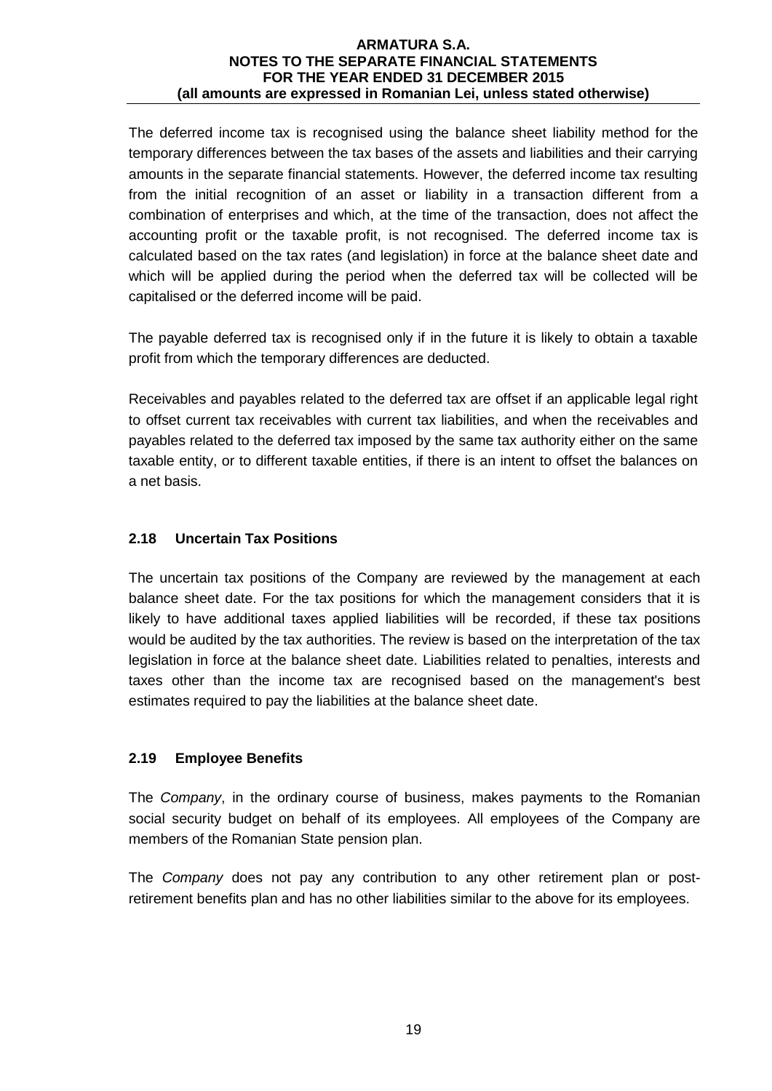The deferred income tax is recognised using the balance sheet liability method for the temporary differences between the tax bases of the assets and liabilities and their carrying amounts in the separate financial statements. However, the deferred income tax resulting from the initial recognition of an asset or liability in a transaction different from a combination of enterprises and which, at the time of the transaction, does not affect the accounting profit or the taxable profit, is not recognised. The deferred income tax is calculated based on the tax rates (and legislation) in force at the balance sheet date and which will be applied during the period when the deferred tax will be collected will be capitalised or the deferred income will be paid.

The payable deferred tax is recognised only if in the future it is likely to obtain a taxable profit from which the temporary differences are deducted.

Receivables and payables related to the deferred tax are offset if an applicable legal right to offset current tax receivables with current tax liabilities, and when the receivables and payables related to the deferred tax imposed by the same tax authority either on the same taxable entity, or to different taxable entities, if there is an intent to offset the balances on a net basis.

# **2.18 Uncertain Tax Positions**

The uncertain tax positions of the Company are reviewed by the management at each balance sheet date. For the tax positions for which the management considers that it is likely to have additional taxes applied liabilities will be recorded, if these tax positions would be audited by the tax authorities. The review is based on the interpretation of the tax legislation in force at the balance sheet date. Liabilities related to penalties, interests and taxes other than the income tax are recognised based on the management's best estimates required to pay the liabilities at the balance sheet date.

# **2.19 Employee Benefits**

The *Company*, in the ordinary course of business, makes payments to the Romanian social security budget on behalf of its employees. All employees of the Company are members of the Romanian State pension plan.

The *Company* does not pay any contribution to any other retirement plan or postretirement benefits plan and has no other liabilities similar to the above for its employees.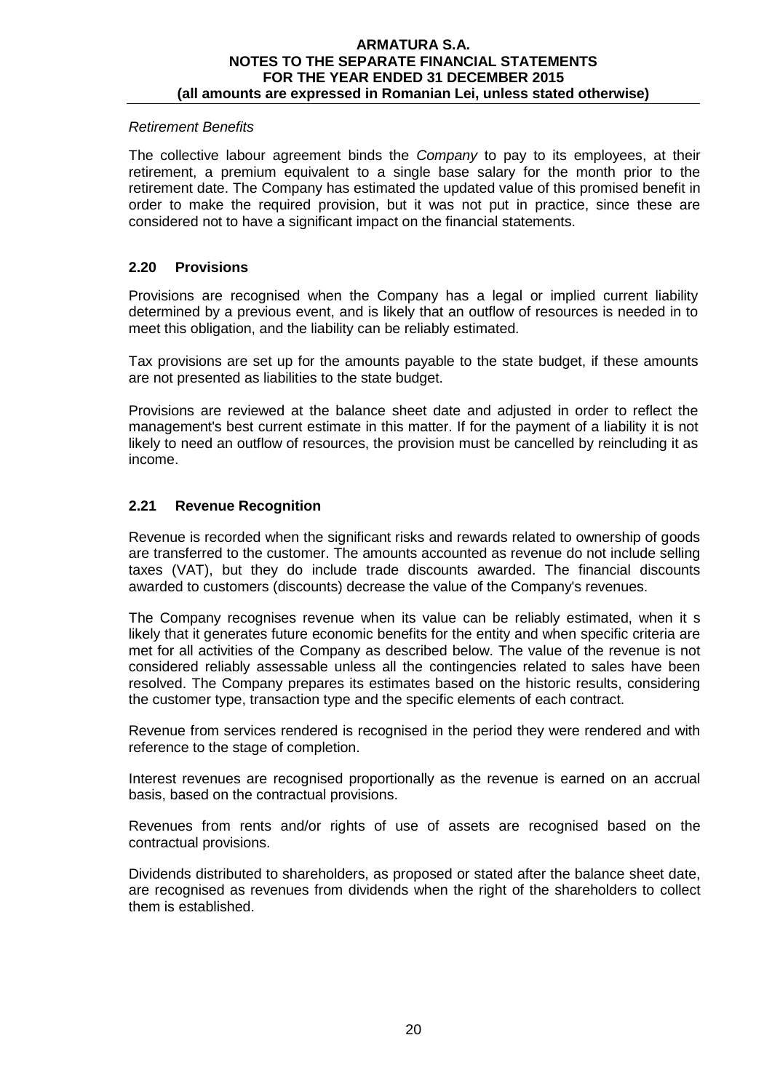## *Retirement Benefits*

The collective labour agreement binds the *Company* to pay to its employees, at their retirement, a premium equivalent to a single base salary for the month prior to the retirement date. The Company has estimated the updated value of this promised benefit in order to make the required provision, but it was not put in practice, since these are considered not to have a significant impact on the financial statements.

## **2.20 Provisions**

Provisions are recognised when the Company has a legal or implied current liability determined by a previous event, and is likely that an outflow of resources is needed in to meet this obligation, and the liability can be reliably estimated.

Tax provisions are set up for the amounts payable to the state budget, if these amounts are not presented as liabilities to the state budget.

Provisions are reviewed at the balance sheet date and adjusted in order to reflect the management's best current estimate in this matter. If for the payment of a liability it is not likely to need an outflow of resources, the provision must be cancelled by reincluding it as income.

# **2.21 Revenue Recognition**

Revenue is recorded when the significant risks and rewards related to ownership of goods are transferred to the customer. The amounts accounted as revenue do not include selling taxes (VAT), but they do include trade discounts awarded. The financial discounts awarded to customers (discounts) decrease the value of the Company's revenues.

The Company recognises revenue when its value can be reliably estimated, when it s likely that it generates future economic benefits for the entity and when specific criteria are met for all activities of the Company as described below. The value of the revenue is not considered reliably assessable unless all the contingencies related to sales have been resolved. The Company prepares its estimates based on the historic results, considering the customer type, transaction type and the specific elements of each contract.

Revenue from services rendered is recognised in the period they were rendered and with reference to the stage of completion.

Interest revenues are recognised proportionally as the revenue is earned on an accrual basis, based on the contractual provisions.

Revenues from rents and/or rights of use of assets are recognised based on the contractual provisions.

Dividends distributed to shareholders, as proposed or stated after the balance sheet date, are recognised as revenues from dividends when the right of the shareholders to collect them is established.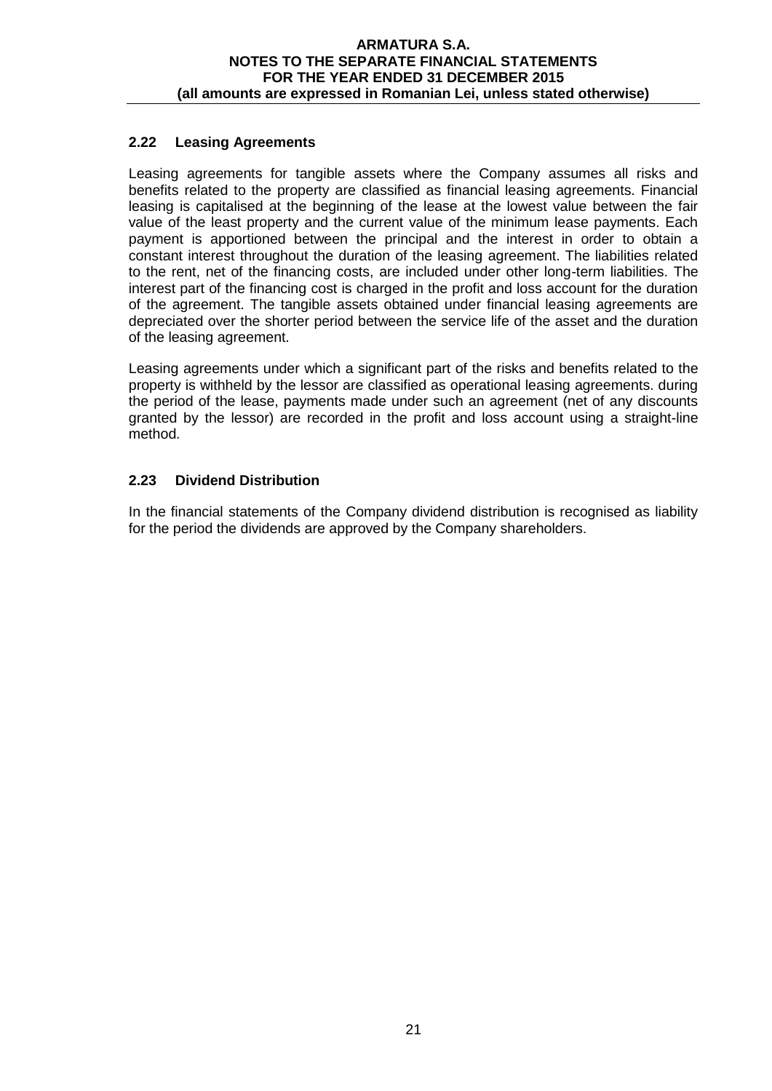# **2.22 Leasing Agreements**

Leasing agreements for tangible assets where the Company assumes all risks and benefits related to the property are classified as financial leasing agreements. Financial leasing is capitalised at the beginning of the lease at the lowest value between the fair value of the least property and the current value of the minimum lease payments. Each payment is apportioned between the principal and the interest in order to obtain a constant interest throughout the duration of the leasing agreement. The liabilities related to the rent, net of the financing costs, are included under other long-term liabilities. The interest part of the financing cost is charged in the profit and loss account for the duration of the agreement. The tangible assets obtained under financial leasing agreements are depreciated over the shorter period between the service life of the asset and the duration of the leasing agreement.

Leasing agreements under which a significant part of the risks and benefits related to the property is withheld by the lessor are classified as operational leasing agreements. during the period of the lease, payments made under such an agreement (net of any discounts granted by the lessor) are recorded in the profit and loss account using a straight-line method.

# **2.23 Dividend Distribution**

In the financial statements of the Company dividend distribution is recognised as liability for the period the dividends are approved by the Company shareholders.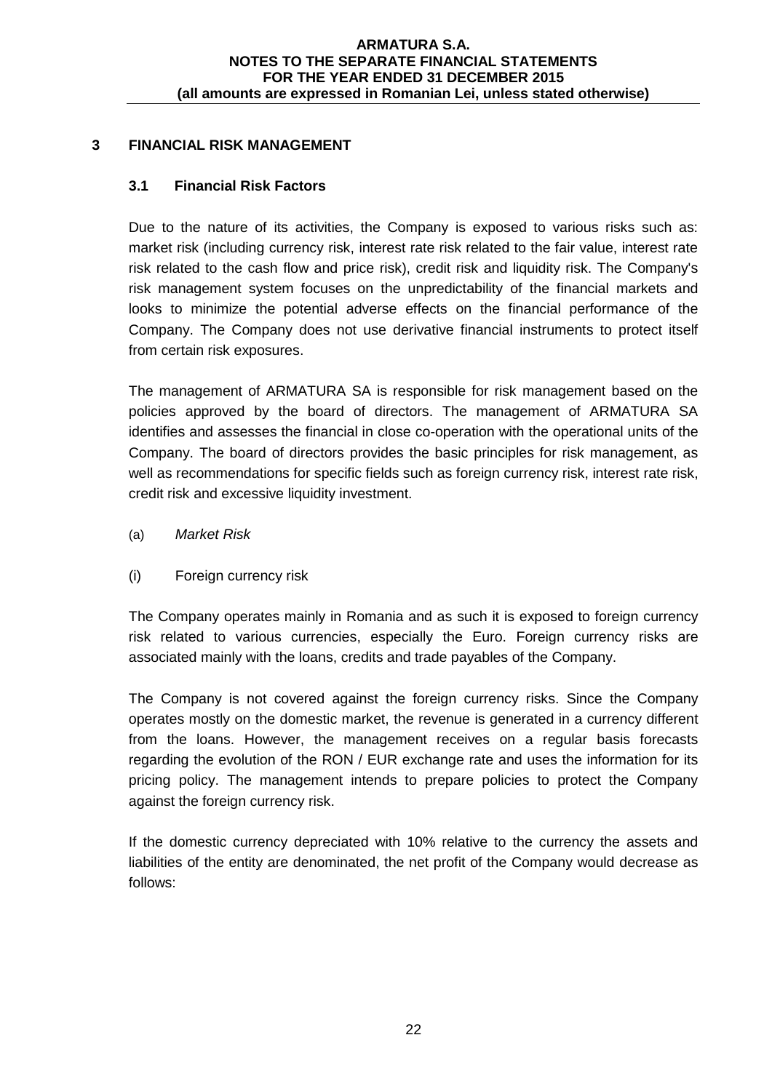# **3 FINANCIAL RISK MANAGEMENT**

# **3.1 Financial Risk Factors**

Due to the nature of its activities, the Company is exposed to various risks such as: market risk (including currency risk, interest rate risk related to the fair value, interest rate risk related to the cash flow and price risk), credit risk and liquidity risk. The Company's risk management system focuses on the unpredictability of the financial markets and looks to minimize the potential adverse effects on the financial performance of the Company. The Company does not use derivative financial instruments to protect itself from certain risk exposures.

The management of ARMATURA SA is responsible for risk management based on the policies approved by the board of directors. The management of ARMATURA SA identifies and assesses the financial in close co-operation with the operational units of the Company. The board of directors provides the basic principles for risk management, as well as recommendations for specific fields such as foreign currency risk, interest rate risk, credit risk and excessive liquidity investment.

- (a) *Market Risk*
- (i) Foreign currency risk

The Company operates mainly in Romania and as such it is exposed to foreign currency risk related to various currencies, especially the Euro. Foreign currency risks are associated mainly with the loans, credits and trade payables of the Company.

The Company is not covered against the foreign currency risks. Since the Company operates mostly on the domestic market, the revenue is generated in a currency different from the loans. However, the management receives on a regular basis forecasts regarding the evolution of the RON / EUR exchange rate and uses the information for its pricing policy. The management intends to prepare policies to protect the Company against the foreign currency risk.

If the domestic currency depreciated with 10% relative to the currency the assets and liabilities of the entity are denominated, the net profit of the Company would decrease as follows: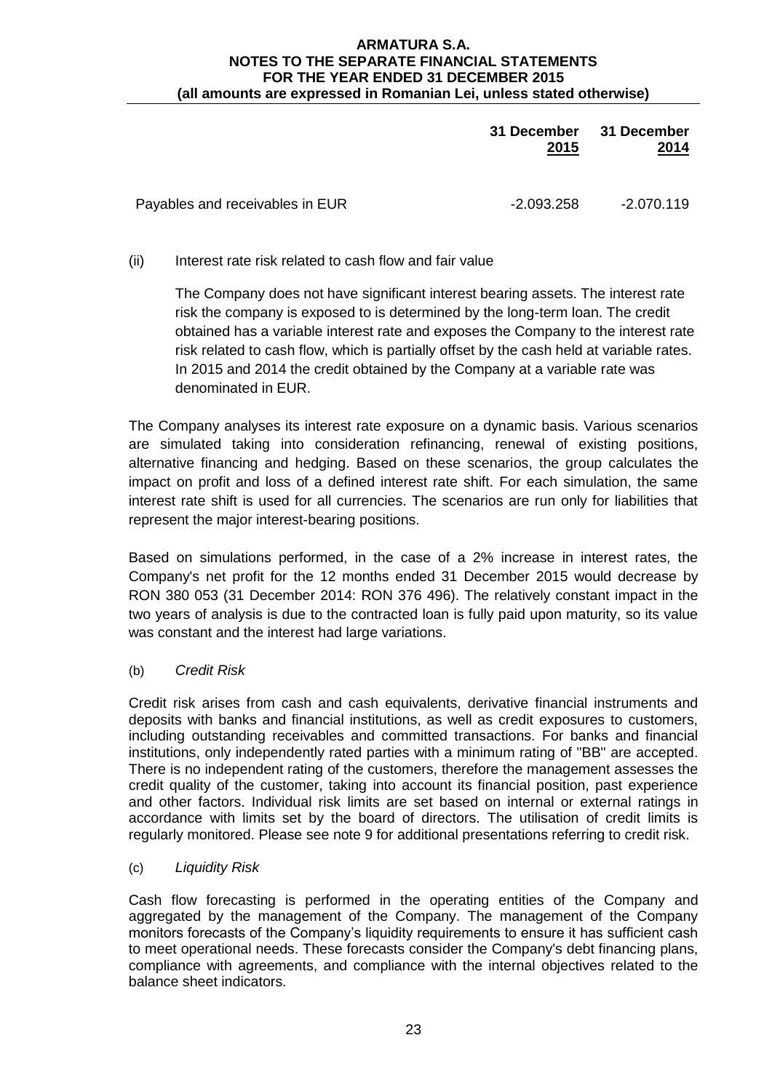|                                 | 31 December 31 December<br>2015 | 2014       |
|---------------------------------|---------------------------------|------------|
| Payables and receivables in EUR | -2.093.258                      | -2.070.119 |

(ii) Interest rate risk related to cash flow and fair value

The Company does not have significant interest bearing assets. The interest rate risk the company is exposed to is determined by the long-term loan. The credit obtained has a variable interest rate and exposes the Company to the interest rate risk related to cash flow, which is partially offset by the cash held at variable rates. In 2015 and 2014 the credit obtained by the Company at a variable rate was denominated in EUR.

The Company analyses its interest rate exposure on a dynamic basis. Various scenarios are simulated taking into consideration refinancing, renewal of existing positions, alternative financing and hedging. Based on these scenarios, the group calculates the impact on profit and loss of a defined interest rate shift. For each simulation, the same interest rate shift is used for all currencies. The scenarios are run only for liabilities that represent the major interest-bearing positions.

Based on simulations performed, in the case of a 2% increase in interest rates, the Company's net profit for the 12 months ended 31 December 2015 would decrease by RON 380 053 (31 December 2014: RON 376 496). The relatively constant impact in the two years of analysis is due to the contracted loan is fully paid upon maturity, so its value was constant and the interest had large variations.

(b) *Credit Risk*

Credit risk arises from cash and cash equivalents, derivative financial instruments and deposits with banks and financial institutions, as well as credit exposures to customers, including outstanding receivables and committed transactions. For banks and financial institutions, only independently rated parties with a minimum rating of "BB" are accepted. There is no independent rating of the customers, therefore the management assesses the credit quality of the customer, taking into account its financial position, past experience and other factors. Individual risk limits are set based on internal or external ratings in accordance with limits set by the board of directors. The utilisation of credit limits is regularly monitored. Please see note 9 for additional presentations referring to credit risk.

(c) *Liquidity Risk*

Cash flow forecasting is performed in the operating entities of the Company and aggregated by the management of the Company. The management of the Company monitors forecasts of the Company's liquidity requirements to ensure it has sufficient cash to meet operational needs. These forecasts consider the Company's debt financing plans, compliance with agreements, and compliance with the internal objectives related to the balance sheet indicators.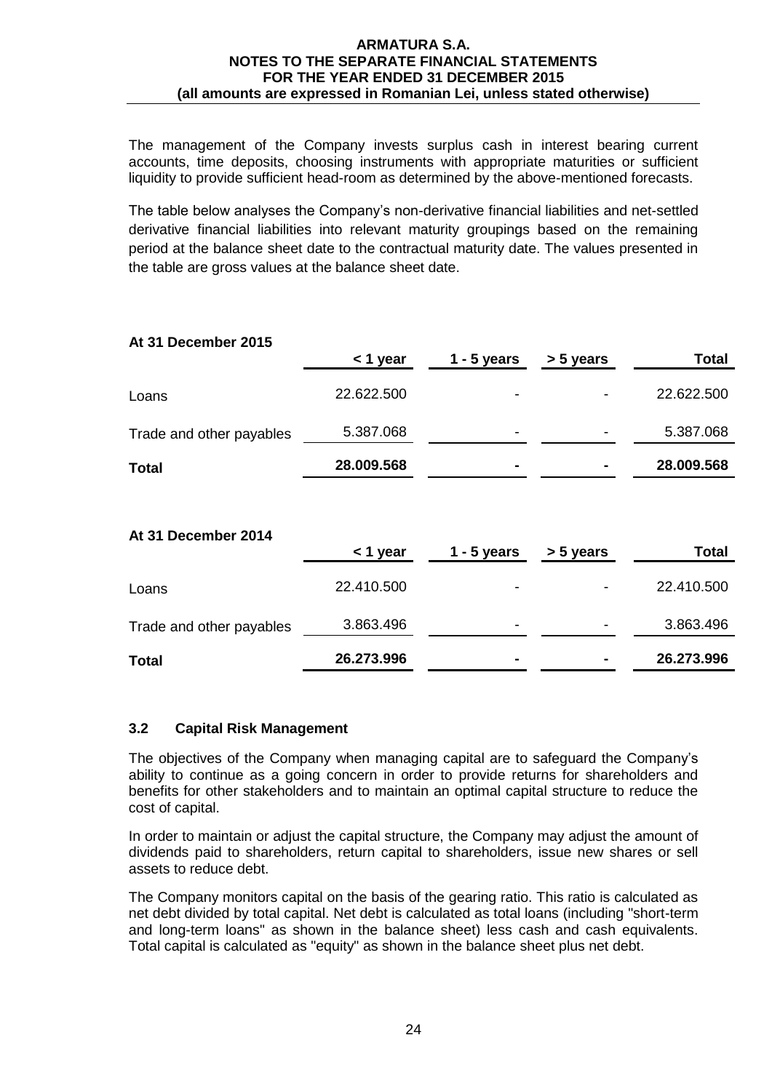The management of the Company invests surplus cash in interest bearing current accounts, time deposits, choosing instruments with appropriate maturities or sufficient liquidity to provide sufficient head-room as determined by the above-mentioned forecasts.

The table below analyses the Company's non-derivative financial liabilities and net-settled derivative financial liabilities into relevant maturity groupings based on the remaining period at the balance sheet date to the contractual maturity date. The values presented in the table are gross values at the balance sheet date.

|                          | $<$ 1 year | $1 - 5$ years | > 5 years | Total        |
|--------------------------|------------|---------------|-----------|--------------|
| Loans                    | 22.622.500 |               |           | 22.622.500   |
| Trade and other payables | 5.387.068  |               |           | 5.387.068    |
| <b>Total</b>             | 28.009.568 |               |           | 28.009.568   |
|                          |            |               |           |              |
| At 31 December 2014      | $<$ 1 year | $1 - 5$ years | > 5 years | <b>Total</b> |
| Loans                    | 22.410.500 |               |           | 22.410.500   |
| Trade and other payables | 3.863.496  |               |           | 3.863.496    |

**Total 26.273.996 - - 26.273.996**

# **At 31 December 2015**

## **3.2 Capital Risk Management**

The objectives of the Company when managing capital are to safeguard the Company's ability to continue as a going concern in order to provide returns for shareholders and benefits for other stakeholders and to maintain an optimal capital structure to reduce the cost of capital.

In order to maintain or adjust the capital structure, the Company may adjust the amount of dividends paid to shareholders, return capital to shareholders, issue new shares or sell assets to reduce debt.

The Company monitors capital on the basis of the gearing ratio. This ratio is calculated as net debt divided by total capital. Net debt is calculated as total loans (including "short-term and long-term loans" as shown in the balance sheet) less cash and cash equivalents. Total capital is calculated as "equity" as shown in the balance sheet plus net debt.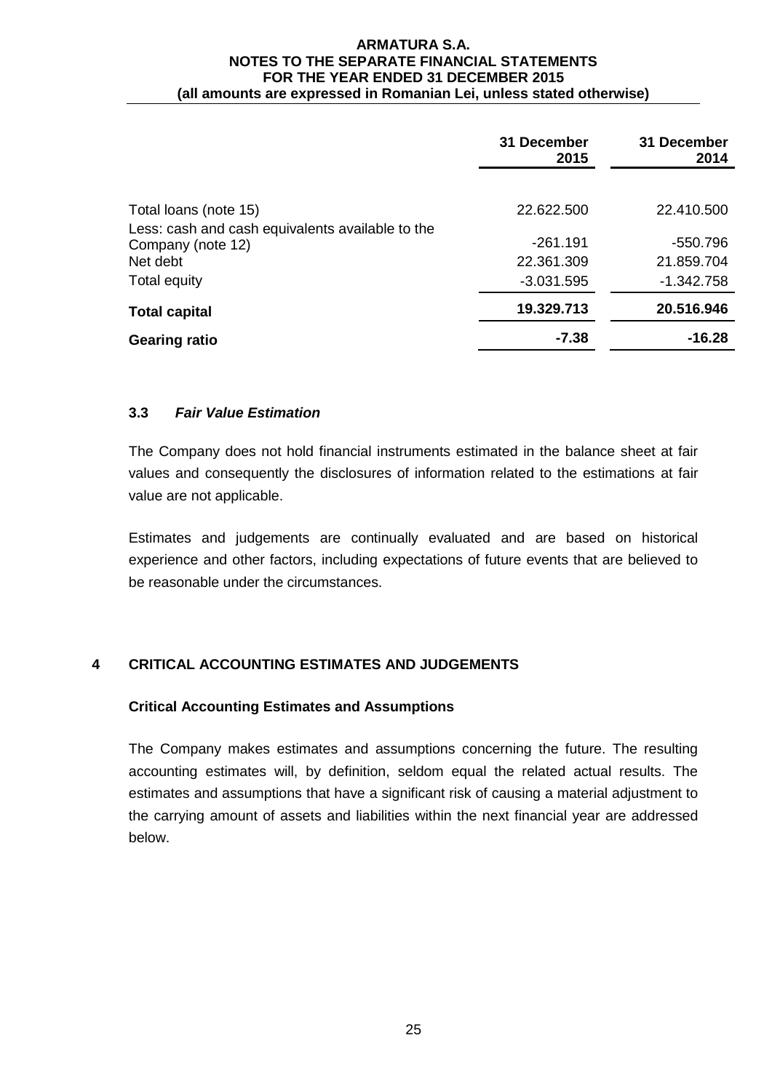|                                                  | 31 December<br>2015 | 31 December<br>2014 |
|--------------------------------------------------|---------------------|---------------------|
|                                                  |                     |                     |
| Total loans (note 15)                            | 22.622.500          | 22.410.500          |
| Less: cash and cash equivalents available to the |                     |                     |
| Company (note 12)                                | $-261.191$          | -550.796            |
| Net debt                                         | 22.361.309          | 21.859.704          |
| Total equity                                     | $-3.031.595$        | $-1.342.758$        |
| <b>Total capital</b>                             | 19.329.713          | 20.516.946          |
| <b>Gearing ratio</b>                             | $-7.38$             | $-16.28$            |

# **3.3** *Fair Value Estimation*

The Company does not hold financial instruments estimated in the balance sheet at fair values and consequently the disclosures of information related to the estimations at fair value are not applicable.

Estimates and judgements are continually evaluated and are based on historical experience and other factors, including expectations of future events that are believed to be reasonable under the circumstances.

# **4 CRITICAL ACCOUNTING ESTIMATES AND JUDGEMENTS**

# **Critical Accounting Estimates and Assumptions**

The Company makes estimates and assumptions concerning the future. The resulting accounting estimates will, by definition, seldom equal the related actual results. The estimates and assumptions that have a significant risk of causing a material adjustment to the carrying amount of assets and liabilities within the next financial year are addressed below.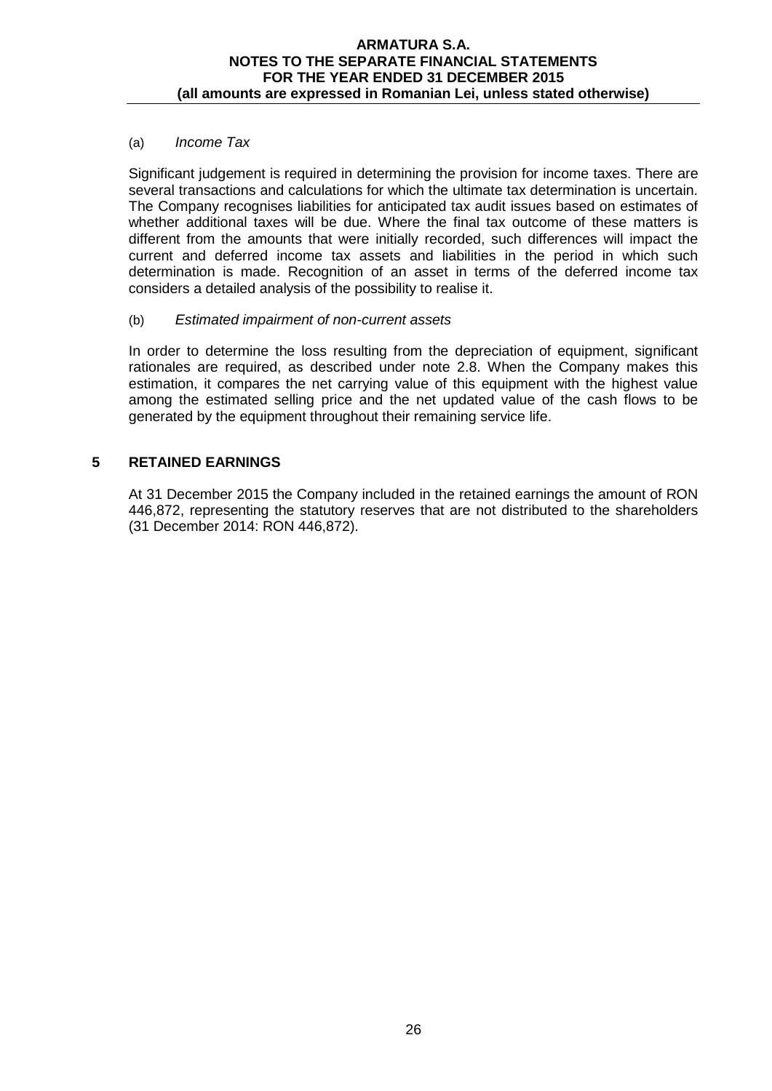## (a) *Income Tax*

Significant judgement is required in determining the provision for income taxes. There are several transactions and calculations for which the ultimate tax determination is uncertain. The Company recognises liabilities for anticipated tax audit issues based on estimates of whether additional taxes will be due. Where the final tax outcome of these matters is different from the amounts that were initially recorded, such differences will impact the current and deferred income tax assets and liabilities in the period in which such determination is made. Recognition of an asset in terms of the deferred income tax considers a detailed analysis of the possibility to realise it.

#### (b) *Estimated impairment of non-current assets*

In order to determine the loss resulting from the depreciation of equipment, significant rationales are required, as described under note 2.8. When the Company makes this estimation, it compares the net carrying value of this equipment with the highest value among the estimated selling price and the net updated value of the cash flows to be generated by the equipment throughout their remaining service life.

## **5 RETAINED EARNINGS**

At 31 December 2015 the Company included in the retained earnings the amount of RON 446,872, representing the statutory reserves that are not distributed to the shareholders (31 December 2014: RON 446,872).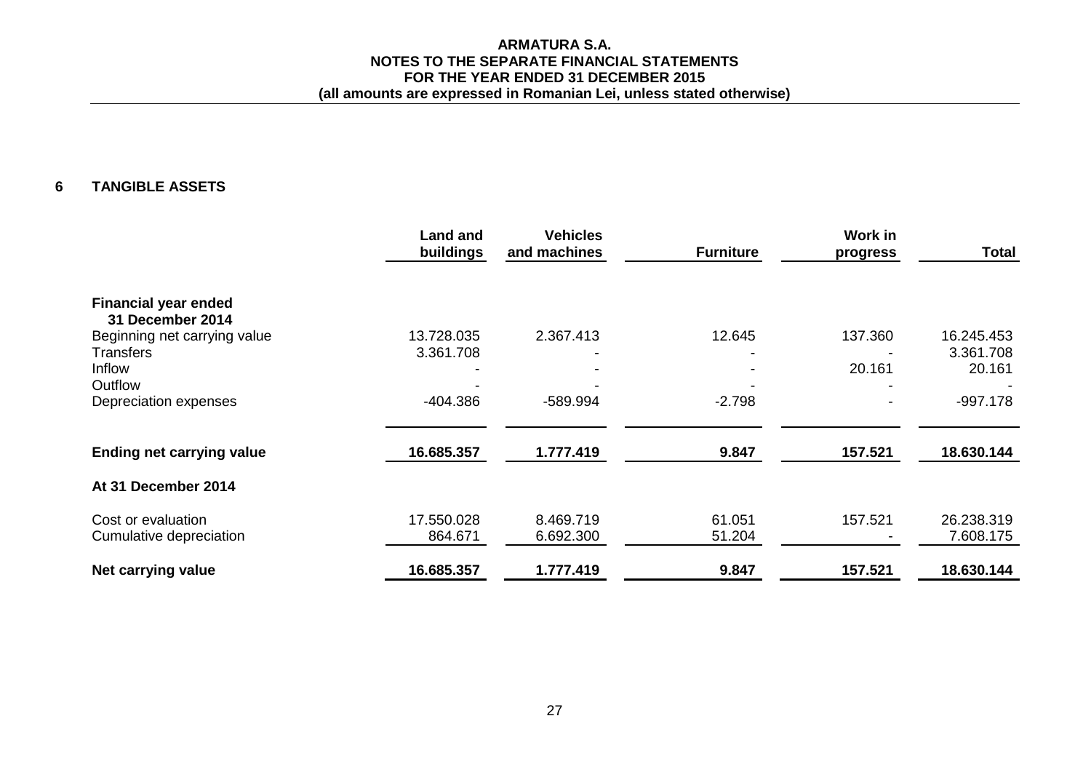## **6 TANGIBLE ASSETS**

|                                  | <b>Land and</b><br>buildings | <b>Vehicles</b><br>and machines | <b>Furniture</b> | Work in<br>progress | <b>Total</b> |
|----------------------------------|------------------------------|---------------------------------|------------------|---------------------|--------------|
| <b>Financial year ended</b>      |                              |                                 |                  |                     |              |
| 31 December 2014                 |                              |                                 |                  |                     |              |
| Beginning net carrying value     | 13.728.035                   | 2.367.413                       | 12.645           | 137.360             | 16.245.453   |
| <b>Transfers</b>                 | 3.361.708                    |                                 |                  |                     | 3.361.708    |
| Inflow                           |                              |                                 |                  | 20.161              | 20.161       |
| Outflow                          |                              |                                 |                  |                     |              |
| Depreciation expenses            | -404.386                     | -589.994                        | $-2.798$         |                     | $-997.178$   |
| <b>Ending net carrying value</b> | 16.685.357                   | 1.777.419                       | 9.847            | 157.521             | 18.630.144   |
| At 31 December 2014              |                              |                                 |                  |                     |              |
| Cost or evaluation               | 17.550.028                   | 8.469.719                       | 61.051           | 157.521             | 26.238.319   |
| Cumulative depreciation          | 864.671                      | 6.692.300                       | 51.204           |                     | 7.608.175    |
| Net carrying value               | 16.685.357                   | 1.777.419                       | 9.847            | 157.521             | 18.630.144   |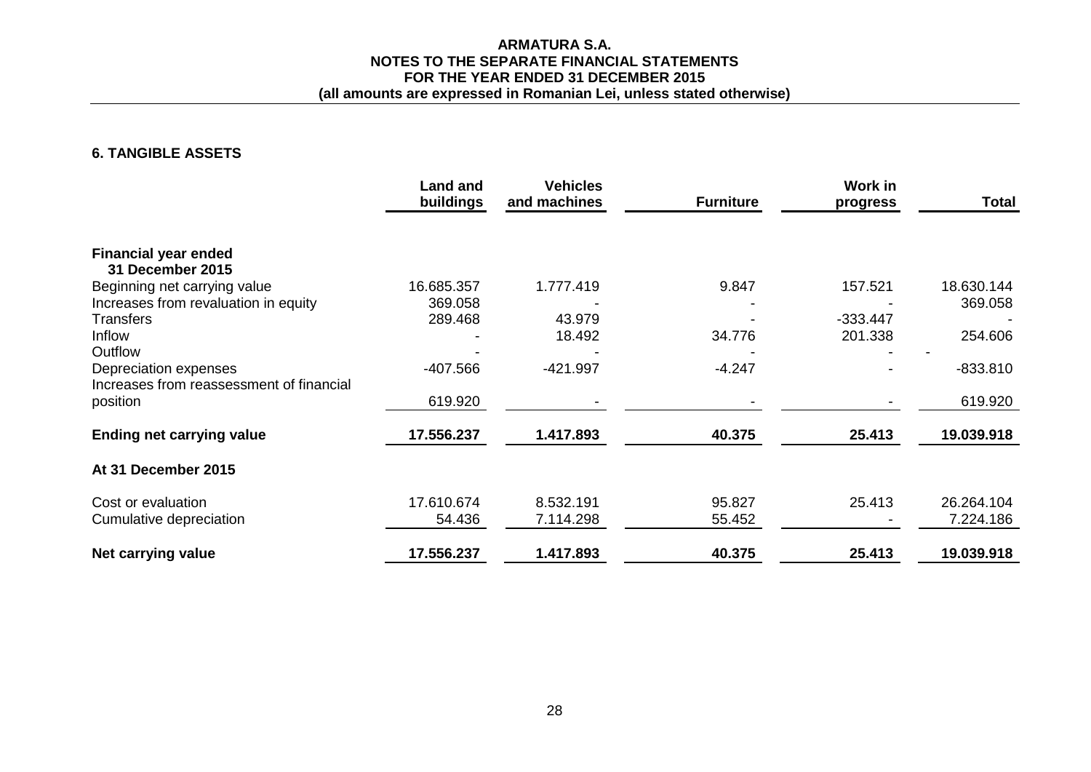# **ARMATURA S.A. NOTES TO THE SEPARATE FINANCIAL STATEMENTS FOR THE YEAR ENDED 31 DECEMBER 2015**

# **(all amounts are expressed in Romanian Lei, unless stated otherwise)**

# **6. TANGIBLE ASSETS**

|                                          | <b>Land and</b><br>buildings | <b>Vehicles</b><br>and machines | <b>Furniture</b> | <b>Work in</b><br>progress | <b>Total</b> |
|------------------------------------------|------------------------------|---------------------------------|------------------|----------------------------|--------------|
| <b>Financial year ended</b>              |                              |                                 |                  |                            |              |
| <b>31 December 2015</b>                  |                              |                                 |                  |                            |              |
| Beginning net carrying value             | 16.685.357                   | 1.777.419                       | 9.847            | 157.521                    | 18.630.144   |
| Increases from revaluation in equity     | 369.058                      |                                 |                  |                            | 369.058      |
| <b>Transfers</b>                         | 289.468                      | 43.979                          |                  | $-333.447$                 |              |
| Inflow                                   |                              | 18.492                          | 34.776           | 201.338                    | 254.606      |
| Outflow                                  |                              |                                 |                  |                            |              |
| Depreciation expenses                    | -407.566                     | $-421.997$                      | $-4.247$         |                            | $-833.810$   |
| Increases from reassessment of financial |                              |                                 |                  |                            |              |
| position                                 | 619.920                      |                                 |                  |                            | 619.920      |
| <b>Ending net carrying value</b>         | 17.556.237                   | 1.417.893                       | 40.375           | 25.413                     | 19.039.918   |
| At 31 December 2015                      |                              |                                 |                  |                            |              |
| Cost or evaluation                       | 17.610.674                   | 8.532.191                       | 95.827           | 25.413                     | 26.264.104   |
| Cumulative depreciation                  | 54.436                       | 7.114.298                       | 55.452           |                            | 7.224.186    |
| Net carrying value                       | 17.556.237                   | 1.417.893                       | 40.375           | 25.413                     | 19.039.918   |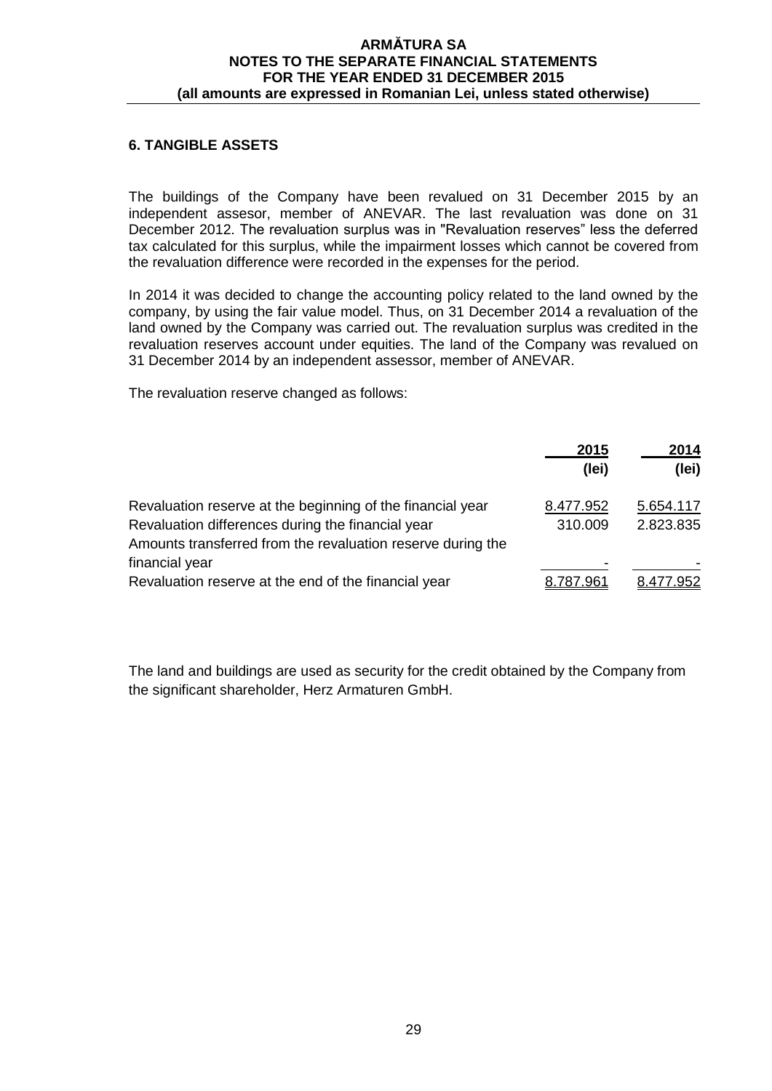# **6. TANGIBLE ASSETS**

The buildings of the Company have been revalued on 31 December 2015 by an independent assesor, member of ANEVAR. The last revaluation was done on 31 December 2012. The revaluation surplus was in "Revaluation reserves" less the deferred tax calculated for this surplus, while the impairment losses which cannot be covered from the revaluation difference were recorded in the expenses for the period.

In 2014 it was decided to change the accounting policy related to the land owned by the company, by using the fair value model. Thus, on 31 December 2014 a revaluation of the land owned by the Company was carried out. The revaluation surplus was credited in the revaluation reserves account under equities. The land of the Company was revalued on 31 December 2014 by an independent assessor, member of ANEVAR.

The revaluation reserve changed as follows:

|                                                                                                                                                                                | 2015<br>(lei)        | 2014<br>(lei)          |
|--------------------------------------------------------------------------------------------------------------------------------------------------------------------------------|----------------------|------------------------|
| Revaluation reserve at the beginning of the financial year<br>Revaluation differences during the financial year<br>Amounts transferred from the revaluation reserve during the | 8.477.952<br>310.009 | 5.654.117<br>2.823.835 |
| financial year<br>Revaluation reserve at the end of the financial year                                                                                                         | 787.961              |                        |

The land and buildings are used as security for the credit obtained by the Company from the significant shareholder, Herz Armaturen GmbH.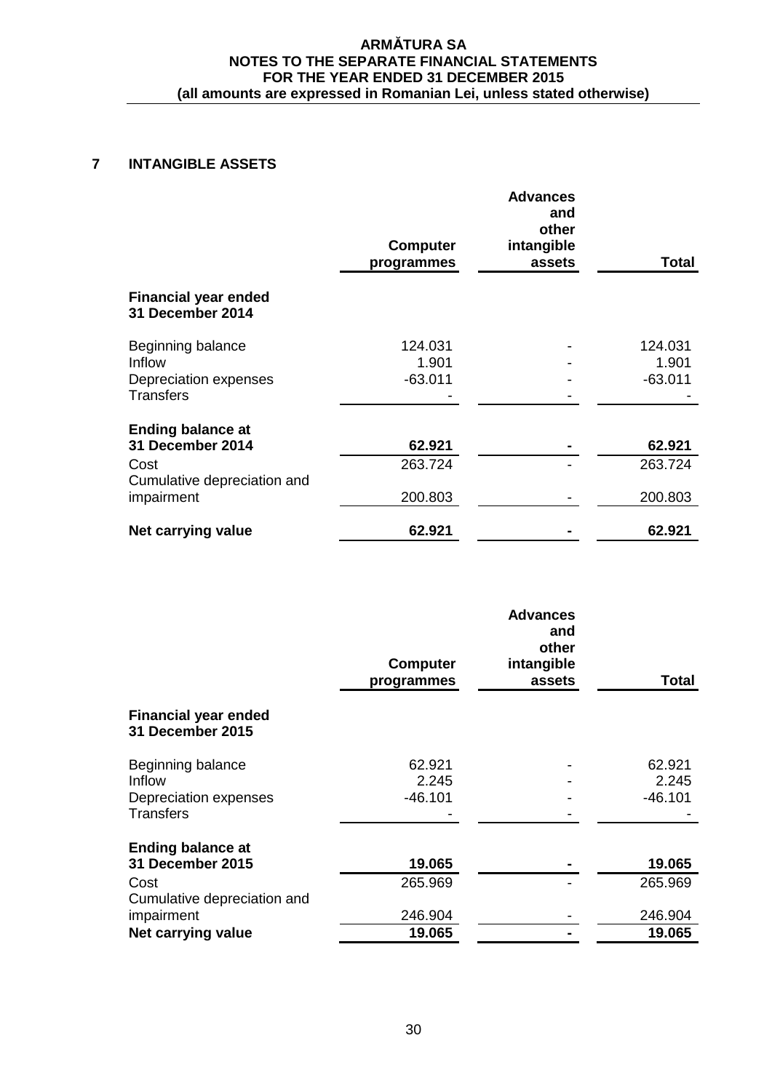# **7 INTANGIBLE ASSETS**

|                                                 | <b>Computer</b><br>programmes | <b>Advances</b><br>and<br>other<br>intangible<br>assets | Total     |
|-------------------------------------------------|-------------------------------|---------------------------------------------------------|-----------|
| <b>Financial year ended</b><br>31 December 2014 |                               |                                                         |           |
| Beginning balance                               | 124.031                       |                                                         | 124.031   |
| Inflow                                          | 1.901                         |                                                         | 1.901     |
| Depreciation expenses<br><b>Transfers</b>       | $-63.011$                     |                                                         | $-63.011$ |
| <b>Ending balance at</b>                        |                               |                                                         |           |
| 31 December 2014                                | 62.921                        |                                                         | 62.921    |
| Cost<br>Cumulative depreciation and             | 263.724                       |                                                         | 263.724   |
| impairment                                      | 200.803                       |                                                         | 200.803   |
| Net carrying value                              | 62.921                        |                                                         | 62.921    |

|                                                        | <b>Computer</b><br>programmes | <b>Advances</b><br>and<br>other<br>intangible<br>assets | <b>Total</b> |
|--------------------------------------------------------|-------------------------------|---------------------------------------------------------|--------------|
| <b>Financial year ended</b><br><b>31 December 2015</b> |                               |                                                         |              |
| Beginning balance                                      | 62.921                        |                                                         | 62.921       |
| Inflow                                                 | 2.245                         |                                                         | 2.245        |
| Depreciation expenses<br><b>Transfers</b>              | $-46.101$                     |                                                         | $-46.101$    |
| <b>Ending balance at</b>                               |                               |                                                         |              |
| 31 December 2015                                       | 19.065                        |                                                         | 19.065       |
| Cost<br>Cumulative depreciation and                    | 265.969                       |                                                         | 265.969      |
| impairment                                             | 246.904                       |                                                         | 246.904      |
| Net carrying value                                     | 19.065                        |                                                         | 19.065       |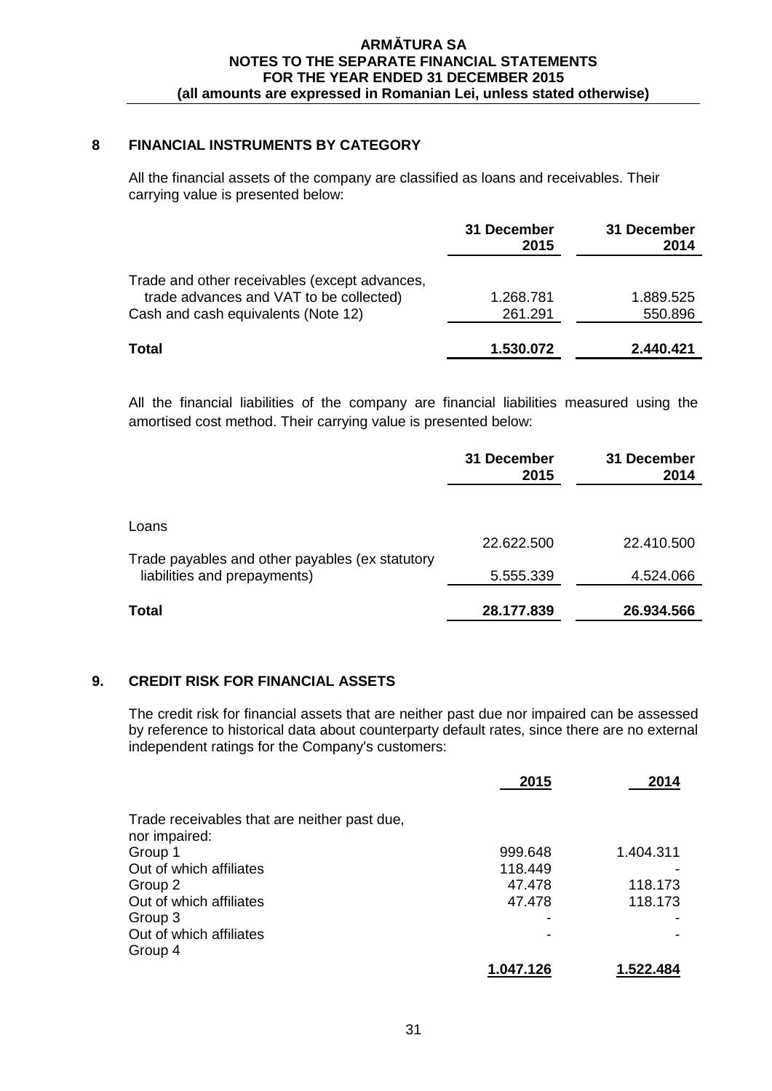# **8 FINANCIAL INSTRUMENTS BY CATEGORY**

All the financial assets of the company are classified as loans and receivables. Their carrying value is presented below:

|                                                                                          | 31 December<br>2015 | 31 December<br>2014 |
|------------------------------------------------------------------------------------------|---------------------|---------------------|
| Trade and other receivables (except advances,<br>trade advances and VAT to be collected) | 1.268.781           | 1.889.525           |
| Cash and cash equivalents (Note 12)                                                      | 261.291             | 550.896             |
| Total                                                                                    | 1.530.072           | 2.440.421           |

All the financial liabilities of the company are financial liabilities measured using the amortised cost method. Their carrying value is presented below:

|                                                          | 31 December<br>2015 | 31 December<br>2014 |
|----------------------------------------------------------|---------------------|---------------------|
| Loans<br>Trade payables and other payables (ex statutory | 22.622.500          | 22.410.500          |
| liabilities and prepayments)                             | 5.555.339           | 4.524.066           |
| Total                                                    | 28.177.839          | 26.934.566          |

## **9. CREDIT RISK FOR FINANCIAL ASSETS**

The credit risk for financial assets that are neither past due nor impaired can be assessed by reference to historical data about counterparty default rates, since there are no external independent ratings for the Company's customers:

|                                              | 2015      | 2014      |
|----------------------------------------------|-----------|-----------|
| Trade receivables that are neither past due, |           |           |
| nor impaired:                                |           |           |
| Group 1                                      | 999.648   | 1.404.311 |
| Out of which affiliates                      | 118.449   |           |
| Group 2                                      | 47.478    | 118.173   |
| Out of which affiliates                      | 47.478    | 118.173   |
| Group 3                                      |           |           |
| Out of which affiliates                      |           |           |
| Group 4                                      |           |           |
|                                              | 1.047.126 | 1.522.484 |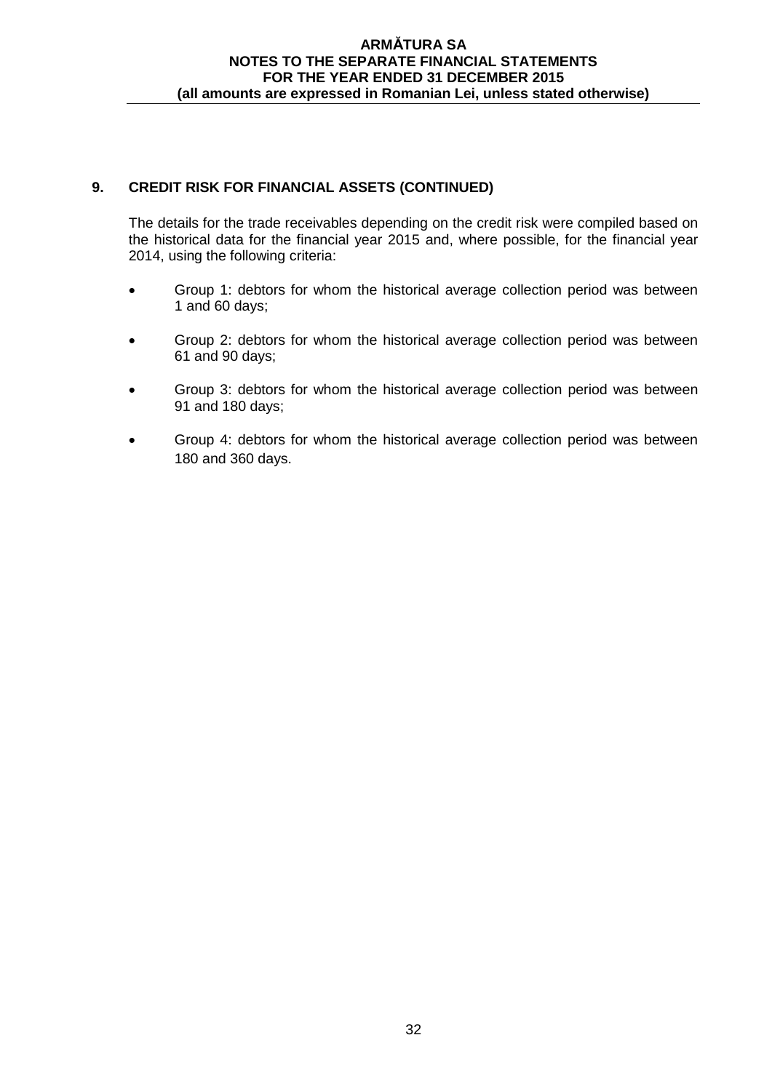# **9. CREDIT RISK FOR FINANCIAL ASSETS (CONTINUED)**

The details for the trade receivables depending on the credit risk were compiled based on the historical data for the financial year 2015 and, where possible, for the financial year 2014, using the following criteria:

- Group 1: debtors for whom the historical average collection period was between 1 and 60 days;
- Group 2: debtors for whom the historical average collection period was between 61 and 90 days;
- Group 3: debtors for whom the historical average collection period was between 91 and 180 days;
- Group 4: debtors for whom the historical average collection period was between 180 and 360 days.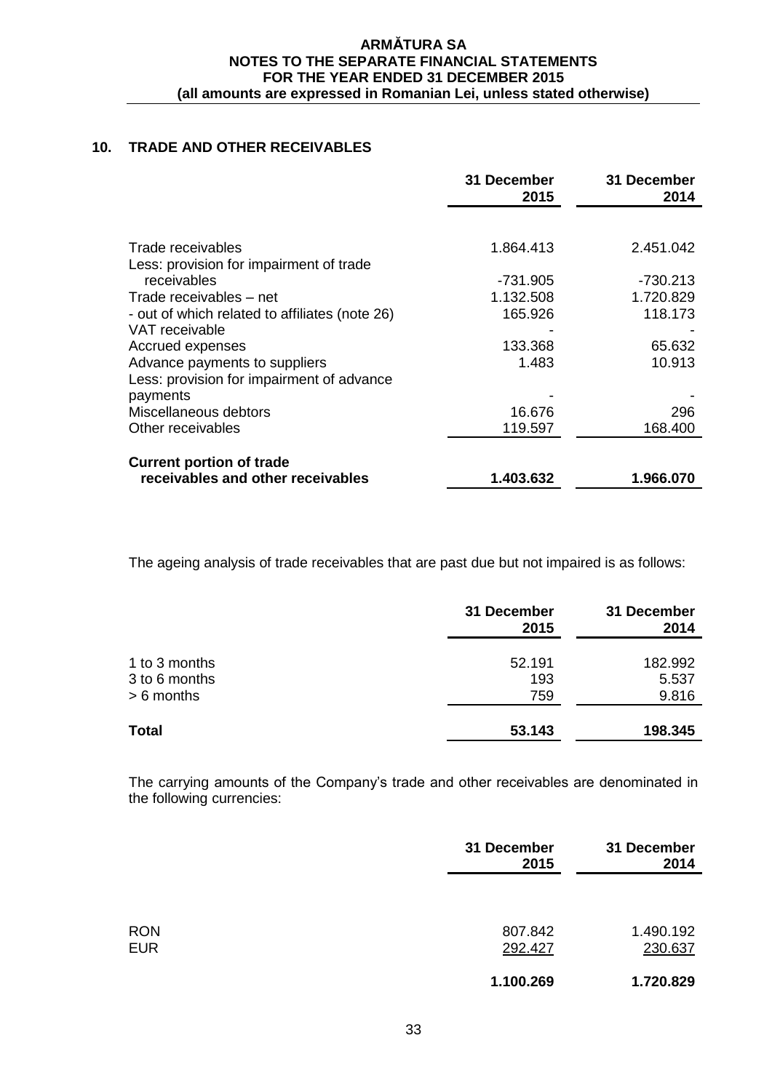## **10. TRADE AND OTHER RECEIVABLES**

|                                                | 31 December<br>2015 | 31 December<br>2014 |
|------------------------------------------------|---------------------|---------------------|
|                                                |                     |                     |
| Trade receivables                              | 1.864.413           | 2.451.042           |
| Less: provision for impairment of trade        |                     |                     |
| receivables                                    | -731.905            | -730.213            |
| Trade receivables – net                        | 1.132.508           | 1.720.829           |
| - out of which related to affiliates (note 26) | 165.926             | 118.173             |
| VAT receivable                                 |                     |                     |
| Accrued expenses                               | 133.368             | 65.632              |
| Advance payments to suppliers                  | 1.483               | 10.913              |
| Less: provision for impairment of advance      |                     |                     |
| payments                                       |                     |                     |
| Miscellaneous debtors                          | 16.676              | 296                 |
| Other receivables                              | 119.597             | 168.400             |
| <b>Current portion of trade</b>                |                     |                     |
| receivables and other receivables              | 1.403.632           | 1.966.070           |

The ageing analysis of trade receivables that are past due but not impaired is as follows:

|                                                | 31 December<br>2015  | 31 December<br>2014       |
|------------------------------------------------|----------------------|---------------------------|
| 1 to 3 months<br>3 to 6 months<br>$> 6$ months | 52.191<br>193<br>759 | 182.992<br>5.537<br>9.816 |
| <b>Total</b>                                   | 53.143               | 198.345                   |

The carrying amounts of the Company's trade and other receivables are denominated in the following currencies:

|                          | 31 December<br>2015 | 31 December<br>2014  |
|--------------------------|---------------------|----------------------|
|                          |                     |                      |
| <b>RON</b><br><b>EUR</b> | 807.842<br>292.427  | 1.490.192<br>230.637 |
|                          | 1.100.269           | 1.720.829            |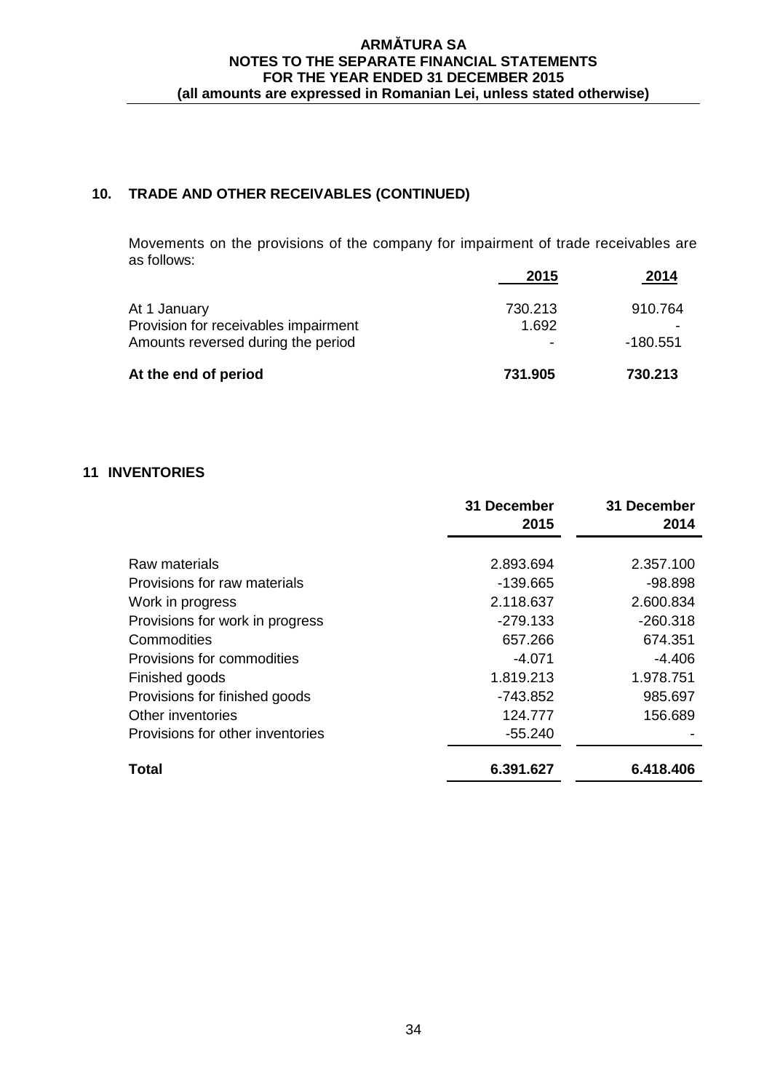# **10. TRADE AND OTHER RECEIVABLES (CONTINUED)**

Movements on the provisions of the company for impairment of trade receivables are as follows:

|                                      | 2015    | 2014     |
|--------------------------------------|---------|----------|
| At 1 January                         | 730.213 | 910.764  |
| Provision for receivables impairment | 1.692   |          |
| Amounts reversed during the period   |         | -180.551 |
| At the end of period                 | 731.905 | 730.213  |

# **11 INVENTORIES**

|                                  | 31 December<br>2015 | 31 December<br>2014 |
|----------------------------------|---------------------|---------------------|
| Raw materials                    | 2.893.694           | 2.357.100           |
| Provisions for raw materials     | $-139.665$          | $-98.898$           |
| Work in progress                 | 2.118.637           | 2.600.834           |
| Provisions for work in progress  | $-279.133$          | $-260.318$          |
| Commodities                      | 657.266             | 674.351             |
| Provisions for commodities       | $-4.071$            | $-4.406$            |
| Finished goods                   | 1.819.213           | 1.978.751           |
| Provisions for finished goods    | $-743.852$          | 985.697             |
| Other inventories                | 124.777             | 156.689             |
| Provisions for other inventories | $-55.240$           |                     |
| Total                            | 6.391.627           | 6.418.406           |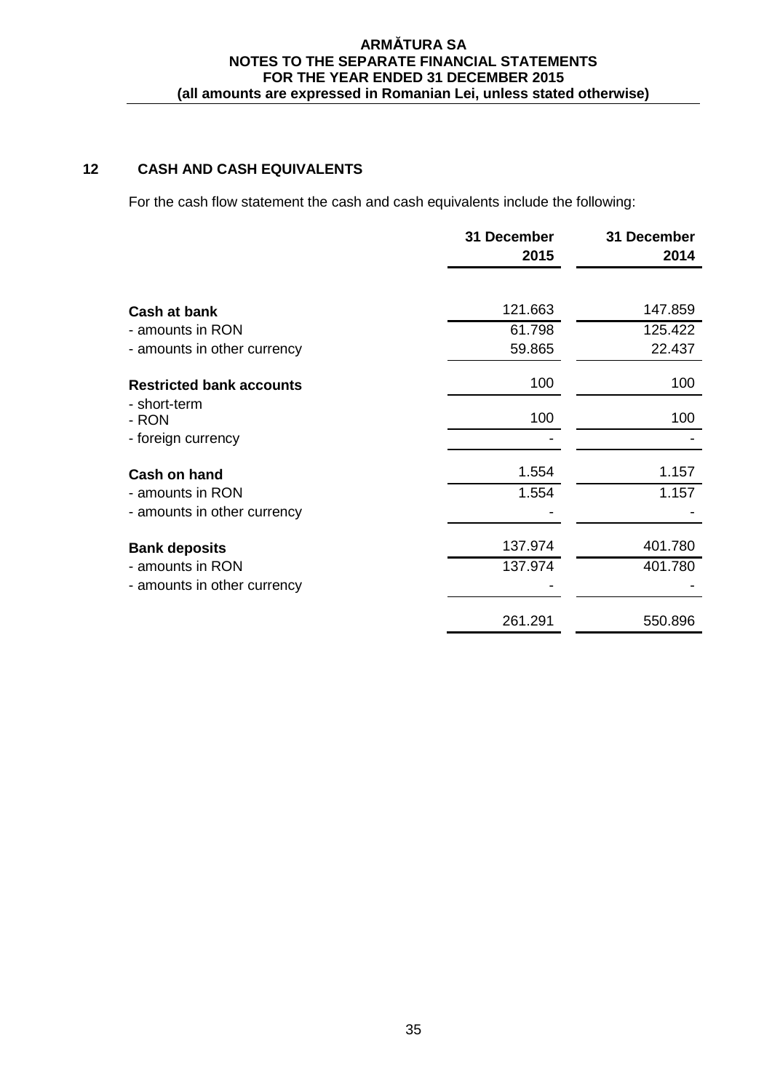# **12 CASH AND CASH EQUIVALENTS**

For the cash flow statement the cash and cash equivalents include the following:

|                                 | 31 December<br>2015 | 31 December<br>2014 |
|---------------------------------|---------------------|---------------------|
|                                 |                     |                     |
| Cash at bank                    | 121.663             | 147.859             |
| - amounts in RON                | 61.798              | 125.422             |
| - amounts in other currency     | 59.865              | 22.437              |
| <b>Restricted bank accounts</b> | 100                 | 100                 |
| - short-term<br>- RON           | 100                 | 100                 |
| - foreign currency              |                     |                     |
| Cash on hand                    | 1.554               | 1.157               |
| - amounts in RON                | 1.554               | 1.157               |
| - amounts in other currency     |                     |                     |
| <b>Bank deposits</b>            | 137.974             | 401.780             |
| - amounts in RON                | 137.974             | 401.780             |
| - amounts in other currency     |                     |                     |
|                                 | 261.291             | 550.896             |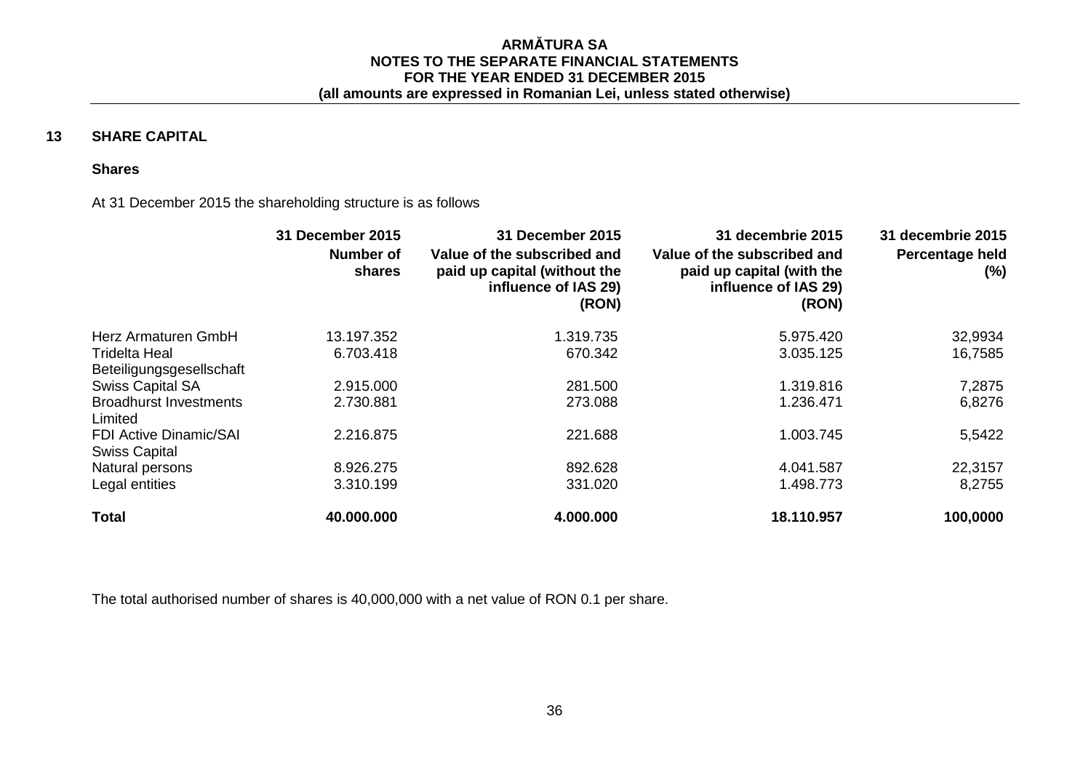# **13 SHARE CAPITAL**

## **Shares**

#### At 31 December 2015 the shareholding structure is as follows

|                                                       | <b>31 December 2015</b> | 31 December 2015                                                                             | 31 decembrie 2015                                                                         | 31 decembrie 2015      |
|-------------------------------------------------------|-------------------------|----------------------------------------------------------------------------------------------|-------------------------------------------------------------------------------------------|------------------------|
|                                                       | Number of<br>shares     | Value of the subscribed and<br>paid up capital (without the<br>influence of IAS 29)<br>(RON) | Value of the subscribed and<br>paid up capital (with the<br>influence of IAS 29)<br>(RON) | Percentage held<br>(%) |
| Herz Armaturen GmbH                                   | 13.197.352              | 1.319.735                                                                                    | 5.975.420                                                                                 | 32,9934                |
| <b>Tridelta Heal</b>                                  | 6.703.418               | 670.342                                                                                      | 3.035.125                                                                                 | 16,7585                |
| Beteiligungsgesellschaft                              |                         |                                                                                              |                                                                                           |                        |
| <b>Swiss Capital SA</b>                               | 2.915.000               | 281.500                                                                                      | 1.319.816                                                                                 | 7,2875                 |
| <b>Broadhurst Investments</b><br>Limited              | 2.730.881               | 273.088                                                                                      | 1.236.471                                                                                 | 6,8276                 |
| <b>FDI Active Dinamic/SAI</b><br><b>Swiss Capital</b> | 2.216.875               | 221.688                                                                                      | 1.003.745                                                                                 | 5,5422                 |
| Natural persons                                       | 8.926.275               | 892.628                                                                                      | 4.041.587                                                                                 | 22,3157                |
| Legal entities                                        | 3.310.199               | 331.020                                                                                      | 1.498.773                                                                                 | 8,2755                 |
| <b>Total</b>                                          | 40.000.000              | 4.000.000                                                                                    | 18.110.957                                                                                | 100,0000               |

The total authorised number of shares is 40,000,000 with a net value of RON 0.1 per share.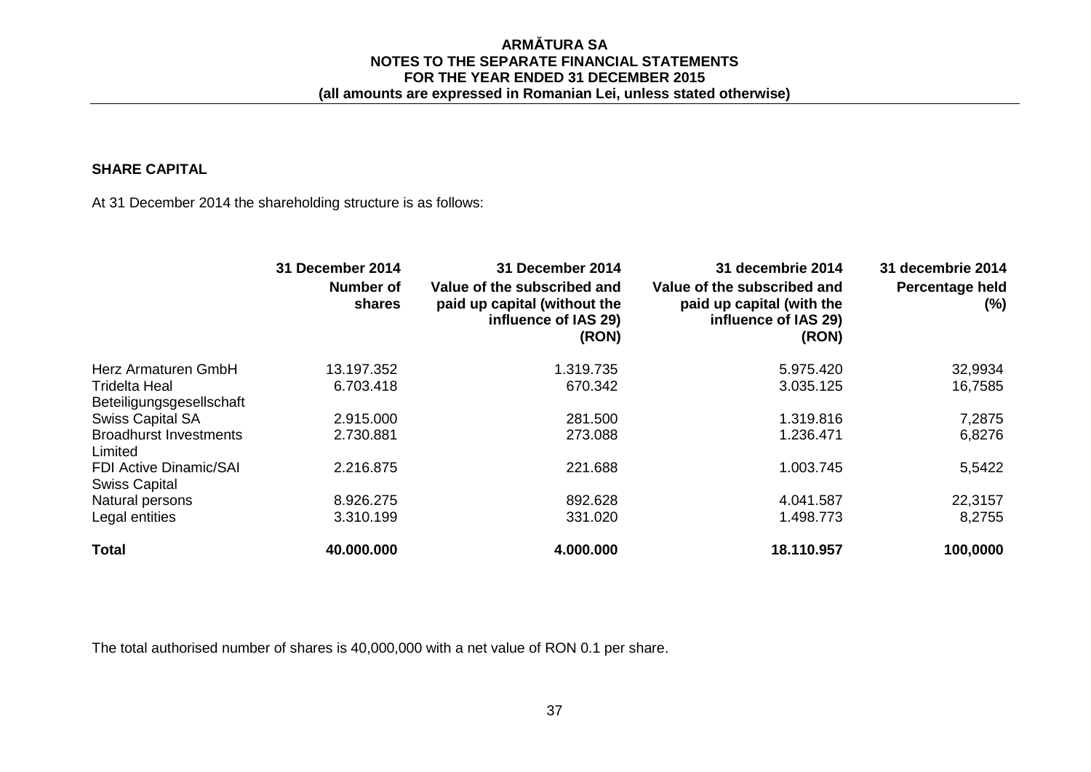## **SHARE CAPITAL**

At 31 December 2014 the shareholding structure is as follows:

|                                                       | 31 December 2014    | 31 December 2014                                                                             | 31 decembrie 2014                                                                         | 31 decembrie 2014      |
|-------------------------------------------------------|---------------------|----------------------------------------------------------------------------------------------|-------------------------------------------------------------------------------------------|------------------------|
|                                                       | Number of<br>shares | Value of the subscribed and<br>paid up capital (without the<br>influence of IAS 29)<br>(RON) | Value of the subscribed and<br>paid up capital (with the<br>influence of IAS 29)<br>(RON) | Percentage held<br>(%) |
| Herz Armaturen GmbH                                   | 13.197.352          | 1.319.735                                                                                    | 5.975.420                                                                                 | 32,9934                |
| Tridelta Heal<br>Beteiligungsgesellschaft             | 6.703.418           | 670.342                                                                                      | 3.035.125                                                                                 | 16,7585                |
| Swiss Capital SA                                      | 2.915.000           | 281.500                                                                                      | 1.319.816                                                                                 | 7,2875                 |
| <b>Broadhurst Investments</b><br>Limited              | 2.730.881           | 273.088                                                                                      | 1.236.471                                                                                 | 6,8276                 |
| <b>FDI Active Dinamic/SAI</b><br><b>Swiss Capital</b> | 2.216.875           | 221.688                                                                                      | 1.003.745                                                                                 | 5,5422                 |
| Natural persons                                       | 8.926.275           | 892.628                                                                                      | 4.041.587                                                                                 | 22,3157                |
| Legal entities                                        | 3.310.199           | 331.020                                                                                      | 1.498.773                                                                                 | 8,2755                 |
| <b>Total</b>                                          | 40.000.000          | 4.000.000                                                                                    | 18.110.957                                                                                | 100,0000               |

The total authorised number of shares is 40,000,000 with a net value of RON 0.1 per share.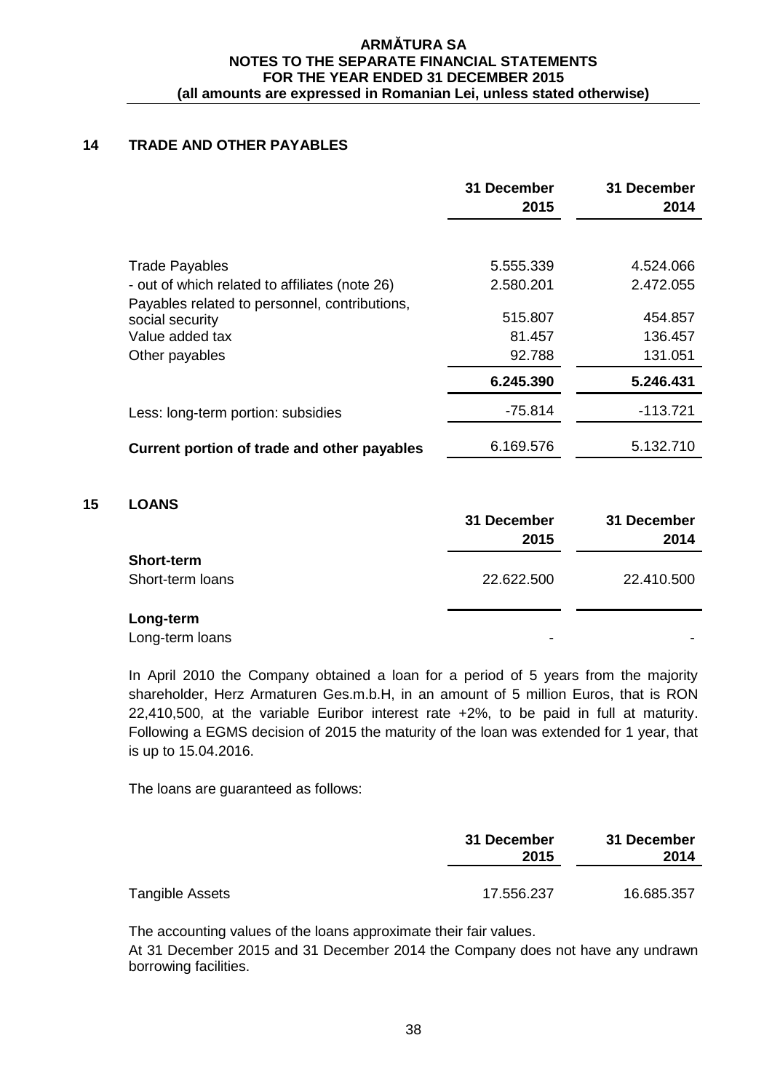# **14 TRADE AND OTHER PAYABLES**

|                                                                                                       | 31 December<br>2015         | 31 December<br>2014           |
|-------------------------------------------------------------------------------------------------------|-----------------------------|-------------------------------|
| <b>Trade Payables</b>                                                                                 | 5.555.339                   | 4.524.066                     |
| - out of which related to affiliates (note 26)                                                        | 2.580.201                   | 2.472.055                     |
| Payables related to personnel, contributions,<br>social security<br>Value added tax<br>Other payables | 515.807<br>81.457<br>92.788 | 454.857<br>136.457<br>131.051 |
|                                                                                                       | 6.245.390                   | 5.246.431                     |
| Less: long-term portion: subsidies                                                                    | $-75.814$                   | $-113.721$                    |
| Current portion of trade and other payables                                                           | 6.169.576                   | 5.132.710                     |

### **15 LOANS**

|                                       | 31 December<br>2015 | 31 December<br>2014 |
|---------------------------------------|---------------------|---------------------|
| <b>Short-term</b><br>Short-term loans | 22.622.500          | 22.410.500          |
| Long-term<br>Long-term loans          | ۰                   | ۰                   |

In April 2010 the Company obtained a loan for a period of 5 years from the majority shareholder, Herz Armaturen Ges.m.b.H, in an amount of 5 million Euros, that is RON 22,410,500, at the variable Euribor interest rate +2%, to be paid in full at maturity. Following a EGMS decision of 2015 the maturity of the loan was extended for 1 year, that is up to 15.04.2016.

The loans are guaranteed as follows:

|                 | 31 December<br>2015 | 31 December<br>2014 |
|-----------------|---------------------|---------------------|
| Tangible Assets | 17.556.237          | 16.685.357          |

The accounting values of the loans approximate their fair values.

At 31 December 2015 and 31 December 2014 the Company does not have any undrawn borrowing facilities.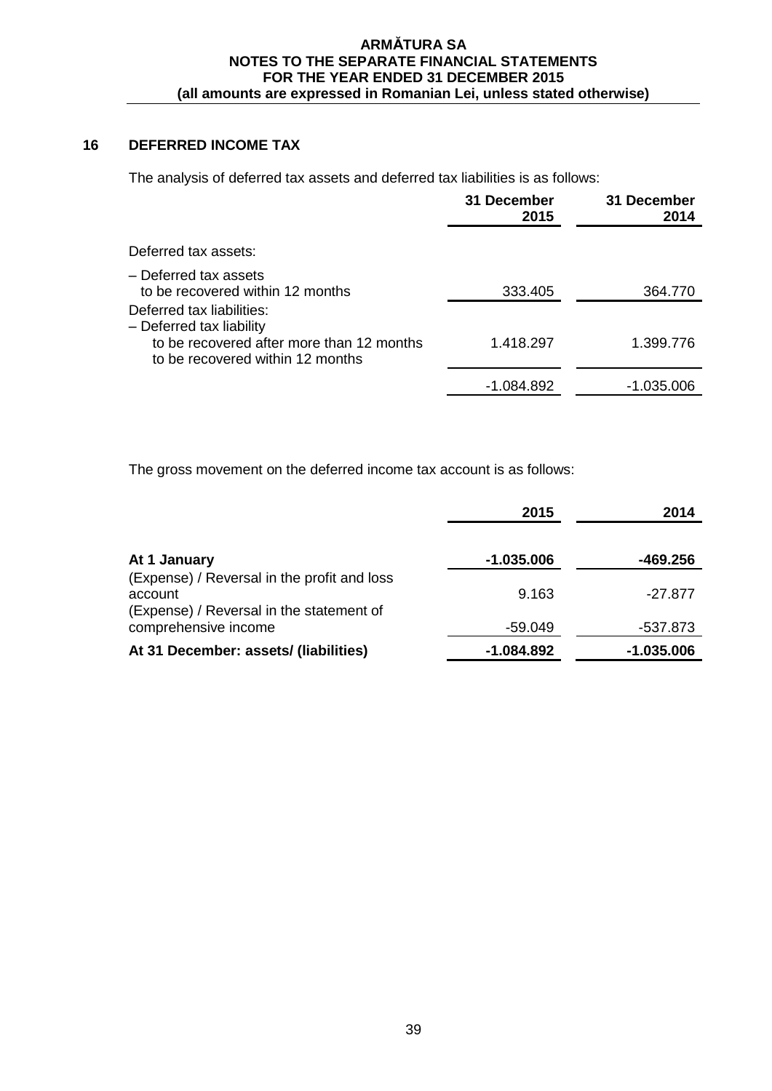# **16 DEFERRED INCOME TAX**

The analysis of deferred tax assets and deferred tax liabilities is as follows:

|                                                                                                                                        | 31 December<br>2015 | 31 December<br>2014 |
|----------------------------------------------------------------------------------------------------------------------------------------|---------------------|---------------------|
| Deferred tax assets:                                                                                                                   |                     |                     |
| - Deferred tax assets<br>to be recovered within 12 months                                                                              | 333.405             | 364.770             |
| Deferred tax liabilities:<br>- Deferred tax liability<br>to be recovered after more than 12 months<br>to be recovered within 12 months | 1.418.297           | 1.399.776           |
|                                                                                                                                        | -1.084.892          | -1.035.006          |

The gross movement on the deferred income tax account is as follows:

|                                                                                                    | 2015       | 2014       |
|----------------------------------------------------------------------------------------------------|------------|------------|
| At 1 January                                                                                       | -1.035.006 | -469.256   |
| (Expense) / Reversal in the profit and loss<br>account<br>(Expense) / Reversal in the statement of | 9.163      | $-27.877$  |
| comprehensive income                                                                               | -59.049    | -537.873   |
| At 31 December: assets/ (liabilities)                                                              | -1.084.892 | -1.035.006 |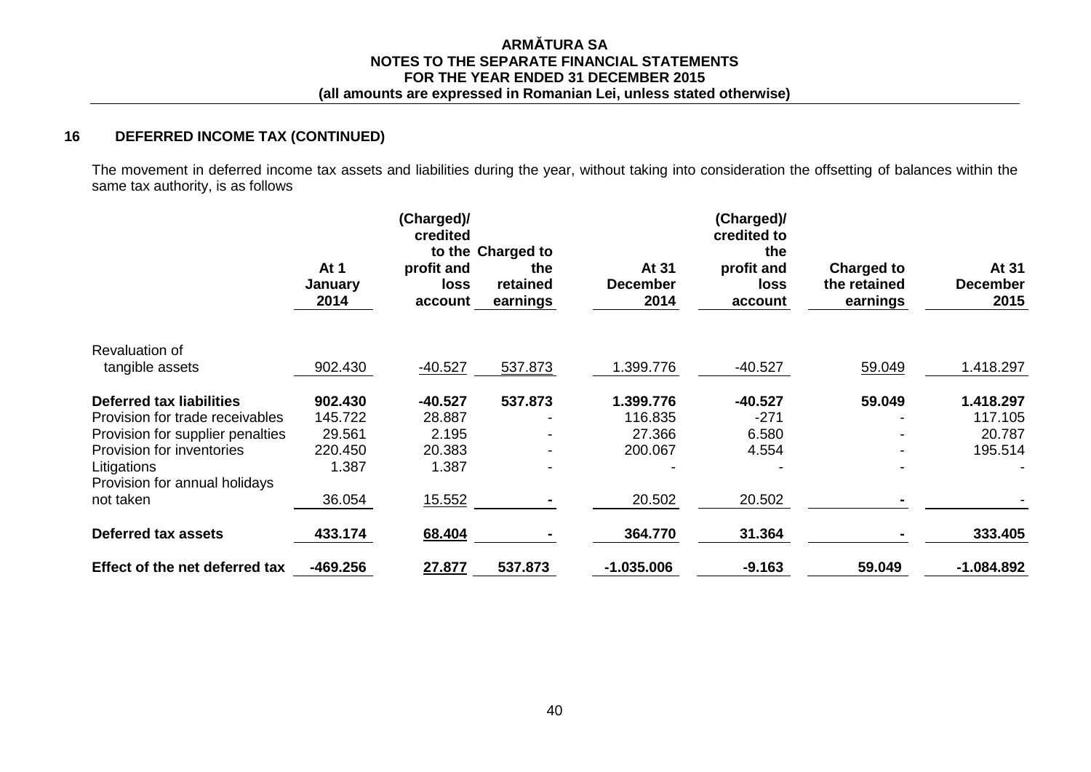# **16 DEFERRED INCOME TAX (CONTINUED)**

The movement in deferred income tax assets and liabilities during the year, without taking into consideration the offsetting of balances within the same tax authority, is as follows

|                                              |                         | (Charged)/<br>credited        |                                                  |                                  | (Charged)/<br>credited to            |                                               |                                  |
|----------------------------------------------|-------------------------|-------------------------------|--------------------------------------------------|----------------------------------|--------------------------------------|-----------------------------------------------|----------------------------------|
|                                              | At 1<br>January<br>2014 | profit and<br>loss<br>account | to the Charged to<br>the<br>retained<br>earnings | At 31<br><b>December</b><br>2014 | the<br>profit and<br>loss<br>account | <b>Charged to</b><br>the retained<br>earnings | At 31<br><b>December</b><br>2015 |
| Revaluation of                               |                         |                               |                                                  |                                  |                                      |                                               |                                  |
| tangible assets                              | 902.430                 | $-40.527$                     | 537.873                                          | 1.399.776                        | $-40.527$                            | 59.049                                        | 1.418.297                        |
| <b>Deferred tax liabilities</b>              | 902.430                 | -40.527                       | 537.873                                          | 1.399.776                        | $-40.527$                            | 59.049                                        | 1.418.297                        |
| Provision for trade receivables              | 145.722                 | 28.887                        |                                                  | 116.835                          | $-271$                               |                                               | 117.105                          |
| Provision for supplier penalties             | 29.561                  | 2.195                         |                                                  | 27.366                           | 6.580                                |                                               | 20.787                           |
| Provision for inventories                    | 220.450                 | 20.383                        |                                                  | 200.067                          | 4.554                                |                                               | 195.514                          |
| Litigations<br>Provision for annual holidays | 1.387                   | 1.387                         |                                                  |                                  |                                      |                                               |                                  |
| not taken                                    | 36.054                  | 15.552                        |                                                  | 20.502                           | 20.502                               |                                               |                                  |
| Deferred tax assets                          | 433.174                 | 68.404                        |                                                  | 364.770                          | 31.364                               |                                               | 333.405                          |
| Effect of the net deferred tax               | $-469.256$              | 27.877                        | 537.873                                          | $-1.035.006$                     | $-9.163$                             | 59.049                                        | $-1.084.892$                     |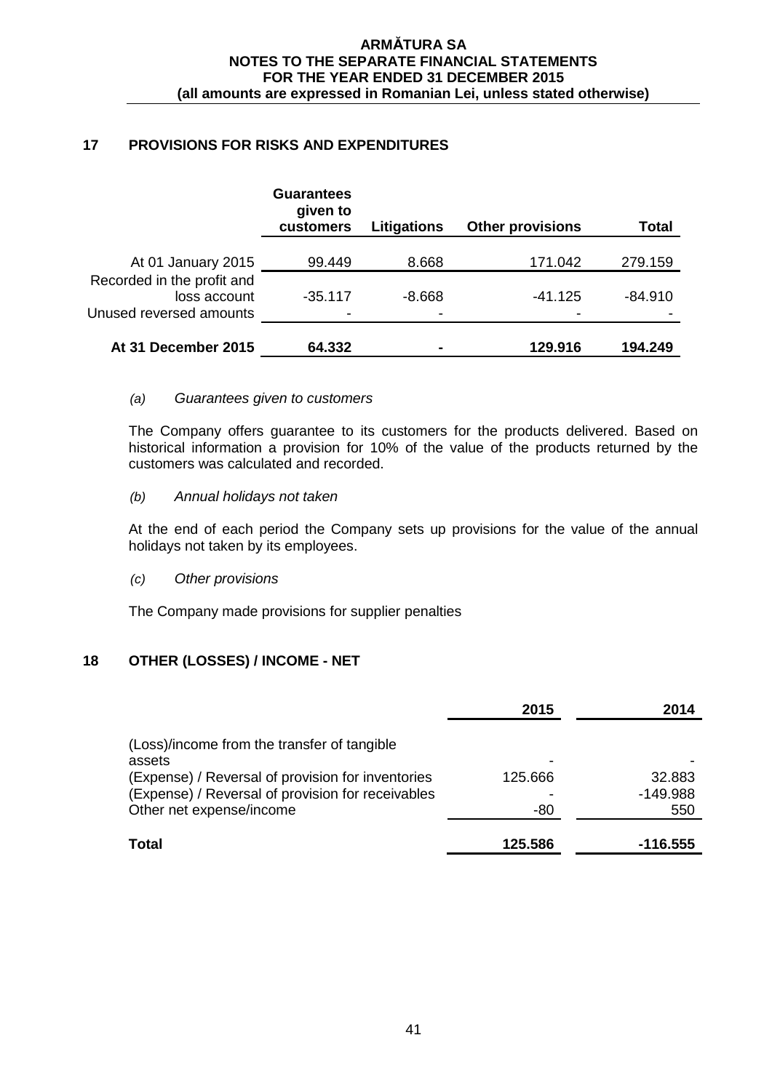# **17 PROVISIONS FOR RISKS AND EXPENDITURES**

|                                                | <b>Guarantees</b><br>given to<br>customers | Litigations | <b>Other provisions</b> | Total     |
|------------------------------------------------|--------------------------------------------|-------------|-------------------------|-----------|
| At 01 January 2015                             | 99.449                                     | 8.668       | 171.042                 | 279.159   |
| Recorded in the profit and<br>loss account     | $-35.117$                                  | $-8.668$    | $-41.125$               | $-84.910$ |
| Unused reversed amounts<br>At 31 December 2015 | 64.332                                     | ٠<br>٠      | 129.916                 | 194.249   |

## *(a) Guarantees given to customers*

The Company offers guarantee to its customers for the products delivered. Based on historical information a provision for 10% of the value of the products returned by the customers was calculated and recorded.

## *(b) Annual holidays not taken*

At the end of each period the Company sets up provisions for the value of the annual holidays not taken by its employees.

# *(c) Other provisions*

The Company made provisions for supplier penalties

# **18 OTHER (LOSSES) / INCOME - NET**

|                                                                                                                                    | 2015           | 2014                        |
|------------------------------------------------------------------------------------------------------------------------------------|----------------|-----------------------------|
| (Loss)/income from the transfer of tangible<br>assets                                                                              |                |                             |
| (Expense) / Reversal of provision for inventories<br>(Expense) / Reversal of provision for receivables<br>Other net expense/income | 125.666<br>-80 | 32.883<br>$-149.988$<br>550 |
| <b>Total</b>                                                                                                                       | 125.586        | -116.555                    |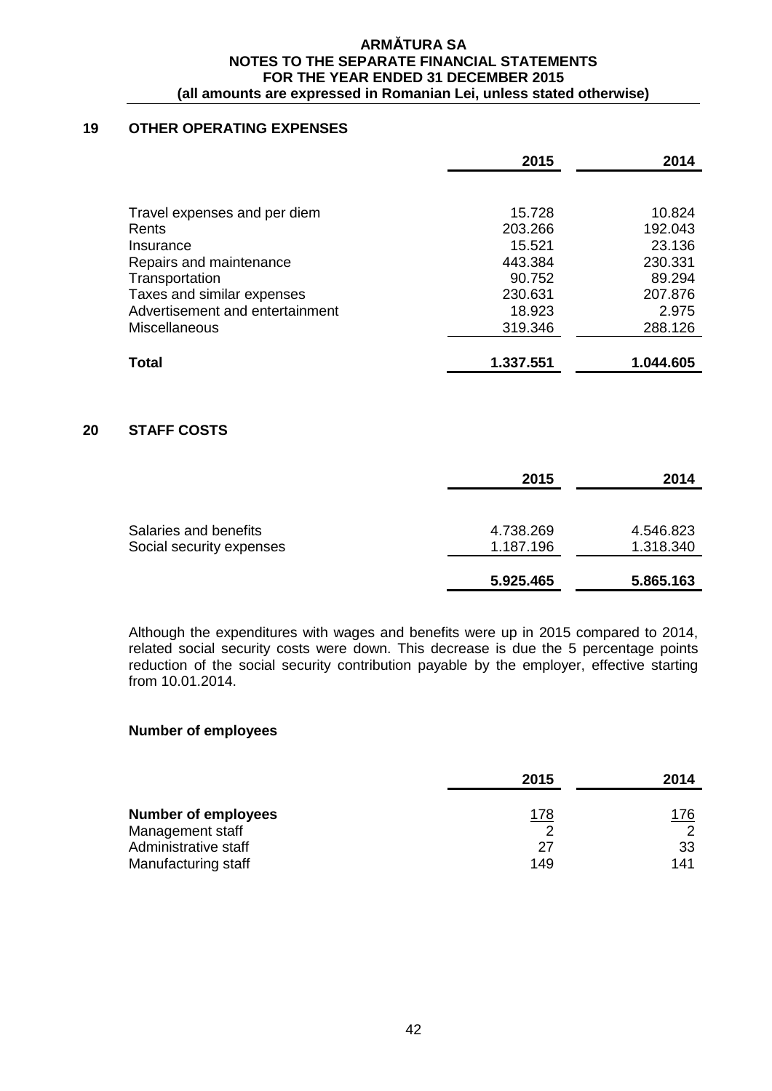## **19 OTHER OPERATING EXPENSES**

|                                 | 2015      | 2014      |
|---------------------------------|-----------|-----------|
|                                 |           |           |
| Travel expenses and per diem    | 15.728    | 10.824    |
| Rents                           | 203.266   | 192.043   |
| Insurance                       | 15.521    | 23.136    |
| Repairs and maintenance         | 443.384   | 230.331   |
| Transportation                  | 90.752    | 89.294    |
| Taxes and similar expenses      | 230.631   | 207.876   |
| Advertisement and entertainment | 18.923    | 2.975     |
| <b>Miscellaneous</b>            | 319.346   | 288.126   |
|                                 |           |           |
| Total                           | 1.337.551 | 1.044.605 |

# **20 STAFF COSTS**

|                                                   | 2015                   | 2014                   |
|---------------------------------------------------|------------------------|------------------------|
| Salaries and benefits<br>Social security expenses | 4.738.269<br>1.187.196 | 4.546.823<br>1.318.340 |
|                                                   | 5.925.465              | 5.865.163              |

Although the expenditures with wages and benefits were up in 2015 compared to 2014, related social security costs were down. This decrease is due the 5 percentage points reduction of the social security contribution payable by the employer, effective starting from 10.01.2014.

## **Number of employees**

|                            | 2015        | 2014 |
|----------------------------|-------------|------|
| <b>Number of employees</b> | <u> 178</u> | 176  |
| Management staff           |             |      |
| Administrative staff       | 27          | -33  |
| Manufacturing staff        | 149         | 141  |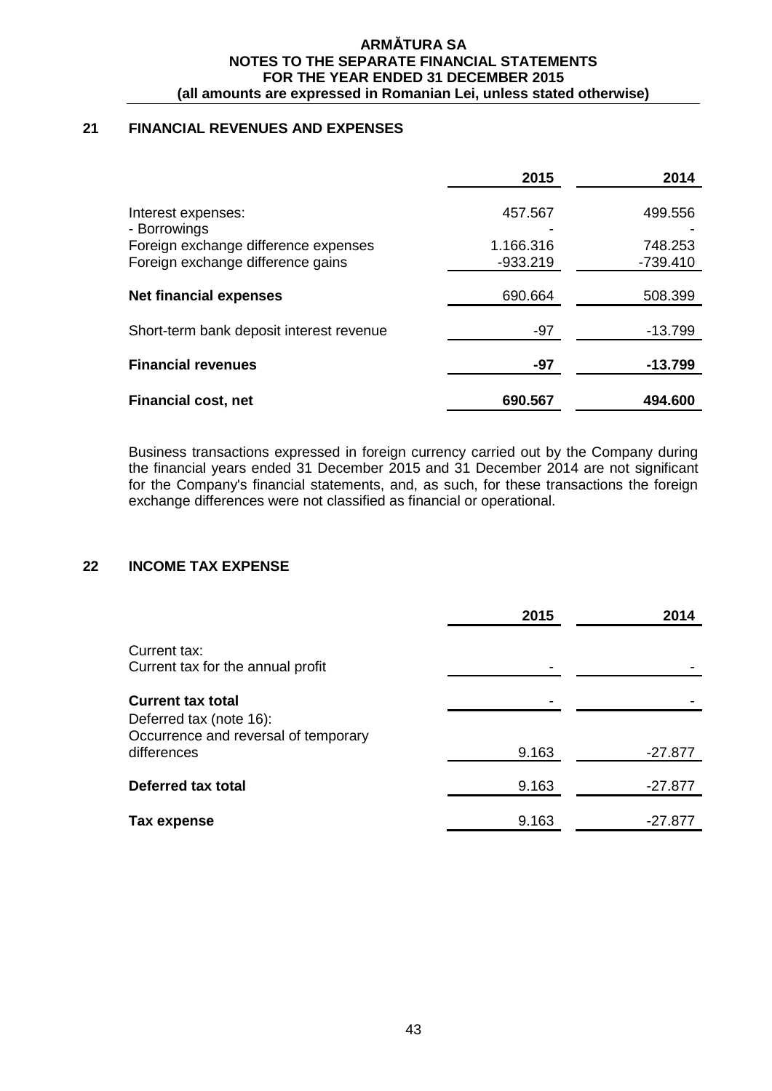# **21 FINANCIAL REVENUES AND EXPENSES**

|                                                                                                                 | 2015                               | 2014                             |
|-----------------------------------------------------------------------------------------------------------------|------------------------------------|----------------------------------|
| Interest expenses:<br>- Borrowings<br>Foreign exchange difference expenses<br>Foreign exchange difference gains | 457.567<br>1.166.316<br>$-933.219$ | 499.556<br>748.253<br>$-739.410$ |
| <b>Net financial expenses</b>                                                                                   | 690.664                            | 508.399                          |
| Short-term bank deposit interest revenue                                                                        | $-97$                              | $-13.799$                        |
| <b>Financial revenues</b>                                                                                       | -97                                | -13.799                          |
| <b>Financial cost, net</b>                                                                                      | 690.567                            | 494.600                          |

Business transactions expressed in foreign currency carried out by the Company during the financial years ended 31 December 2015 and 31 December 2014 are not significant for the Company's financial statements, and, as such, for these transactions the foreign exchange differences were not classified as financial or operational.

# **22 INCOME TAX EXPENSE**

|                                                                 | 2015  | 2014      |
|-----------------------------------------------------------------|-------|-----------|
| Current tax:<br>Current tax for the annual profit               |       |           |
| <b>Current tax total</b>                                        |       |           |
| Deferred tax (note 16):<br>Occurrence and reversal of temporary |       |           |
| differences                                                     | 9.163 | -27.877   |
| Deferred tax total                                              | 9.163 | $-27.877$ |
| Tax expense                                                     | 9.163 | -27.877   |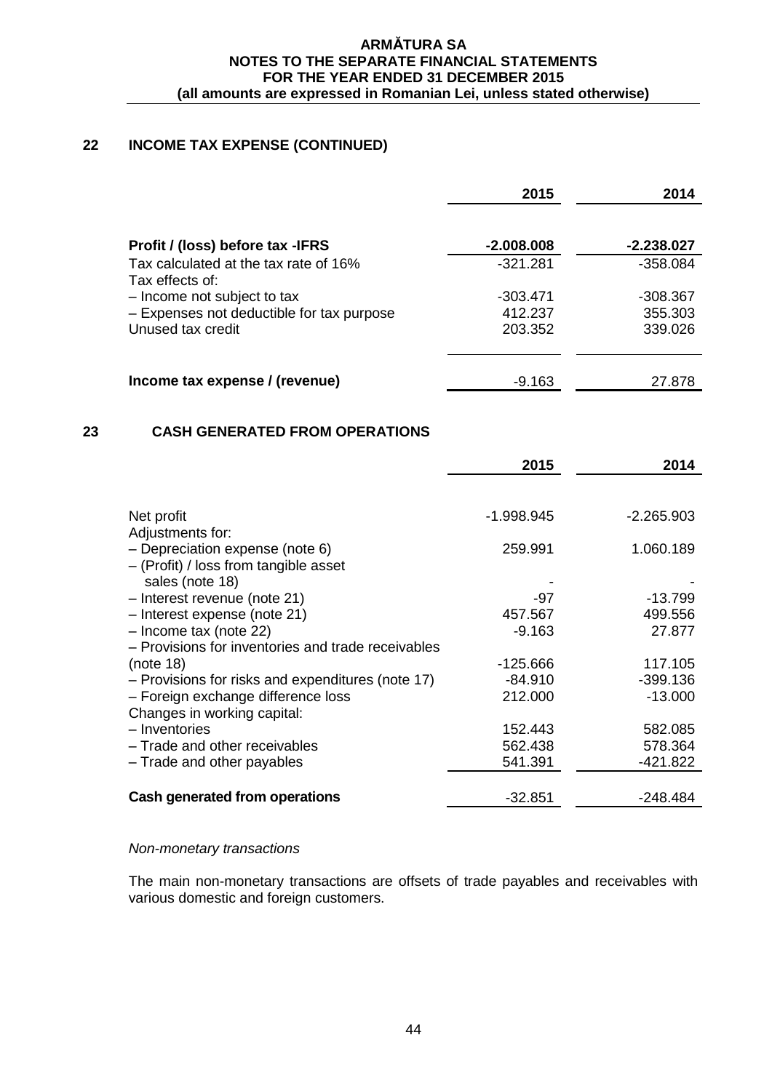# **22 INCOME TAX EXPENSE (CONTINUED)**

|                                                          | 2015         | 2014       |
|----------------------------------------------------------|--------------|------------|
| Profit / (loss) before tax -IFRS                         | $-2.008.008$ | -2.238.027 |
| Tax calculated at the tax rate of 16%<br>Tax effects of: | $-321.281$   | $-358.084$ |
| - Income not subject to tax                              | $-303.471$   | -308.367   |
| - Expenses not deductible for tax purpose                | 412.237      | 355.303    |
| Unused tax credit                                        | 203.352      | 339.026    |
| Income tax expense / (revenue)                           | -9.163       | 27.878     |
|                                                          |              |            |

# **23 CASH GENERATED FROM OPERATIONS**

|                                                                            | 2015       | 2014         |
|----------------------------------------------------------------------------|------------|--------------|
|                                                                            |            |              |
| Net profit<br>Adjustments for:                                             | -1.998.945 | $-2.265.903$ |
| - Depreciation expense (note 6)<br>$-$ (Profit) / loss from tangible asset | 259.991    | 1.060.189    |
| sales (note 18)                                                            |            |              |
| - Interest revenue (note 21)                                               | -97        | $-13.799$    |
| - Interest expense (note 21)                                               | 457.567    | 499.556      |
| $-$ Income tax (note 22)                                                   | $-9.163$   | 27.877       |
| - Provisions for inventories and trade receivables                         |            |              |
| (note 18)                                                                  | -125.666   | 117.105      |
| - Provisions for risks and expenditures (note 17)                          | $-84.910$  | $-399.136$   |
| - Foreign exchange difference loss                                         | 212,000    | $-13.000$    |
| Changes in working capital:                                                |            |              |
| - Inventories                                                              | 152.443    | 582.085      |
| - Trade and other receivables                                              | 562.438    | 578.364      |
| - Trade and other payables                                                 | 541.391    | -421.822     |
|                                                                            |            |              |
| Cash generated from operations                                             | $-32.851$  | -248.484     |

#### *Non-monetary transactions*

The main non-monetary transactions are offsets of trade payables and receivables with various domestic and foreign customers.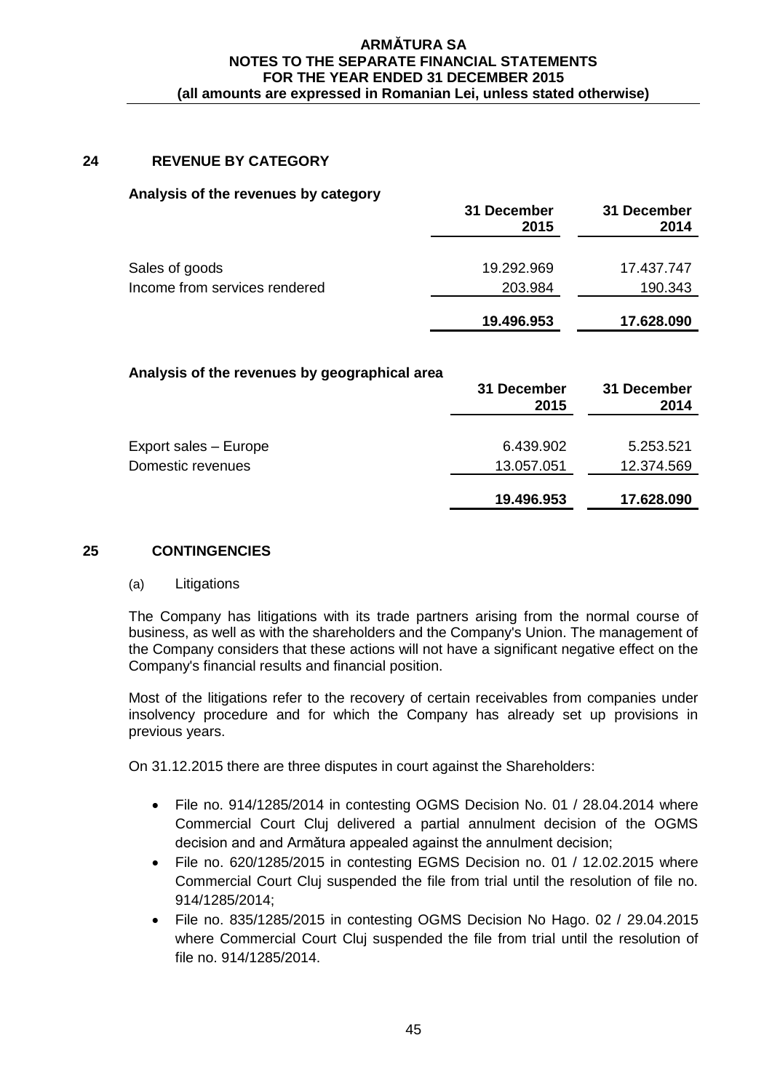# **24 REVENUE BY CATEGORY**

#### **Analysis of the revenues by category**

|                               | 31 December<br>2015 | 31 December<br>2014 |
|-------------------------------|---------------------|---------------------|
| Sales of goods                | 19.292.969          | 17.437.747          |
| Income from services rendered | 203.984             | 190.343             |
|                               | 19.496.953          | 17.628.090          |

#### **Analysis of the revenues by geographical area**

|                       | 31 December<br>2015 | 31 December<br>2014 |
|-----------------------|---------------------|---------------------|
| Export sales - Europe | 6.439.902           | 5.253.521           |
| Domestic revenues     | 13.057.051          | 12.374.569          |
|                       | 19.496.953          | 17.628.090          |

## **25 CONTINGENCIES**

#### (a) Litigations

The Company has litigations with its trade partners arising from the normal course of business, as well as with the shareholders and the Company's Union. The management of the Company considers that these actions will not have a significant negative effect on the Company's financial results and financial position.

Most of the litigations refer to the recovery of certain receivables from companies under insolvency procedure and for which the Company has already set up provisions in previous years.

On 31.12.2015 there are three disputes in court against the Shareholders:

- File no. 914/1285/2014 in contesting OGMS Decision No. 01 / 28.04.2014 where Commercial Court Cluj delivered a partial annulment decision of the OGMS decision and and Armǎtura appealed against the annulment decision;
- File no. 620/1285/2015 in contesting EGMS Decision no. 01 / 12.02.2015 where Commercial Court Cluj suspended the file from trial until the resolution of file no. 914/1285/2014;
- File no. 835/1285/2015 in contesting OGMS Decision No Hago. 02 / 29.04.2015 where Commercial Court Cluj suspended the file from trial until the resolution of file no. 914/1285/2014.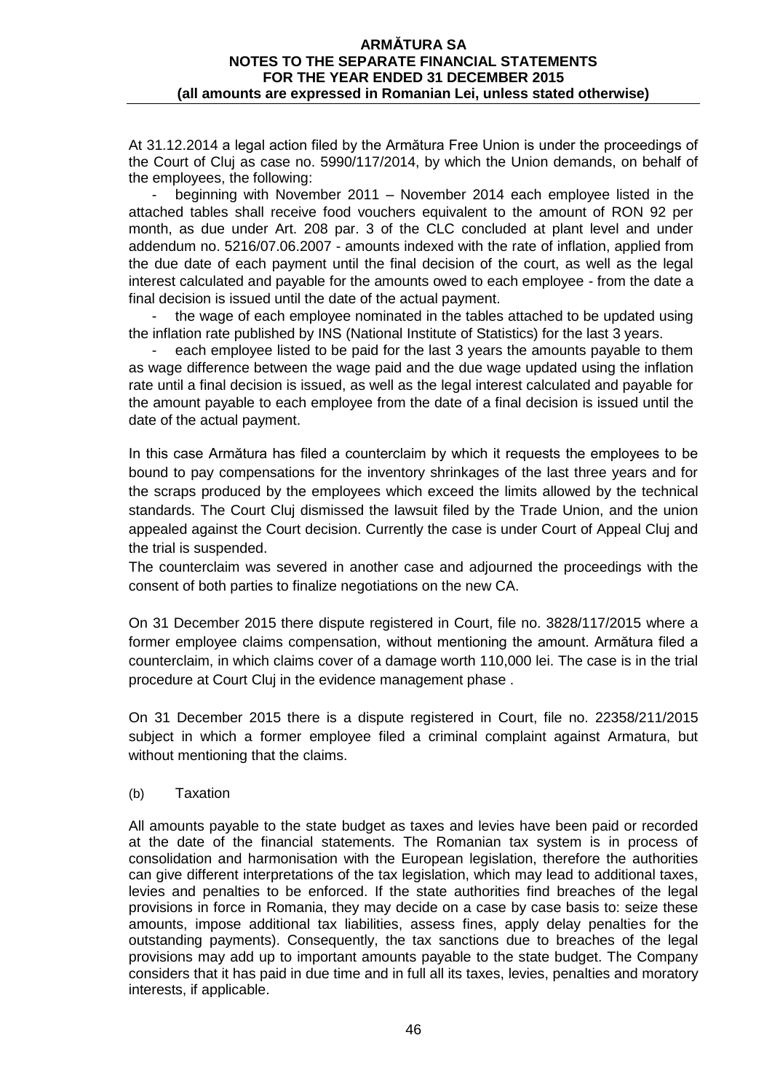At 31.12.2014 a legal action filed by the Armătura Free Union is under the proceedings of the Court of Cluj as case no. 5990/117/2014, by which the Union demands, on behalf of the employees, the following:

- beginning with November 2011 – November 2014 each employee listed in the attached tables shall receive food vouchers equivalent to the amount of RON 92 per month, as due under Art. 208 par. 3 of the CLC concluded at plant level and under addendum no. 5216/07.06.2007 - amounts indexed with the rate of inflation, applied from the due date of each payment until the final decision of the court, as well as the legal interest calculated and payable for the amounts owed to each employee - from the date a final decision is issued until the date of the actual payment.

the wage of each employee nominated in the tables attached to be updated using the inflation rate published by INS (National Institute of Statistics) for the last 3 years.

each employee listed to be paid for the last 3 years the amounts payable to them as wage difference between the wage paid and the due wage updated using the inflation rate until a final decision is issued, as well as the legal interest calculated and payable for the amount payable to each employee from the date of a final decision is issued until the date of the actual payment.

In this case Armătura has filed a counterclaim by which it requests the employees to be bound to pay compensations for the inventory shrinkages of the last three years and for the scraps produced by the employees which exceed the limits allowed by the technical standards. The Court Cluj dismissed the lawsuit filed by the Trade Union, and the union appealed against the Court decision. Currently the case is under Court of Appeal Cluj and the trial is suspended.

The counterclaim was severed in another case and adjourned the proceedings with the consent of both parties to finalize negotiations on the new CA.

On 31 December 2015 there dispute registered in Court, file no. 3828/117/2015 where a former employee claims compensation, without mentioning the amount. Armătura filed a counterclaim, in which claims cover of a damage worth 110,000 lei. The case is in the trial procedure at Court Cluj in the evidence management phase .

On 31 December 2015 there is a dispute registered in Court, file no. 22358/211/2015 subject in which a former employee filed a criminal complaint against Armatura, but without mentioning that the claims.

(b) Taxation

All amounts payable to the state budget as taxes and levies have been paid or recorded at the date of the financial statements. The Romanian tax system is in process of consolidation and harmonisation with the European legislation, therefore the authorities can give different interpretations of the tax legislation, which may lead to additional taxes, levies and penalties to be enforced. If the state authorities find breaches of the legal provisions in force in Romania, they may decide on a case by case basis to: seize these amounts, impose additional tax liabilities, assess fines, apply delay penalties for the outstanding payments). Consequently, the tax sanctions due to breaches of the legal provisions may add up to important amounts payable to the state budget. The Company considers that it has paid in due time and in full all its taxes, levies, penalties and moratory interests, if applicable.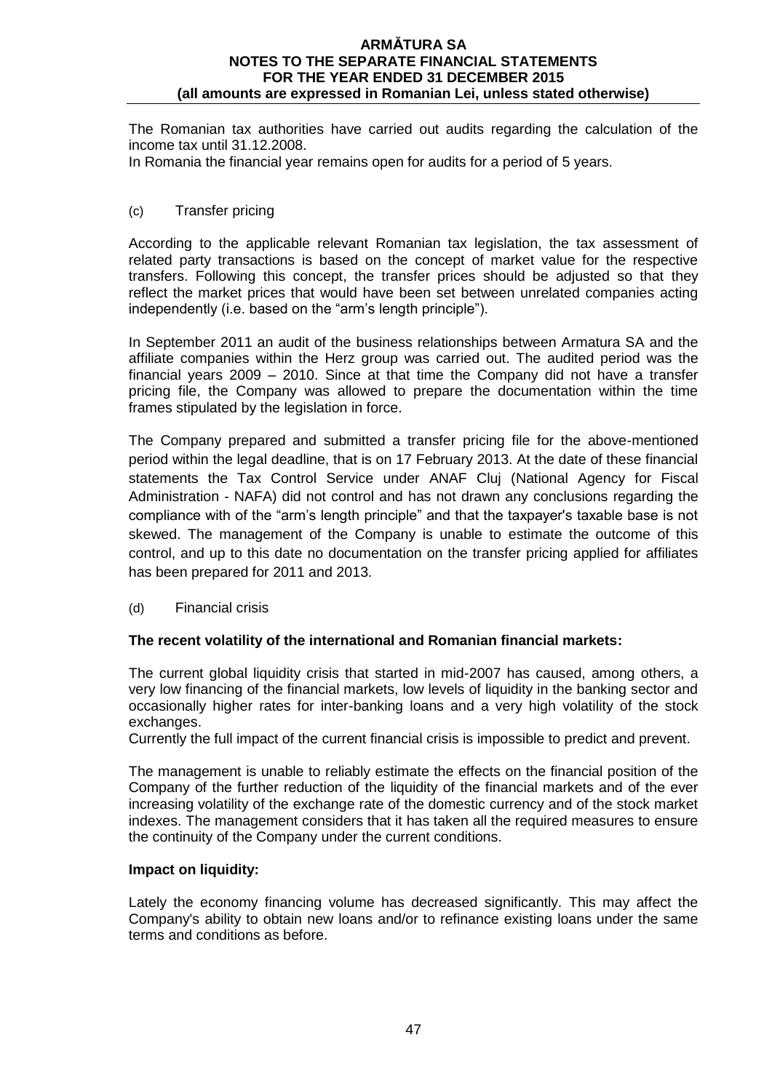The Romanian tax authorities have carried out audits regarding the calculation of the income tax until 31.12.2008.

In Romania the financial year remains open for audits for a period of 5 years.

## (c) Transfer pricing

According to the applicable relevant Romanian tax legislation, the tax assessment of related party transactions is based on the concept of market value for the respective transfers. Following this concept, the transfer prices should be adjusted so that they reflect the market prices that would have been set between unrelated companies acting independently (i.e. based on the "arm's length principle").

In September 2011 an audit of the business relationships between Armatura SA and the affiliate companies within the Herz group was carried out. The audited period was the financial years 2009 – 2010. Since at that time the Company did not have a transfer pricing file, the Company was allowed to prepare the documentation within the time frames stipulated by the legislation in force.

The Company prepared and submitted a transfer pricing file for the above-mentioned period within the legal deadline, that is on 17 February 2013. At the date of these financial statements the Tax Control Service under ANAF Cluj (National Agency for Fiscal Administration - NAFA) did not control and has not drawn any conclusions regarding the compliance with of the "arm's length principle" and that the taxpayer's taxable base is not skewed. The management of the Company is unable to estimate the outcome of this control, and up to this date no documentation on the transfer pricing applied for affiliates has been prepared for 2011 and 2013.

(d) Financial crisis

## **The recent volatility of the international and Romanian financial markets:**

The current global liquidity crisis that started in mid-2007 has caused, among others, a very low financing of the financial markets, low levels of liquidity in the banking sector and occasionally higher rates for inter-banking loans and a very high volatility of the stock exchanges.

Currently the full impact of the current financial crisis is impossible to predict and prevent.

The management is unable to reliably estimate the effects on the financial position of the Company of the further reduction of the liquidity of the financial markets and of the ever increasing volatility of the exchange rate of the domestic currency and of the stock market indexes. The management considers that it has taken all the required measures to ensure the continuity of the Company under the current conditions.

#### **Impact on liquidity:**

Lately the economy financing volume has decreased significantly. This may affect the Company's ability to obtain new loans and/or to refinance existing loans under the same terms and conditions as before.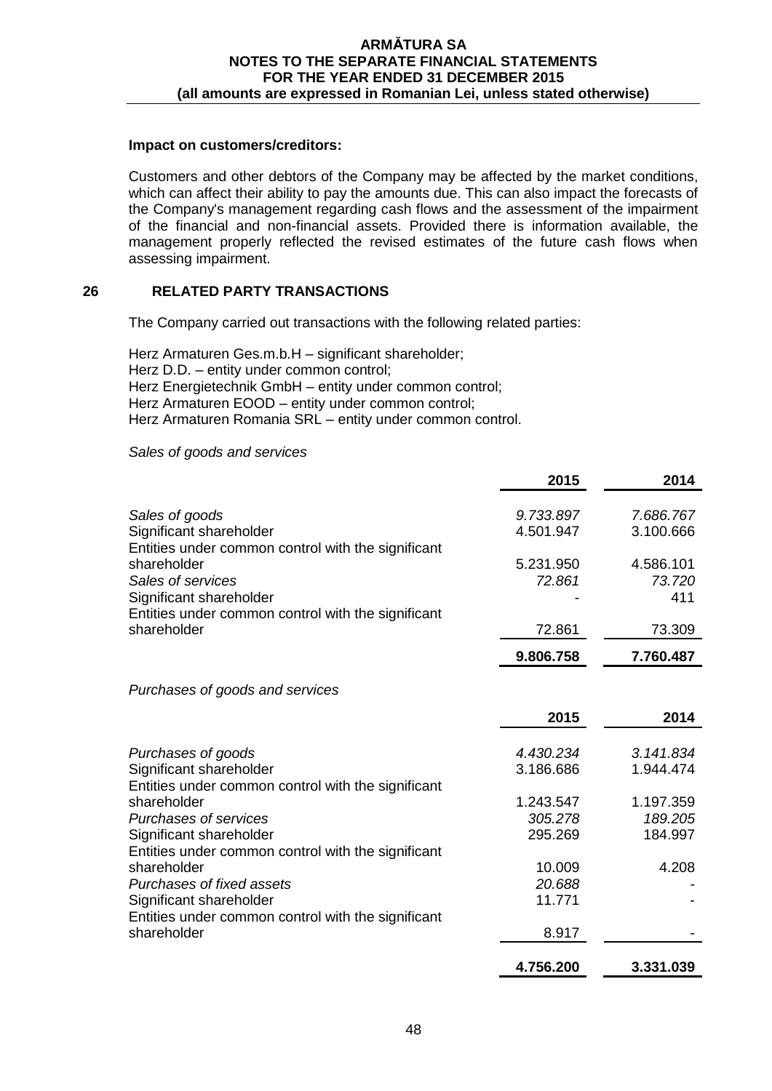## **Impact on customers/creditors:**

Customers and other debtors of the Company may be affected by the market conditions, which can affect their ability to pay the amounts due. This can also impact the forecasts of the Company's management regarding cash flows and the assessment of the impairment of the financial and non-financial assets. Provided there is information available, the management properly reflected the revised estimates of the future cash flows when assessing impairment.

# **26 RELATED PARTY TRANSACTIONS**

The Company carried out transactions with the following related parties:

Herz Armaturen Ges.m.b.H – significant shareholder; Herz D.D. – entity under common control; Herz Energietechnik GmbH – entity under common control; Herz Armaturen EOOD – entity under common control; Herz Armaturen Romania SRL – entity under common control.

#### *Sales of goods and services*

|                                                                                                                   | 2015                | 2014                       |
|-------------------------------------------------------------------------------------------------------------------|---------------------|----------------------------|
| Sales of goods                                                                                                    | 9.733.897           | 7.686.767                  |
| Significant shareholder                                                                                           | 4.501.947           | 3.100.666                  |
| Entities under common control with the significant<br>shareholder<br>Sales of services<br>Significant shareholder | 5.231.950<br>72.861 | 4.586.101<br>73.720<br>411 |
| Entities under common control with the significant                                                                | 72.861              | 73.309                     |
| shareholder                                                                                                       | 9.806.758           | 7.760.487                  |

*Purchases of goods and services*

|                                                    | 2015      | 2014      |
|----------------------------------------------------|-----------|-----------|
| Purchases of goods                                 | 4.430.234 | 3.141.834 |
| Significant shareholder                            | 3.186.686 | 1.944.474 |
| Entities under common control with the significant |           |           |
| shareholder                                        | 1.243.547 | 1.197.359 |
| <b>Purchases of services</b>                       | 305.278   | 189.205   |
| Significant shareholder                            | 295.269   | 184.997   |
| Entities under common control with the significant |           |           |
| shareholder                                        | 10.009    | 4.208     |
| Purchases of fixed assets                          | 20.688    |           |
| Significant shareholder                            | 11.771    |           |
| Entities under common control with the significant |           |           |
| shareholder                                        | 8.917     |           |
|                                                    | 4.756.200 | 3.331.039 |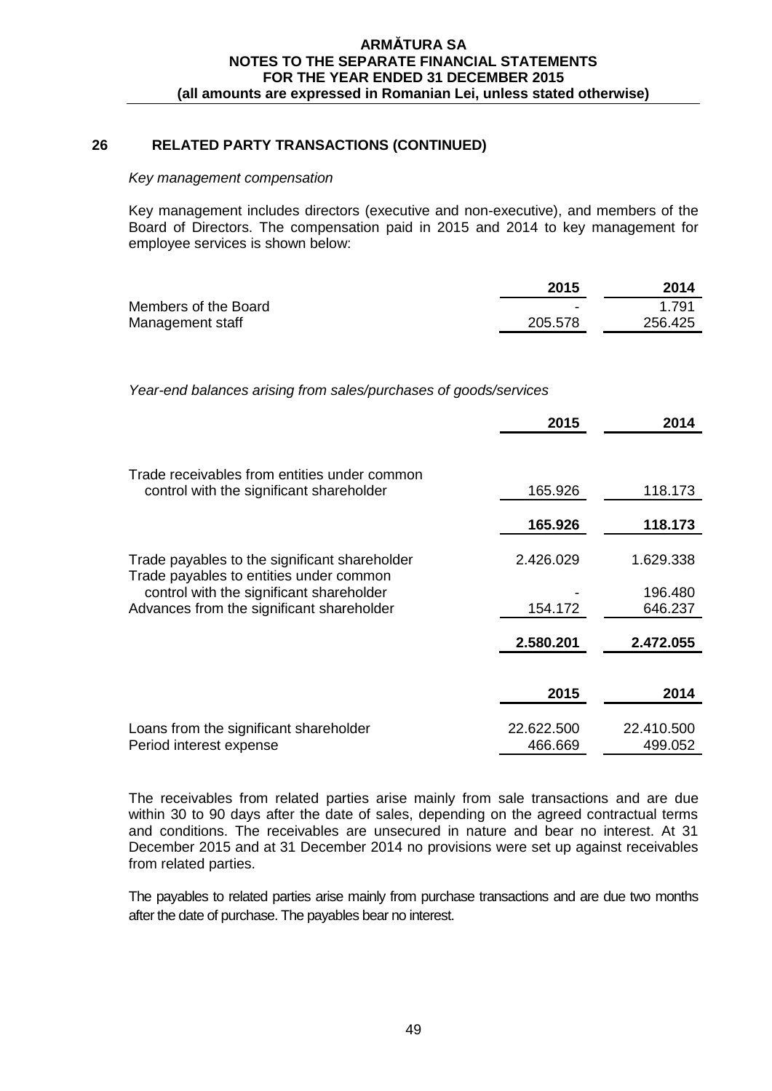## **26 RELATED PARTY TRANSACTIONS (CONTINUED)**

#### *Key management compensation*

Key management includes directors (executive and non-executive), and members of the Board of Directors. The compensation paid in 2015 and 2014 to key management for employee services is shown below:

|                      | 2015    | 2014    |
|----------------------|---------|---------|
| Members of the Board | -       | 1.791   |
| Management staff     | 205.578 | 256.425 |

*Year-end balances arising from sales/purchases of goods/services*

|                                                                                                                                  | 2015                  | 2014                  |
|----------------------------------------------------------------------------------------------------------------------------------|-----------------------|-----------------------|
|                                                                                                                                  |                       |                       |
| Trade receivables from entities under common<br>control with the significant shareholder                                         | 165.926               | 118.173               |
|                                                                                                                                  | 165.926               | 118.173               |
| Trade payables to the significant shareholder                                                                                    | 2.426.029             | 1.629.338             |
| Trade payables to entities under common<br>control with the significant shareholder<br>Advances from the significant shareholder | 154.172               | 196.480<br>646.237    |
|                                                                                                                                  | 2.580.201             | 2.472.055             |
|                                                                                                                                  |                       |                       |
|                                                                                                                                  | 2015                  | 2014                  |
| Loans from the significant shareholder<br>Period interest expense                                                                | 22.622.500<br>466.669 | 22.410.500<br>499.052 |

The receivables from related parties arise mainly from sale transactions and are due within 30 to 90 days after the date of sales, depending on the agreed contractual terms and conditions. The receivables are unsecured in nature and bear no interest. At 31 December 2015 and at 31 December 2014 no provisions were set up against receivables from related parties.

The payables to related parties arise mainly from purchase transactions and are due two months after the date of purchase. The payables bear no interest.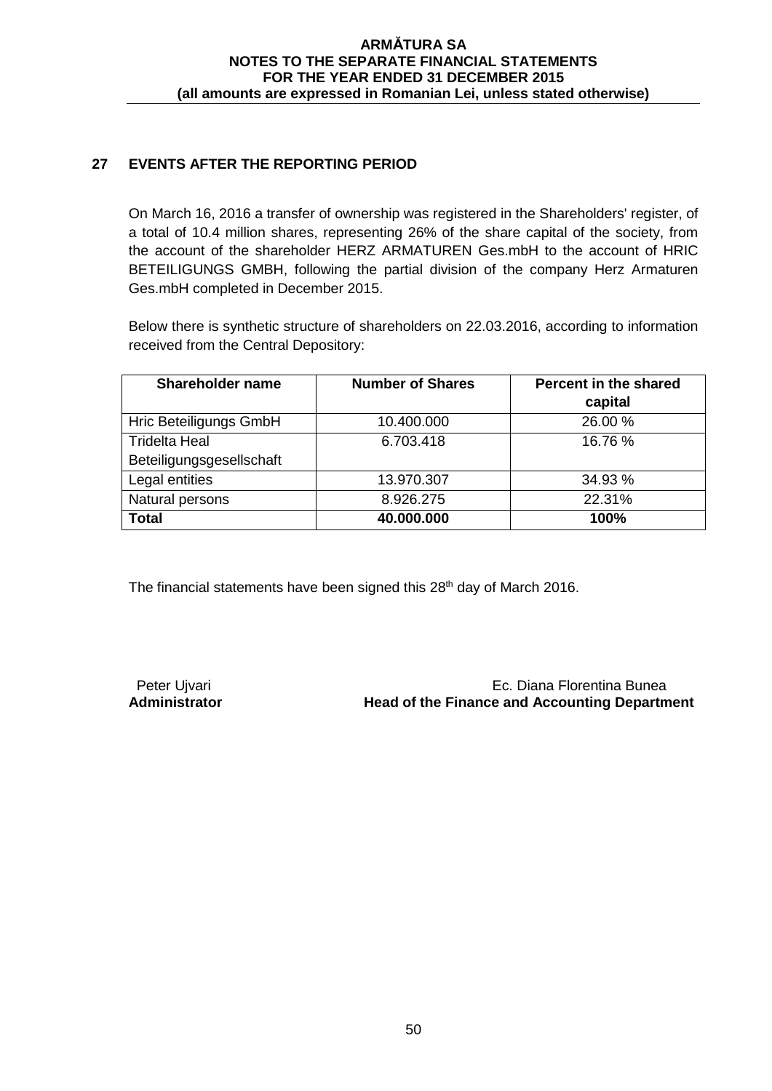# **27 EVENTS AFTER THE REPORTING PERIOD**

On March 16, 2016 a transfer of ownership was registered in the Shareholders' register, of a total of 10.4 million shares, representing 26% of the share capital of the society, from the account of the shareholder HERZ ARMATUREN Ges.mbH to the account of HRIC BETEILIGUNGS GMBH, following the partial division of the company Herz Armaturen Ges.mbH completed in December 2015.

Below there is synthetic structure of shareholders on 22.03.2016, according to information received from the Central Depository:

| <b>Shareholder name</b>  | <b>Number of Shares</b> | Percent in the shared |  |
|--------------------------|-------------------------|-----------------------|--|
|                          |                         | capital               |  |
| Hric Beteiligungs GmbH   | 10.400.000              | 26.00 %               |  |
| <b>Tridelta Heal</b>     | 6.703.418               | 16.76 %               |  |
| Beteiligungsgesellschaft |                         |                       |  |
| Legal entities           | 13.970.307              | 34.93 %               |  |
| Natural persons          | 8.926.275               | 22.31%                |  |
| <b>Total</b>             | 40.000.000              | 100%                  |  |

The financial statements have been signed this 28<sup>th</sup> day of March 2016.

Peter Ujvari **Peter Ujvari** Ec. Diana Florentina Bunea<br>**Administrator Mead of the Finance and Accounting Departm Head of the Finance and Accounting Department**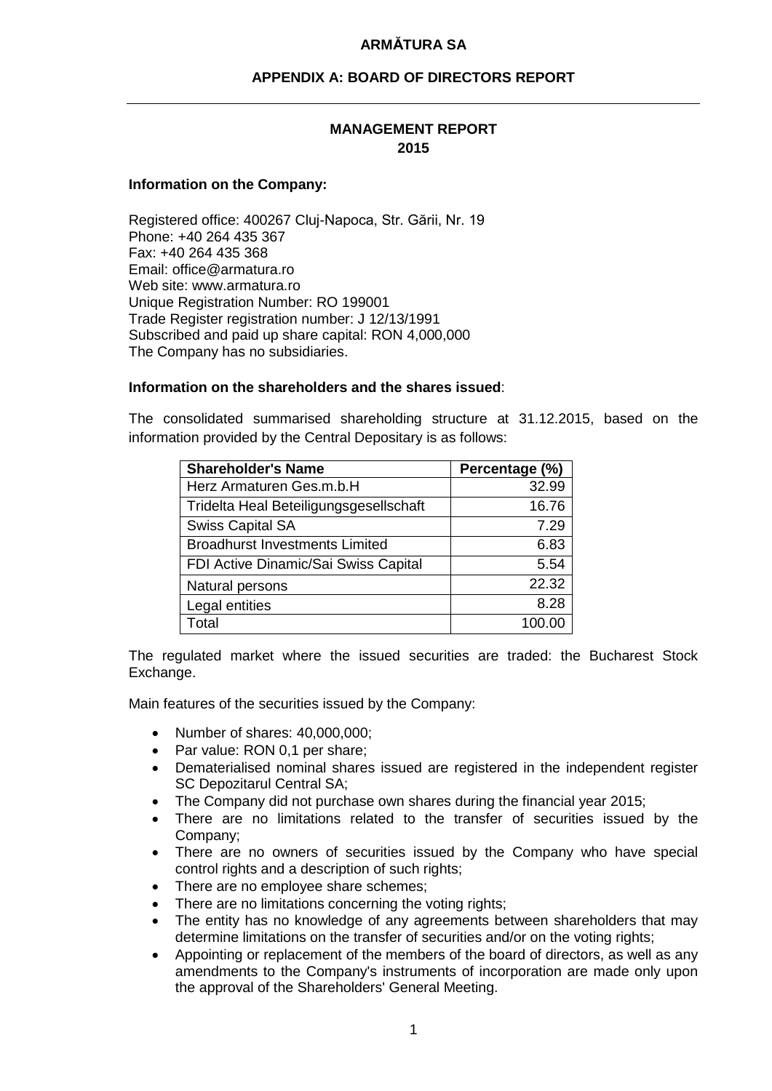# **APPENDIX A: BOARD OF DIRECTORS REPORT**

## **MANAGEMENT REPORT 2015**

#### **Information on the Company:**

Registered office: 400267 Cluj-Napoca, Str. Gării, Nr. 19 Phone: +40 264 435 367 Fax: +40 264 435 368 Email: office@armatura.ro Web site: www.armatura.ro Unique Registration Number: RO 199001 Trade Register registration number: J 12/13/1991 Subscribed and paid up share capital: RON 4,000,000 The Company has no subsidiaries.

#### **Information on the shareholders and the shares issued**:

The consolidated summarised shareholding structure at 31.12.2015, based on the information provided by the Central Depositary is as follows:

| <b>Shareholder's Name</b>              | Percentage (%) |
|----------------------------------------|----------------|
| Herz Armaturen Ges.m.b.H               | 32.99          |
| Tridelta Heal Beteiligungsgesellschaft | 16.76          |
| <b>Swiss Capital SA</b>                | 7.29           |
| <b>Broadhurst Investments Limited</b>  | 6.83           |
| FDI Active Dinamic/Sai Swiss Capital   | 5.54           |
| Natural persons                        | 22.32          |
| Legal entities                         | 8.28           |
| otal                                   | 100.00         |

The regulated market where the issued securities are traded: the Bucharest Stock Exchange.

Main features of the securities issued by the Company:

- Number of shares: 40,000,000;
- Par value: RON 0,1 per share;
- Dematerialised nominal shares issued are registered in the independent register SC Depozitarul Central SA;
- The Company did not purchase own shares during the financial year 2015;
- There are no limitations related to the transfer of securities issued by the Company;
- There are no owners of securities issued by the Company who have special control rights and a description of such rights;
- There are no employee share schemes;
- There are no limitations concerning the voting rights;
- The entity has no knowledge of any agreements between shareholders that may determine limitations on the transfer of securities and/or on the voting rights;
- Appointing or replacement of the members of the board of directors, as well as any amendments to the Company's instruments of incorporation are made only upon the approval of the Shareholders' General Meeting.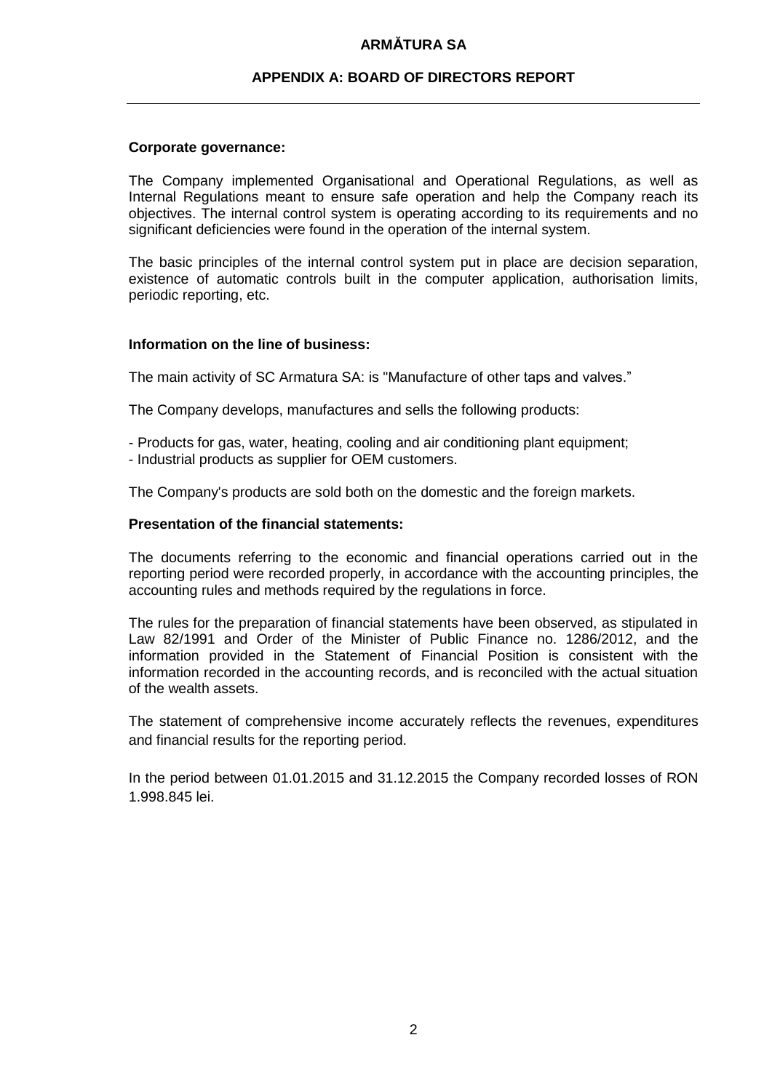## **APPENDIX A: BOARD OF DIRECTORS REPORT**

#### **Corporate governance:**

The Company implemented Organisational and Operational Regulations, as well as Internal Regulations meant to ensure safe operation and help the Company reach its objectives. The internal control system is operating according to its requirements and no significant deficiencies were found in the operation of the internal system.

The basic principles of the internal control system put in place are decision separation, existence of automatic controls built in the computer application, authorisation limits, periodic reporting, etc.

#### **Information on the line of business:**

The main activity of SC Armatura SA: is "Manufacture of other taps and valves."

The Company develops, manufactures and sells the following products:

- Products for gas, water, heating, cooling and air conditioning plant equipment;
- Industrial products as supplier for OEM customers.

The Company's products are sold both on the domestic and the foreign markets.

#### **Presentation of the financial statements:**

The documents referring to the economic and financial operations carried out in the reporting period were recorded properly, in accordance with the accounting principles, the accounting rules and methods required by the regulations in force.

The rules for the preparation of financial statements have been observed, as stipulated in Law 82/1991 and Order of the Minister of Public Finance no. 1286/2012, and the information provided in the Statement of Financial Position is consistent with the information recorded in the accounting records, and is reconciled with the actual situation of the wealth assets.

The statement of comprehensive income accurately reflects the revenues, expenditures and financial results for the reporting period.

In the period between 01.01.2015 and 31.12.2015 the Company recorded losses of RON 1.998.845 lei.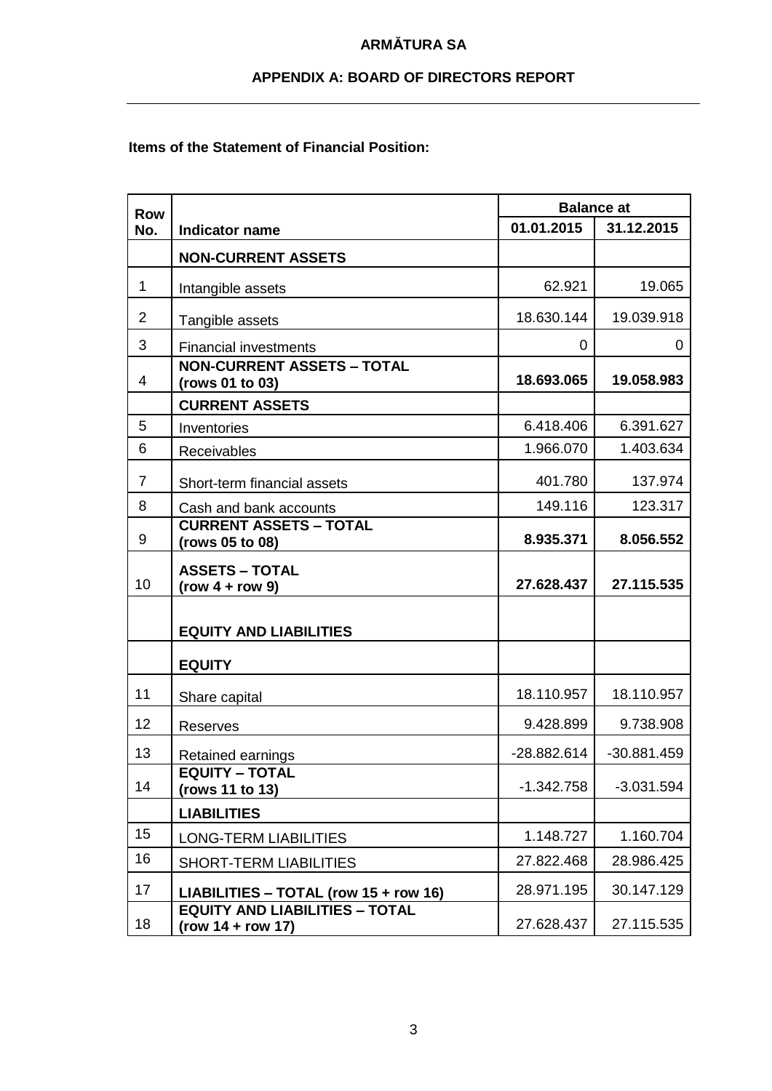# **APPENDIX A: BOARD OF DIRECTORS REPORT**

## **Items of the Statement of Financial Position:**

| <b>Row</b>     |                                                              | <b>Balance at</b> |               |
|----------------|--------------------------------------------------------------|-------------------|---------------|
| No.            | <b>Indicator name</b>                                        | 01.01.2015        | 31.12.2015    |
|                | <b>NON-CURRENT ASSETS</b>                                    |                   |               |
| $\mathbf 1$    | Intangible assets                                            | 62.921            | 19.065        |
| 2              | Tangible assets                                              | 18.630.144        | 19.039.918    |
| 3              | <b>Financial investments</b>                                 | 0                 | 0             |
| 4              | <b>NON-CURRENT ASSETS - TOTAL</b><br>(rows 01 to 03)         | 18.693.065        | 19.058.983    |
|                | <b>CURRENT ASSETS</b>                                        |                   |               |
| 5              | Inventories                                                  | 6.418.406         | 6.391.627     |
| 6              | Receivables                                                  | 1.966.070         | 1.403.634     |
| $\overline{7}$ | Short-term financial assets                                  | 401.780           | 137.974       |
| 8              | Cash and bank accounts                                       | 149.116           | 123.317       |
| 9              | <b>CURRENT ASSETS - TOTAL</b><br>(rows 05 to 08)             | 8.935.371         | 8.056.552     |
| 10             | <b>ASSETS - TOTAL</b><br>$(row 4 + row 9)$                   | 27.628.437        | 27.115.535    |
|                | <b>EQUITY AND LIABILITIES</b>                                |                   |               |
|                | <b>EQUITY</b>                                                |                   |               |
| 11             | Share capital                                                | 18.110.957        | 18.110.957    |
| 12             | <b>Reserves</b>                                              | 9.428.899         | 9.738.908     |
| 13             | Retained earnings                                            | -28.882.614       | $-30.881.459$ |
| 14             | <b>EQUITY - TOTAL</b><br>(rows 11 to 13)                     | $-1.342.758$      | $-3.031.594$  |
|                | <b>LIABILITIES</b>                                           |                   |               |
| 15             | <b>LONG-TERM LIABILITIES</b>                                 | 1.148.727         | 1.160.704     |
| 16             | <b>SHORT-TERM LIABILITIES</b>                                | 27.822.468        | 28.986.425    |
| 17             | LIABILITIES - TOTAL (row 15 + row 16)                        | 28.971.195        | 30.147.129    |
| 18             | <b>EQUITY AND LIABILITIES - TOTAL</b><br>$(row 14 + row 17)$ | 27.628.437        | 27.115.535    |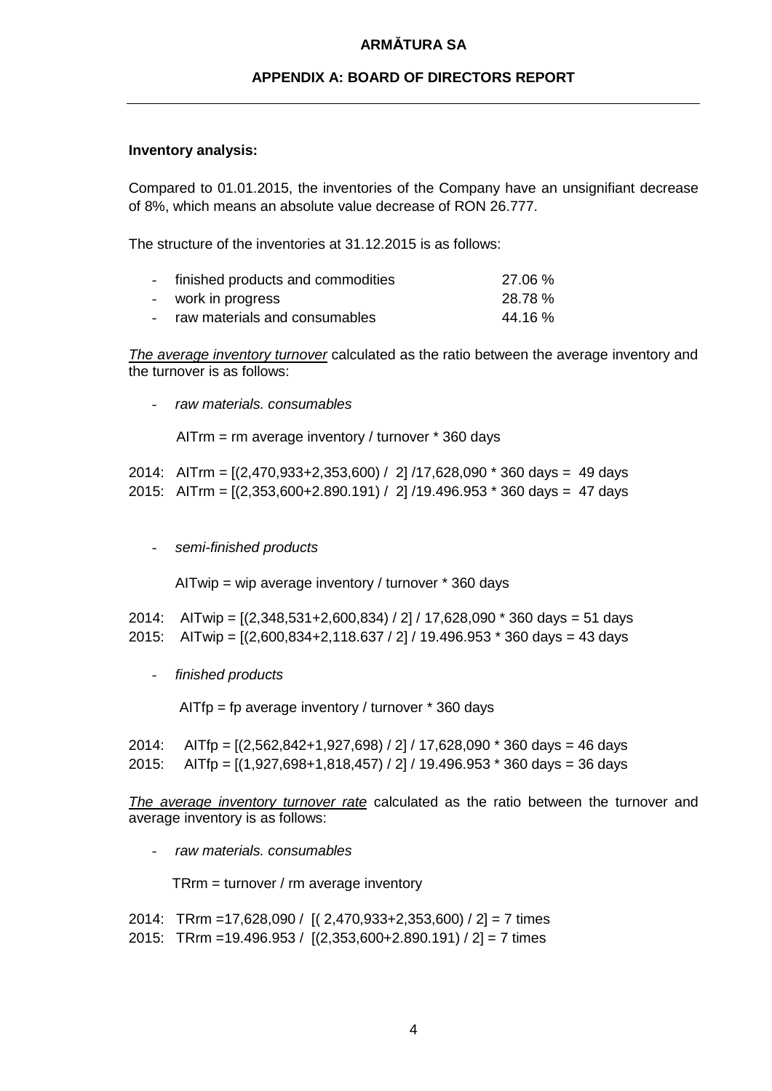## **APPENDIX A: BOARD OF DIRECTORS REPORT**

## **Inventory analysis:**

Compared to 01.01.2015, the inventories of the Company have an unsignifiant decrease of 8%, which means an absolute value decrease of RON 26.777.

The structure of the inventories at 31.12.2015 is as follows:

|        | - finished products and commodities | 27.06 % |
|--------|-------------------------------------|---------|
| $\sim$ | work in progress                    | 28.78%  |
|        | raw materials and consumables       | 44.16 % |

*The average inventory turnover* calculated as the ratio between the average inventory and the turnover is as follows:

- *raw materials. consumables*

AITrm = rm average inventory / turnover \* 360 days

|  | 2014: AITrm = $[(2,470,933+2,353,600) / 2]/17,628,090 * 360 \text{ days} = 49 \text{ days}$ |
|--|---------------------------------------------------------------------------------------------|
|  | 2015: AITrm = $[(2,353,600+2.890.191) / 2]/19.496.953 * 360 \text{ days} = 47 \text{ days}$ |

- *semi-finished products*

AITwip = wip average inventory / turnover \* 360 days

- 2014: AITwip = [(2,348,531+2,600,834) / 2] / 17,628,090 \* 360 days = 51 days
- 2015: AITwip = [(2,600,834+2,118.637 / 2] / 19.496.953 \* 360 days = 43 days
	- *finished products*

AITfp = fp average inventory / turnover \* 360 days

2014: AITfp = [(2,562,842+1,927,698) / 2] / 17,628,090 \* 360 days = 46 days

2015: AITfp = [(1,927,698+1,818,457) / 2] / 19.496.953 \* 360 days = 36 days

*The average inventory turnover rate* calculated as the ratio between the turnover and average inventory is as follows:

- *raw materials. consumables*

TRrm = turnover / rm average inventory

2014: TRrm =17,628,090 / [( 2,470,933+2,353,600) / 2] = 7 times 2015: TRrm =19.496.953 / [(2,353,600+2.890.191) / 2] = 7 times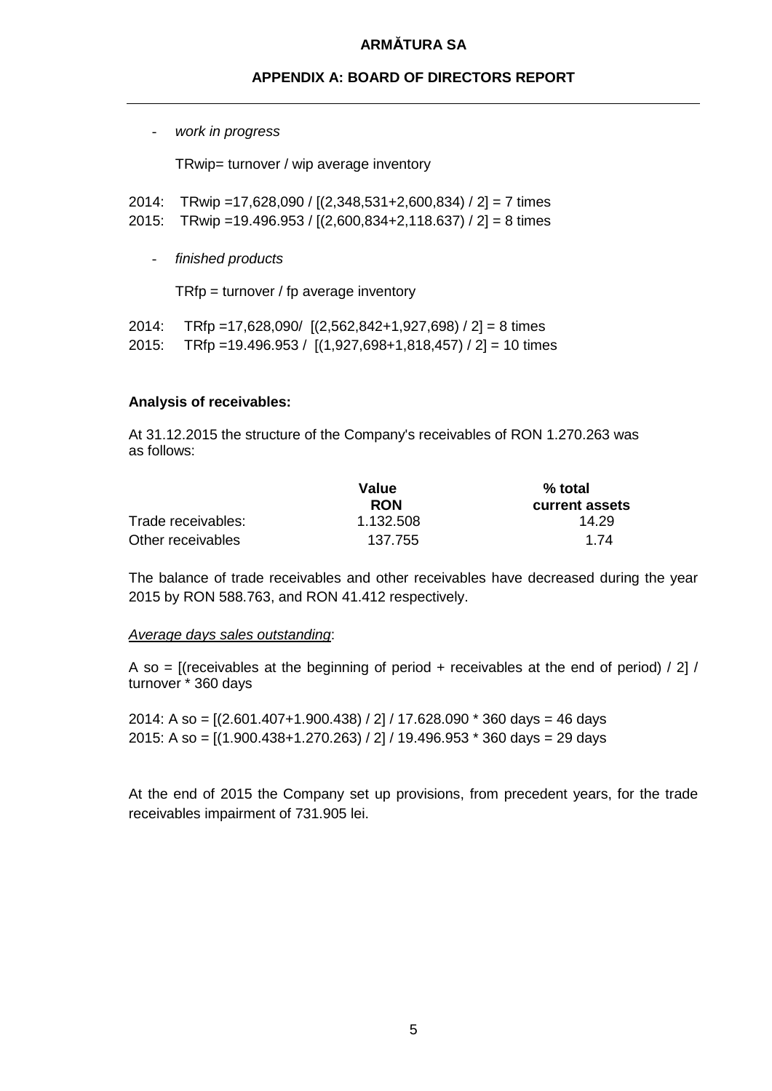# **APPENDIX A: BOARD OF DIRECTORS REPORT**

- *work in progress*

TRwip= turnover / wip average inventory

- 2014: TRwip =17,628,090 / [(2,348,531+2,600,834) / 2] = 7 times
- 2015: TRwip =19.496.953 / [(2,600,834+2,118.637) / 2] = 8 times
	- *finished products*

TRfp = turnover / fp average inventory

2014: TRfp =17,628,090/ [(2,562,842+1,927,698) / 2] = 8 times 2015: TRfp =19.496.953 / [(1,927,698+1,818,457) / 2] = 10 times

## **Analysis of receivables:**

At 31.12.2015 the structure of the Company's receivables of RON 1.270.263 was as follows:

|                    | Value      | % total        |  |
|--------------------|------------|----------------|--|
|                    | <b>RON</b> | current assets |  |
| Trade receivables: | 1.132.508  | 14.29          |  |
| Other receivables  | 137.755    | 1 74           |  |

The balance of trade receivables and other receivables have decreased during the year 2015 by RON 588.763, and RON 41.412 respectively.

#### *Average days sales outstanding*:

A so = [(receivables at the beginning of period + receivables at the end of period)  $/$  2]  $/$ turnover \* 360 days

2014: A so = [(2.601.407+1.900.438) / 2] / 17.628.090 \* 360 days = 46 days 2015: A so = [(1.900.438+1.270.263) / 2] / 19.496.953 \* 360 days = 29 days

At the end of 2015 the Company set up provisions, from precedent years, for the trade receivables impairment of 731.905 lei.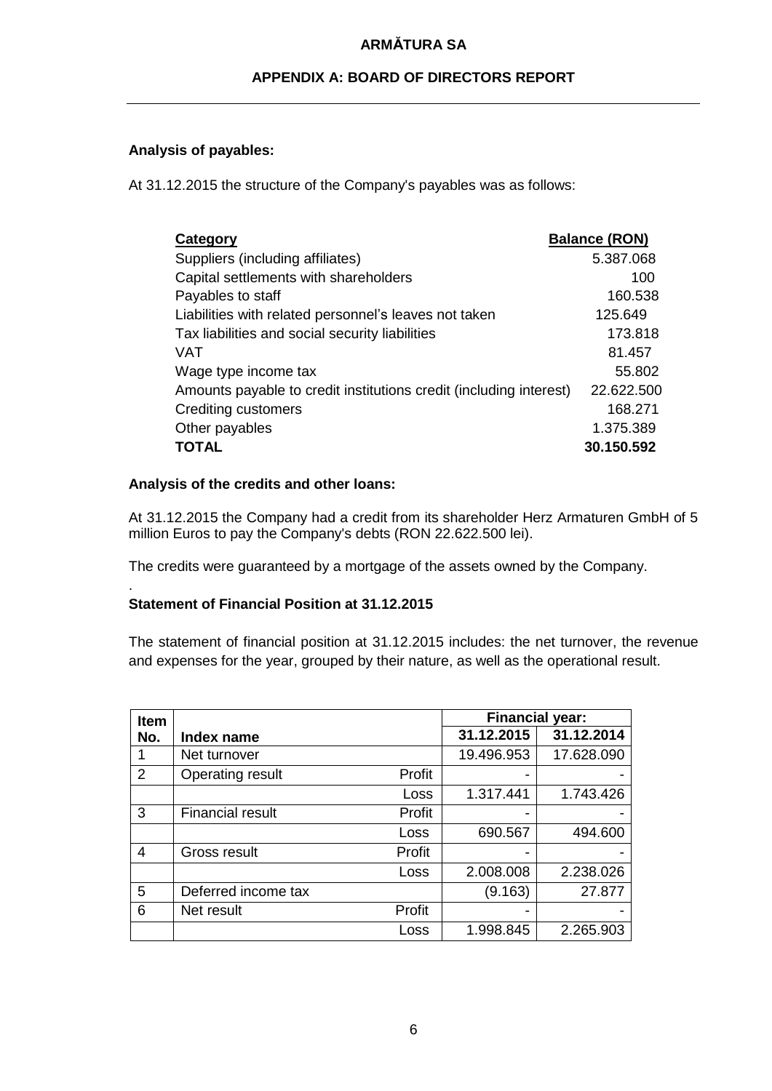# **APPENDIX A: BOARD OF DIRECTORS REPORT**

# **Analysis of payables:**

At 31.12.2015 the structure of the Company's payables was as follows:

| Category                                                           | <b>Balance (RON)</b> |
|--------------------------------------------------------------------|----------------------|
| Suppliers (including affiliates)                                   | 5.387.068            |
| Capital settlements with shareholders                              | 100                  |
| Payables to staff                                                  | 160.538              |
| Liabilities with related personnel's leaves not taken              | 125.649              |
| Tax liabilities and social security liabilities                    | 173.818              |
| VAT                                                                | 81.457               |
| Wage type income tax                                               | 55.802               |
| Amounts payable to credit institutions credit (including interest) | 22.622.500           |
| <b>Crediting customers</b>                                         | 168.271              |
| Other payables                                                     | 1.375.389            |
| <b>TOTAL</b>                                                       | 30.150.592           |

## **Analysis of the credits and other loans:**

.

At 31.12.2015 the Company had a credit from its shareholder Herz Armaturen GmbH of 5 million Euros to pay the Company's debts (RON 22.622.500 lei).

The credits were guaranteed by a mortgage of the assets owned by the Company.

# **Statement of Financial Position at 31.12.2015**

The statement of financial position at 31.12.2015 includes: the net turnover, the revenue and expenses for the year, grouped by their nature, as well as the operational result.

| Item |                         |        | <b>Financial year:</b> |            |
|------|-------------------------|--------|------------------------|------------|
| No.  | Index name              |        | 31.12.2015             | 31.12.2014 |
| 1    | Net turnover            |        | 19.496.953             | 17.628.090 |
| 2    | Operating result        | Profit |                        |            |
|      |                         | Loss   | 1.317.441              | 1.743.426  |
| 3    | <b>Financial result</b> | Profit |                        |            |
|      |                         | Loss   | 690.567                | 494.600    |
| 4    | Gross result            | Profit |                        |            |
|      |                         | Loss   | 2.008.008              | 2.238.026  |
| 5    | Deferred income tax     |        | (9.163)                | 27.877     |
| 6    | Net result              | Profit |                        |            |
|      |                         | Loss   | 1.998.845              | 2.265.903  |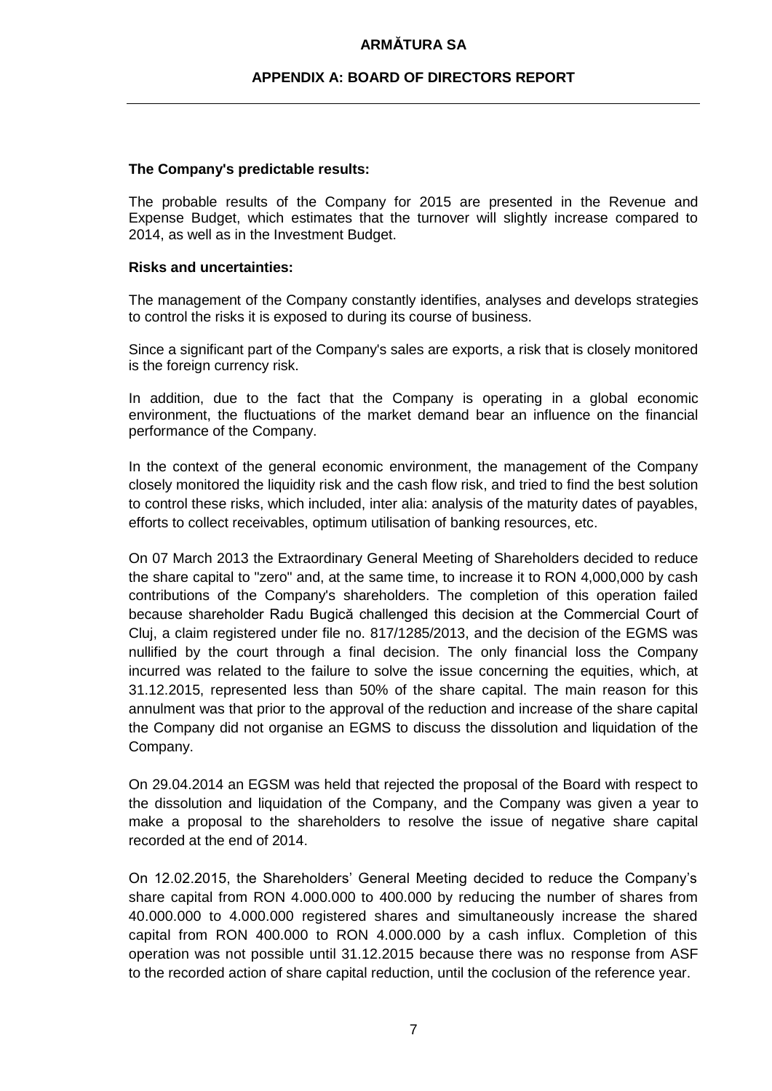## **APPENDIX A: BOARD OF DIRECTORS REPORT**

#### **The Company's predictable results:**

The probable results of the Company for 2015 are presented in the Revenue and Expense Budget, which estimates that the turnover will slightly increase compared to 2014, as well as in the Investment Budget.

#### **Risks and uncertainties:**

The management of the Company constantly identifies, analyses and develops strategies to control the risks it is exposed to during its course of business.

Since a significant part of the Company's sales are exports, a risk that is closely monitored is the foreign currency risk.

In addition, due to the fact that the Company is operating in a global economic environment, the fluctuations of the market demand bear an influence on the financial performance of the Company.

In the context of the general economic environment, the management of the Company closely monitored the liquidity risk and the cash flow risk, and tried to find the best solution to control these risks, which included, inter alia: analysis of the maturity dates of payables, efforts to collect receivables, optimum utilisation of banking resources, etc.

On 07 March 2013 the Extraordinary General Meeting of Shareholders decided to reduce the share capital to "zero" and, at the same time, to increase it to RON 4,000,000 by cash contributions of the Company's shareholders. The completion of this operation failed because shareholder Radu Bugică challenged this decision at the Commercial Court of Cluj, a claim registered under file no. 817/1285/2013, and the decision of the EGMS was nullified by the court through a final decision. The only financial loss the Company incurred was related to the failure to solve the issue concerning the equities, which, at 31.12.2015, represented less than 50% of the share capital. The main reason for this annulment was that prior to the approval of the reduction and increase of the share capital the Company did not organise an EGMS to discuss the dissolution and liquidation of the Company.

On 29.04.2014 an EGSM was held that rejected the proposal of the Board with respect to the dissolution and liquidation of the Company, and the Company was given a year to make a proposal to the shareholders to resolve the issue of negative share capital recorded at the end of 2014.

On 12.02.2015, the Shareholders' General Meeting decided to reduce the Company's share capital from RON 4.000.000 to 400.000 by reducing the number of shares from 40.000.000 to 4.000.000 registered shares and simultaneously increase the shared capital from RON 400.000 to RON 4.000.000 by a cash influx. Completion of this operation was not possible until 31.12.2015 because there was no response from ASF to the recorded action of share capital reduction, until the coclusion of the reference year.